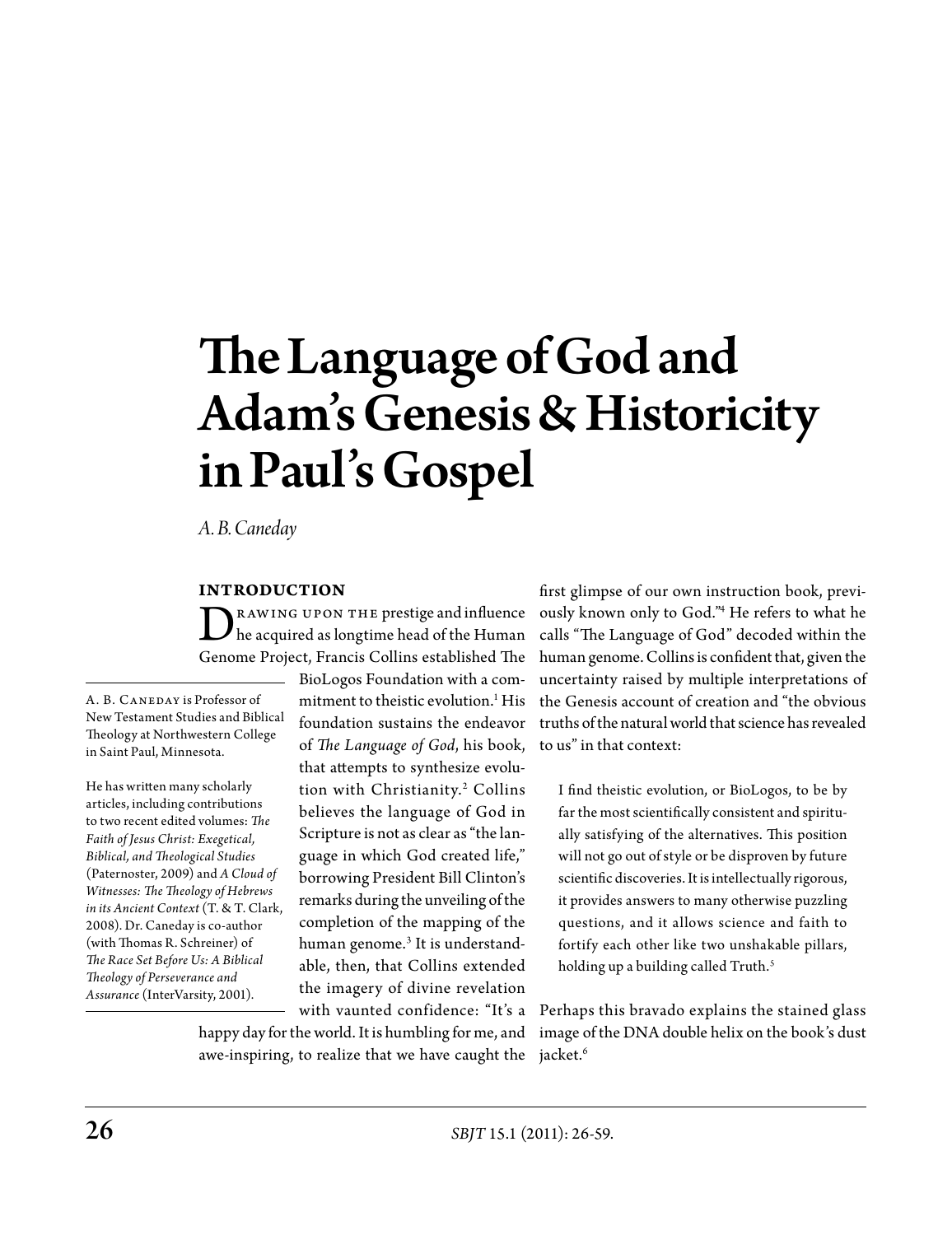# The Language of God and Adam's Genesis & Historicity in Paul's Gospel

*A. B. Caneday*

# **Introduction**

DRAWING UPON THE prestige and influence<br>
he acquired as longtime head of the Human Genome Project, Francis Collins established The

A. B. CANEDAY is Professor of New Testament Studies and Biblical Theology at Northwestern College in Saint Paul, Minnesota.

He has written many scholarly articles, including contributions to two recent edited volumes: *The Faith of Jesus Christ: Exegetical, Biblical, and Theological Studies*  (Paternoster, 2009) and *A Cloud of Witnesses: The Theology of Hebrews in its Ancient Context* (T. & T. Clark, 2008). Dr. Caneday is co-author (with Thomas R. Schreiner) of *The Race Set Before Us: A Biblical Theology of Perseverance and Assurance* (InterVarsity, 2001).

BioLogos Foundation with a commitment to theistic evolution.<sup>1</sup> His foundation sustains the endeavor of *The Language of God*, his book, that attempts to synthesize evolution with Christianity.2 Collins believes the language of God in Scripture is not as clear as "the language in which God created life," borrowing President Bill Clinton's remarks during the unveiling of the completion of the mapping of the human genome.<sup>3</sup> It is understandable, then, that Collins extended the imagery of divine revelation with vaunted confidence: "It's a

happy day for the world. It is humbling for me, and awe-inspiring, to realize that we have caught the first glimpse of our own instruction book, previously known only to God."4 He refers to what he calls "The Language of God" decoded within the human genome. Collins is confident that, given the uncertainty raised by multiple interpretations of the Genesis account of creation and "the obvious truths of the natural world that science has revealed to us" in that context:

I find theistic evolution, or BioLogos, to be by far the most scientifically consistent and spiritually satisfying of the alternatives. This position will not go out of style or be disproven by future scientific discoveries. It is intellectually rigorous, it provides answers to many otherwise puzzling questions, and it allows science and faith to fortify each other like two unshakable pillars, holding up a building called Truth.<sup>5</sup>

Perhaps this bravado explains the stained glass image of the DNA double helix on the book's dust jacket.<sup>6</sup>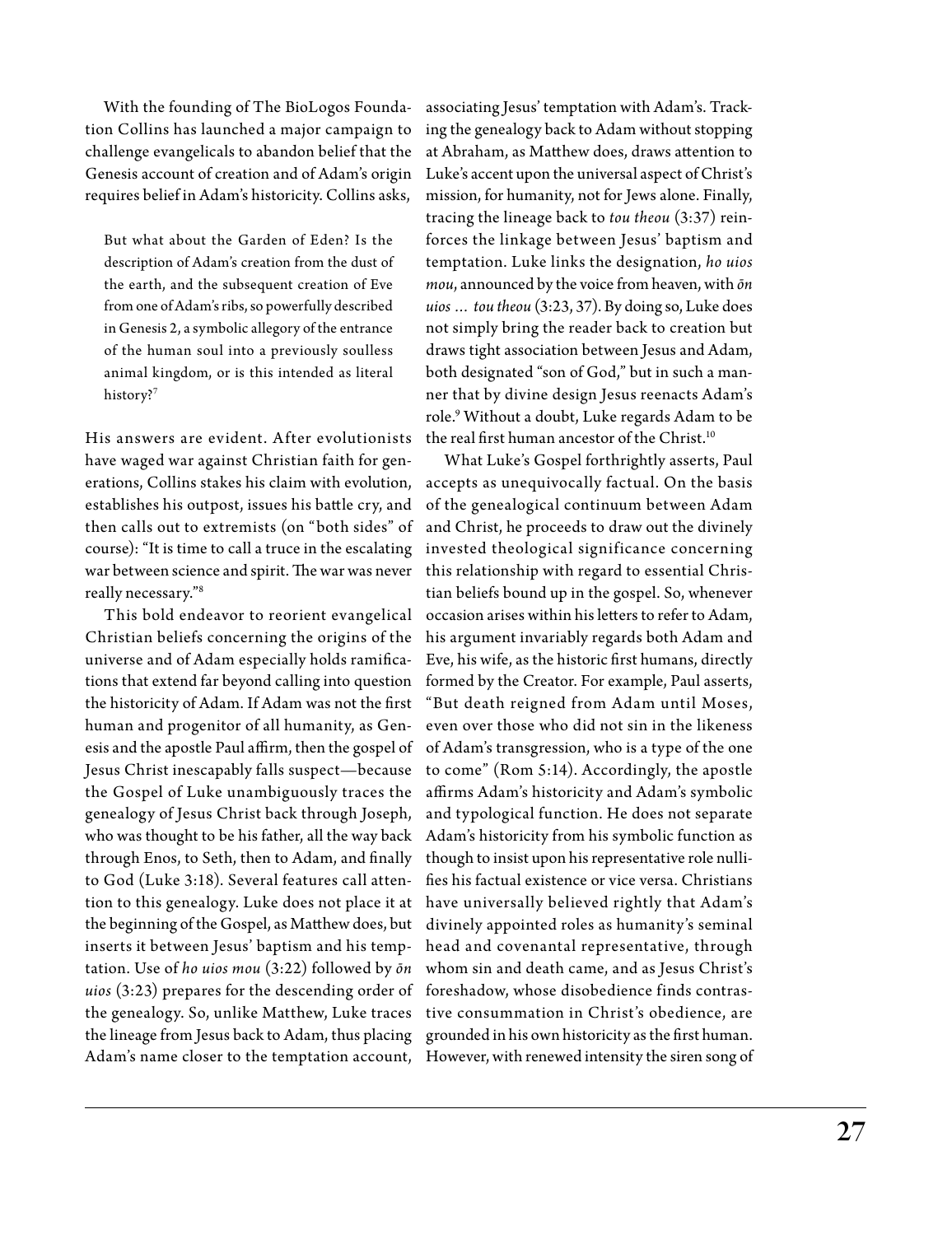With the founding of The BioLogos Foundation Collins has launched a major campaign to challenge evangelicals to abandon belief that the Genesis account of creation and of Adam's origin requires belief in Adam's historicity. Collins asks,

But what about the Garden of Eden? Is the description of Adam's creation from the dust of the earth, and the subsequent creation of Eve from one of Adam's ribs, so powerfully described in Genesis 2, a symbolic allegory of the entrance of the human soul into a previously soulless animal kingdom, or is this intended as literal history?7

His answers are evident. A fter evolutionists have waged war against Christian faith for generations, Collins stakes his claim with evolution, establishes his outpost, issues his battle cry, and then calls out to extremists (on "both sides" of course): "It is time to call a truce in the escalating war between science and spirit. The war was never really necessary."8

This bold endeavor to reorient evangelical Christian beliefs concerning the origins of the universe and of Adam especially holds ramifications that extend far beyond calling into question the historicity of Adam. If Adam was not the first human and progenitor of all humanity, as Genesis and the apostle Paul affirm, then the gospel of Jesus Christ inescapably falls suspect—because the Gospel of Luke unambiguously traces the genealogy of Jesus Christ back through Joseph, who was thought to be his father, all the way back through Enos, to Seth, then to Adam, and finally to God (Luke 3:18). Several features call attention to this genealogy. Luke does not place it at have universally believed rightly that Adam's the beginning of the Gospel, as Matthew does, but inserts it between Jesus' baptism and his temp-head and covenantal representative, through tation. Use of *ho uios mou* (3:22) followed by *ōn*  whom sin and death came, and as Jesus Christ's *uios* (3:23) prepares for the descending order of foreshadow, whose disobedience finds contrasthe genealogy. So, unlike Matthew, Luke traces tive consummation in Christ's obedience, are the lineage from Jesus back to Adam, thus placing grounded in his own historicity as the first human. Adam's name closer to the temptation account, However, with renewed intensity the siren song of

associating Jesus' temptation with Adam's. Tracking the genealogy back to Adam without stopping at Abraham, as Matthew does, draws attention to Luke's accent upon the universal aspect of Christ's mission, for humanity, not for Jews alone. Finally, tracing the lineage back to *tou theou* (3:37) reinforces the linkage between Jesus' baptism and temptation. Luke links the designation, *ho uios mou*, announced by the voice from heaven, with *ōn uios … tou theou* (3:23, 37). By doing so, Luke does not simply bring the reader back to creation but draws tight association between Jesus and Adam, both designated "son of God," but in such a manner that by divine design Jesus reenacts Adam's role.9 Without a doubt, Luke regards Adam to be the real first human ancestor of the Christ.<sup>10</sup>

What Luke's Gospel forthrightly asserts, Paul accepts as unequivocally factual. On the basis of the genealogical continuum between Adam and Christ, he proceeds to draw out the divinely invested theological significance concerning this relationship with regard to essential Christian beliefs bound up in the gospel. So, whenever occasion arises within his letters to refer to Adam, his argument invariably regards both Adam and Eve, his wife, as the historic first humans, directly formed by the Creator. For example, Paul asserts, "But death reigned from Adam until Moses, even over those who did not sin in the likeness of Adam's transgression, who is a type of the one to come" (Rom 5:14). Accordingly, the apostle affirms Adam's historicity and Adam's symbolic and typological function. He does not separate Adam's historicity from his symbolic function as though to insist upon his representative role nullifies his factual existence or vice versa. Christians divinely appointed roles as humanity's seminal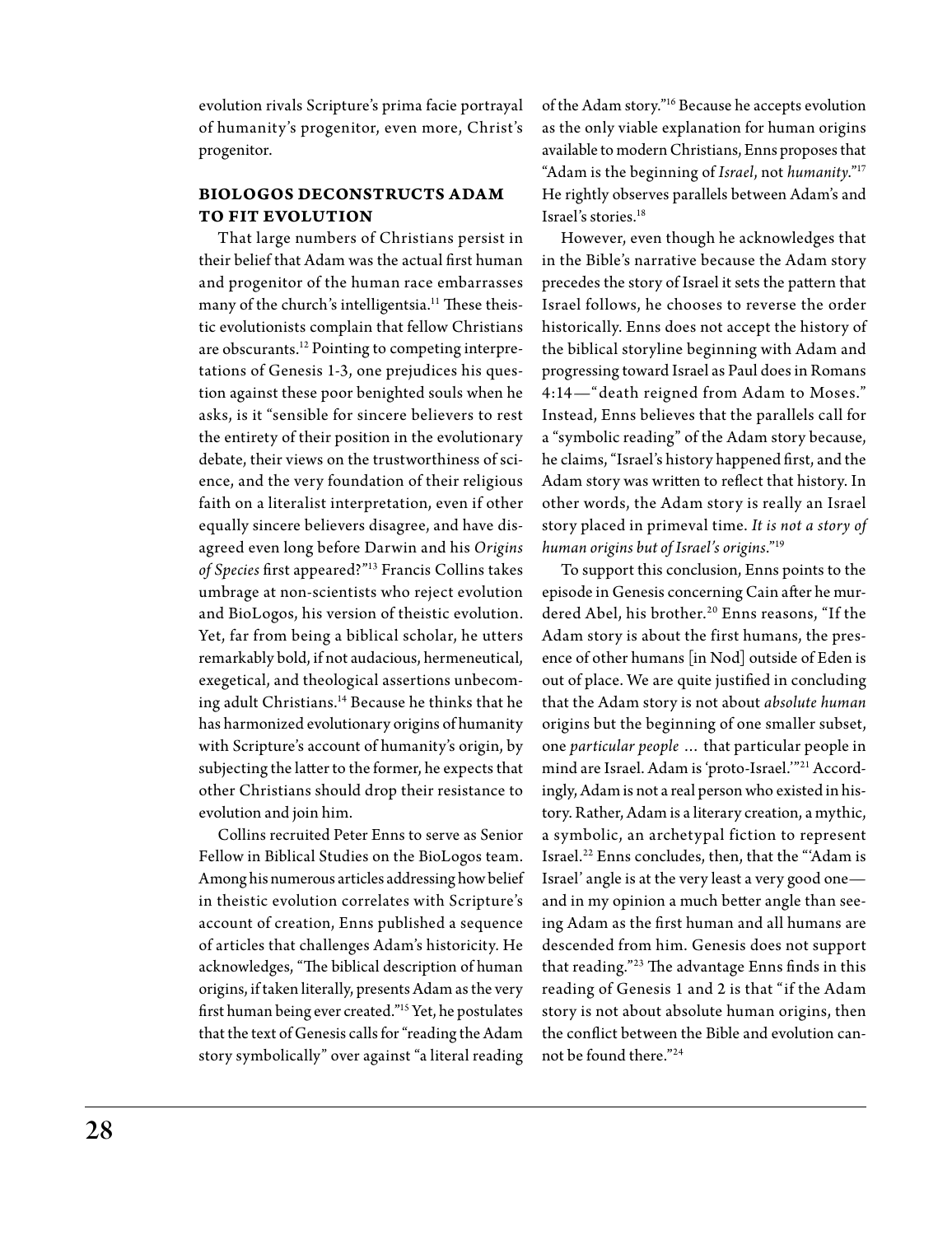evolution rivals Scripture's prima facie portrayal of humanity's progenitor, even more, Christ's progenitor.

## **BioLogos Deconstructs Adam to Fit Evolution**

That large numbers of Christians persist in their belief that Adam was the actual first human and progenitor of the human race embarrasses many of the church's intelligentsia.<sup>11</sup> These theistic evolutionists complain that fellow Christians are obscurants.<sup>12</sup> Pointing to competing interpretations of Genesis 1-3, one prejudices his question against these poor benighted souls when he asks, is it "sensible for sincere believers to rest the entirety of their position in the evolutionary debate, their views on the trustworthiness of science, and the very foundation of their religious faith on a literalist interpretation, even if other equally sincere believers disagree, and have disagreed even long before Darwin and his *Origins of Species* first appeared?"13 Francis Collins takes umbrage at non-scientists who reject evolution and BioLogos, his version of theistic evolution. Yet, far from being a biblical scholar, he utters remarkably bold, if not audacious, hermeneutical, exegetical, and theological assertions unbecoming adult Christians.<sup>14</sup> Because he thinks that he has harmonized evolutionary origins of humanity with Scripture's account of humanity's origin, by subjecting the latter to the former, he expects that other Christians should drop their resistance to evolution and join him.

Collins recruited Peter Enns to serve as Senior Fellow in Biblical Studies on the BioLogos team. Among his numerous articles addressing how belief in theistic evolution correlates with Scripture's account of creation, Enns published a sequence of articles that challenges Adam's historicity. He acknowledges, "The biblical description of human origins, if taken literally, presents Adam as the very first human being ever created."15 Yet, he postulates that the text of Genesis calls for "reading the Adam story symbolically" over against "a literal reading

of the Adam story."16 Because he accepts evolution as the only viable explanation for human origins available to modern Christians, Enns proposes that "Adam is the beginning of *Israel*, not *humanity*."17 He rightly observes parallels between Adam's and Israel's stories.<sup>18</sup>

However, even though he acknowledges that in the Bible's narrative because the Adam story precedes the story of Israel it sets the pattern that Israel follows, he chooses to reverse the order historically. Enns does not accept the history of the biblical storyline beginning with Adam and progressing toward Israel as Paul does in Romans 4:14—"death reigned from Adam to Moses." Instead, Enns believes that the parallels call for a "symbolic reading" of the Adam story because, he claims, "Israel's history happened first, and the Adam story was written to reflect that history. In other words, the Adam story is really an Israel story placed in primeval time. *It is not a story of human origins but of Israel's origins*."19

To support this conclusion, Enns points to the episode in Genesis concerning Cain after he murdered Abel, his brother.<sup>20</sup> Enns reasons, "If the Adam story is about the first humans, the presence of other humans [in Nod] outside of Eden is out of place. We are quite justified in concluding that the Adam story is not about *absolute human* origins but the beginning of one smaller subset, one *particular people* … that particular people in mind are Israel. Adam is 'proto-Israel.'"21 Accordingly, Adam is not a real person who existed in history. Rather, Adam is a literary creation, a mythic, a symbolic, an archetypal fiction to represent Israel.22 Enns concludes, then, that the "'Adam is Israel' angle is at the very least a very good one and in my opinion a much better angle than seeing Adam as the first human and all humans are descended from him. Genesis does not support that reading."23 The advantage Enns finds in this reading of Genesis 1 and 2 is that "if the Adam story is not about absolute human origins, then the conflict between the Bible and evolution cannot be found there."24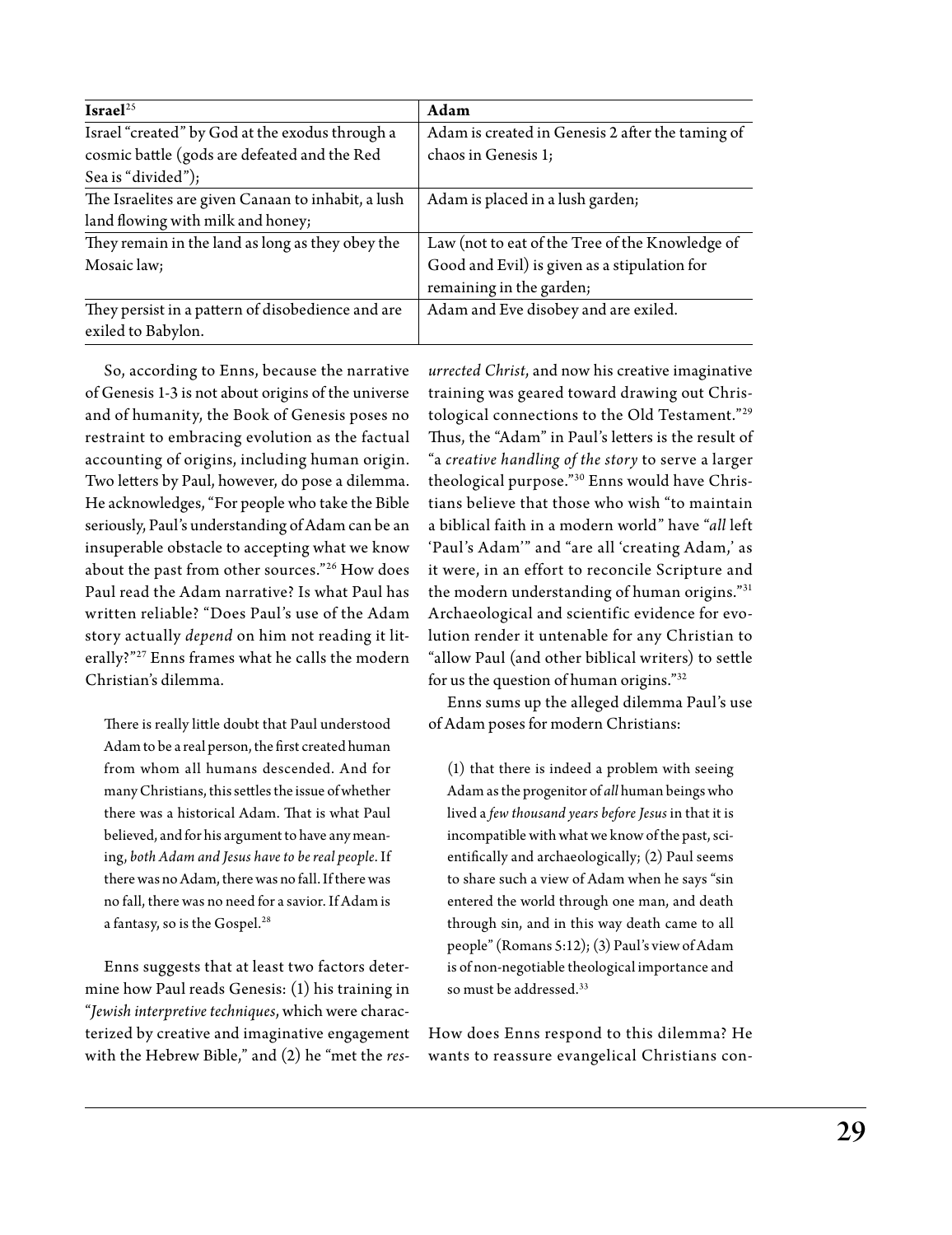| Israel $^{25}$                                     | Adam                                             |  |
|----------------------------------------------------|--------------------------------------------------|--|
| Israel "created" by God at the exodus through a    | Adam is created in Genesis 2 after the taming of |  |
| cosmic battle (gods are defeated and the Red       | chaos in Genesis 1;                              |  |
| Sea is "divided");                                 |                                                  |  |
| The Israelites are given Canaan to inhabit, a lush | Adam is placed in a lush garden;                 |  |
| land flowing with milk and honey;                  |                                                  |  |
| They remain in the land as long as they obey the   | Law (not to eat of the Tree of the Knowledge of  |  |
| Mosaic law;                                        | Good and Evil) is given as a stipulation for     |  |
|                                                    | remaining in the garden;                         |  |
| They persist in a pattern of disobedience and are  | Adam and Eve disobey and are exiled.             |  |
| exiled to Babylon.                                 |                                                  |  |

So, according to Enns, because the narrative of Genesis 1-3 is not about origins of the universe and of humanity, the Book of Genesis poses no restraint to embracing evolution as the factual accounting of origins, including human origin. Two letters by Paul, however, do pose a dilemma. He acknowledges, "For people who take the Bible seriously, Paul's understanding of Adam can be an insuperable obstacle to accepting what we know about the past from other sources."26 How does Paul read the Adam narrative? Is what Paul has written reliable? "Does Paul's use of the Adam story actually *depend* on him not reading it literally?"27 Enns frames what he calls the modern Christian's dilemma.

There is really little doubt that Paul understood Adam to be a real person, the first created human from whom all humans descended. And for many Christians, this settles the issue of whether there was a historical Adam. That is what Paul believed, and for his argument to have any meaning, *both Adam and Jesus have to be real people*. If there was no Adam, there was no fall. If there was no fall, there was no need for a savior. If Adam is a fantasy, so is the Gospel.<sup>28</sup>

Enns suggests that at least two factors determine how Paul reads Genesis: (1) his training in "*Jewish interpretive techniques*, which were characterized by creative and imaginative engagement with the Hebrew Bible," and (2) he "met the *res-*

*urrected Christ*, and now his creative imaginative training was geared toward drawing out Christological connections to the Old Testament."29 Thus, the "Adam" in Paul's letters is the result of "a *creative handling of the story* to serve a larger theological purpose."30 Enns would have Christians believe that those who wish "to maintain a biblical faith in a modern world" have "*all* left 'Paul's Adam'" and "are all 'creating Adam,' as it were, in an effort to reconcile Scripture and the modern understanding of human origins."31 Archaeological and scientific evidence for evolution render it untenable for any Christian to "allow Paul (and other biblical writers) to settle for us the question of human origins."32

Enns sums up the alleged dilemma Paul's use of Adam poses for modern Christians:

(1) that there is indeed a problem with seeing Adam as the progenitor of *all* human beings who lived a *few thousand years before Jesus* in that it is incompatible with what we know of the past, scientifically and archaeologically; (2) Paul seems to share such a view of Adam when he says "sin entered the world through one man, and death through sin, and in this way death came to all people" (Romans 5:12); (3) Paul's view of Adam is of non-negotiable theological importance and so must be addressed.<sup>33</sup>

How does Enns respond to this dilemma? He wants to reassure evangelical Christians con-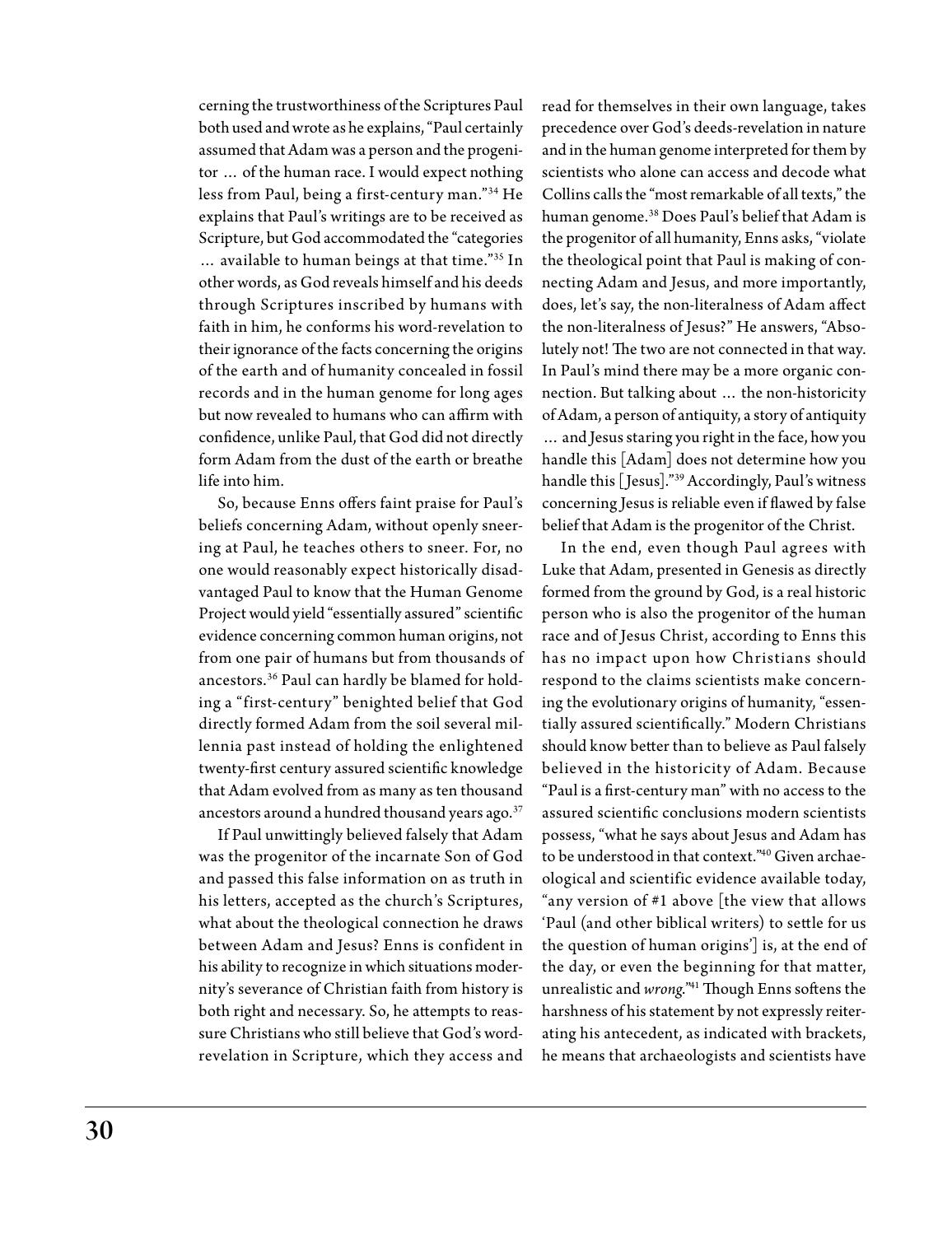cerning the trustworthiness of the Scriptures Paul both used and wrote as he explains, "Paul certainly assumed that Adam was a person and the progenitor … of the human race. I would expect nothing less from Paul, being a first-century man."34 He explains that Paul's writings are to be received as Scripture, but God accommodated the "categories … available to human beings at that time."35 In other words, as God reveals himself and his deeds through Scriptures inscribed by humans with faith in him, he conforms his word-revelation to their ignorance of the facts concerning the origins of the earth and of humanity concealed in fossil records and in the human genome for long ages but now revealed to humans who can affirm with confidence, unlike Paul, that God did not directly form Adam from the dust of the earth or breathe life into him.

So, because Enns offers faint praise for Paul's beliefs concerning Adam, without openly sneering at Paul, he teaches others to sneer. For, no one would reasonably expect historically disadvantaged Paul to know that the Human Genome Project would yield "essentially assured" scientific evidence concerning common human origins, not from one pair of humans but from thousands of ancestors.36 Paul can hardly be blamed for holding a "first-century" benighted belief that God directly formed Adam from the soil several millennia past instead of holding the enlightened twenty-first century assured scientific knowledge that Adam evolved from as many as ten thousand ancestors around a hundred thousand years ago.<sup>37</sup>

If Paul unwittingly believed falsely that Adam was the progenitor of the incarnate Son of God and passed this false information on as truth in his letters, accepted as the church's Scriptures, what about the theological connection he draws between Adam and Jesus? Enns is confident in his ability to recognize in which situations modernity's severance of Christian faith from history is both right and necessary. So, he attempts to reassure Christians who still believe that God's wordrevelation in Scripture, which they access and

read for themselves in their own language, takes precedence over God's deeds-revelation in nature and in the human genome interpreted for them by scientists who alone can access and decode what Collins calls the "most remarkable of all texts," the human genome.<sup>38</sup> Does Paul's belief that Adam is the progenitor of all humanity, Enns asks, "violate the theological point that Paul is making of connecting Adam and Jesus, and more importantly, does, let's say, the non-literalness of Adam affect the non-literalness of Jesus?" He answers, "Absolutely not! The two are not connected in that way. In Paul's mind there may be a more organic connection. But talking about … the non-historicity of Adam, a person of antiquity, a story of antiquity … and Jesus staring you right in the face, how you handle this [Adam] does not determine how you handle this [Jesus]."<sup>39</sup> Accordingly, Paul's witness concerning Jesus is reliable even if flawed by false belief that Adam is the progenitor of the Christ.

In the end, even though Paul agrees with Luke that Adam, presented in Genesis as directly formed from the ground by God, is a real historic person who is also the progenitor of the human race and of Jesus Christ, according to Enns this has no impact upon how Christians should respond to the claims scientists make concerning the evolutionary origins of humanity, "essentially assured scientifically." Modern Christians should know better than to believe as Paul falsely believed in the historicity of Adam. Because "Paul is a first-century man" with no access to the assured scientific conclusions modern scientists possess, "what he says about Jesus and Adam has to be understood in that context."40 Given archaeological and scientific evidence available today, "any version of #1 above [the view that allows 'Paul (and other biblical writers) to settle for us the question of human origins'] is, at the end of the day, or even the beginning for that matter, unrealistic and *wrong*."41 Though Enns softens the harshness of his statement by not expressly reiterating his antecedent, as indicated with brackets, he means that archaeologists and scientists have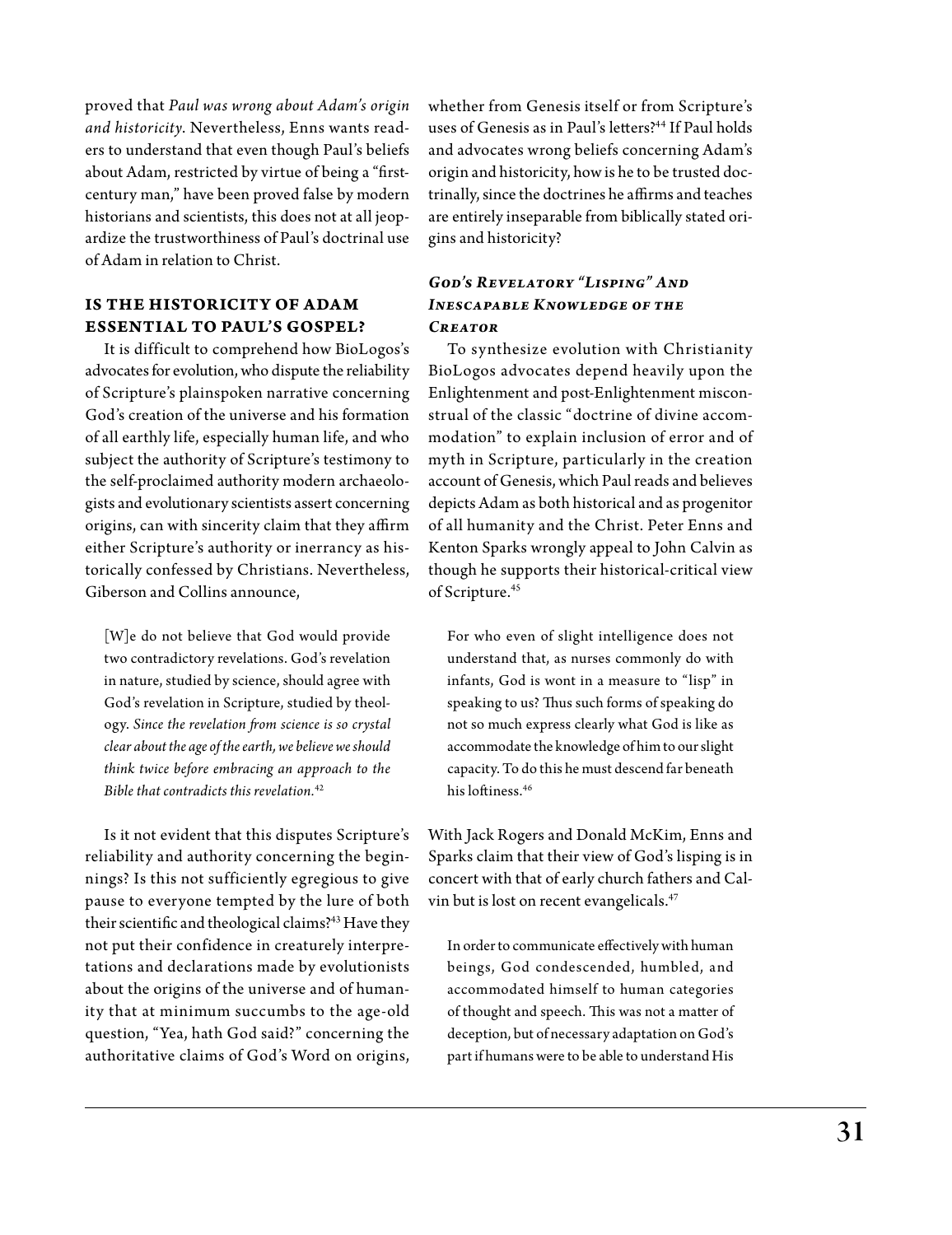proved that *Paul was wrong about Adam's origin and historicity*. Nevertheless, Enns wants readers to understand that even though Paul's beliefs about Adam, restricted by virtue of being a "firstcentury man," have been proved false by modern historians and scientists, this does not at all jeopardize the trustworthiness of Paul's doctrinal use of Adam in relation to Christ.

# **Is the Historicity of Adam Essential to Paul's Gospel?**

It is difficult to comprehend how BioLogos's advocates for evolution, who dispute the reliability of Scripture's plainspoken narrative concerning God's creation of the universe and his formation of all earthly life, especially human life, and who subject the authority of Scripture's testimony to the self-proclaimed authority modern archaeologists and evolutionary scientists assert concerning origins, can with sincerity claim that they affirm either Scripture's authority or inerrancy as historically confessed by Christians. Nevertheless, Giberson and Collins announce,

[W]e do not believe that God would provide two contradictory revelations. God's revelation in nature, studied by science, should agree with God's revelation in Scripture, studied by theology. *Since the revelation from science is so crystal clear about the age of the earth, we believe we should think twice before embracing an approach to the Bible that contradicts this revelation.*<sup>42</sup>

Is it not evident that this disputes Scripture's reliability and authority concerning the beginnings? Is this not sufficiently egregious to give pause to everyone tempted by the lure of both their scientific and theological claims?43 Have they not put their confidence in creaturely interpretations and declarations made by evolutionists about the origins of the universe and of humanity that at minimum succumbs to the age-old question, "Yea, hath God said?" concerning the authoritative claims of God's Word on origins,

whether from Genesis itself or from Scripture's uses of Genesis as in Paul's letters?<sup>44</sup> If Paul holds and advocates wrong beliefs concerning Adam's origin and historicity, how is he to be trusted doctrinally, since the doctrines he affirms and teaches are entirely inseparable from biblically stated origins and historicity?

# *God's Revelatory "Lisping" And Inescapable Knowledge of the Creator*

To synthesize evolution with Christianity BioLogos advocates depend heavily upon the Enlightenment and post-Enlightenment misconstrual of the classic "doctrine of divine accommodation" to explain inclusion of error and of myth in Scripture, particularly in the creation account of Genesis, which Paul reads and believes depicts Adam as both historical and as progenitor of all humanity and the Christ. Peter Enns and Kenton Sparks wrongly appeal to John Calvin as though he supports their historical-critical view of Scripture.<sup>45</sup>

For who even of slight intelligence does not understand that, as nurses commonly do with infants, God is wont in a measure to "lisp" in speaking to us? Thus such forms of speaking do not so much express clearly what God is like as accommodate the knowledge of him to our slight capacity. To do this he must descend far beneath his loftiness.<sup>46</sup>

With Jack Rogers and Donald McKim, Enns and Sparks claim that their view of God's lisping is in concert with that of early church fathers and Calvin but is lost on recent evangelicals.<sup>47</sup>

In order to communicate effectively with human beings, God condescended, humbled, and accommodated himself to human categories of thought and speech. This was not a matter of deception, but of necessary adaptation on God's part if humans were to be able to understand His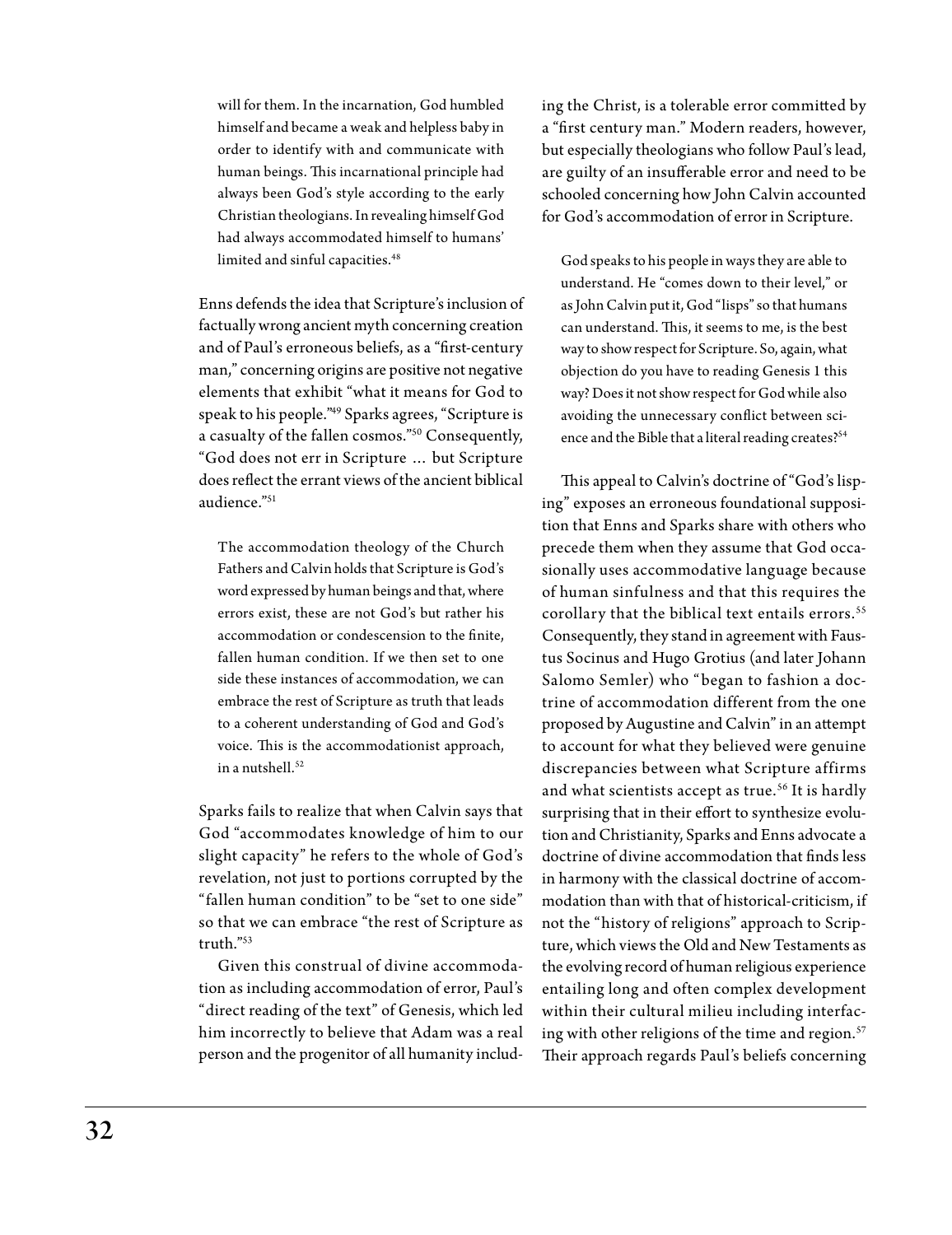will for them. In the incarnation, God humbled himself and became a weak and helpless baby in order to identify with and communicate with human beings. This incarnational principle had always been God's style according to the early Christian theologians. In revealing himself God had always accommodated himself to humans' limited and sinful capacities.<sup>48</sup>

Enns defends the idea that Scripture's inclusion of factually wrong ancient myth concerning creation and of Paul's erroneous beliefs, as a "first-century man," concerning origins are positive not negative elements that exhibit "what it means for God to speak to his people."49 Sparks agrees, "Scripture is a casualty of the fallen cosmos."50 Consequently, "God does not err in Scripture … but Scripture does reflect the errant views of the ancient biblical audience."51

The accommodation theology of the Church Fathers and Calvin holds that Scripture is God's word expressed by human beings and that, where errors exist, these are not God's but rather his accommodation or condescension to the finite, fallen human condition. If we then set to one side these instances of accommodation, we can embrace the rest of Scripture as truth that leads to a coherent understanding of God and God's voice. This is the accommodationist approach, in a nutshell.<sup>52</sup>

Sparks fails to realize that when Calvin says that God "accommodates knowledge of him to our slight capacity" he refers to the whole of God's revelation, not just to portions corrupted by the "fallen human condition" to be "set to one side" so that we can embrace "the rest of Scripture as truth."53

Given this construal of divine accommodation as including accommodation of error, Paul's "direct reading of the text" of Genesis, which led him incorrectly to believe that Adam was a real person and the progenitor of all humanity including the Christ, is a tolerable error committed by a "first century man." Modern readers, however, but especially theologians who follow Paul's lead, are guilty of an insufferable error and need to be schooled concerning how John Calvin accounted for God's accommodation of error in Scripture.

God speaks to his people in ways they are able to understand. He "comes down to their level," or as John Calvin put it, God "lisps" so that humans can understand. This, it seems to me, is the best way to show respect for Scripture. So, again, what objection do you have to reading Genesis 1 this way? Does it not show respect for God while also avoiding the unnecessary conflict between science and the Bible that a literal reading creates?<sup>54</sup>

This appeal to Calvin's doctrine of "God's lisping" exposes an erroneous foundational supposition that Enns and Sparks share with others who precede them when they assume that God occasionally uses accommodative language because of human sinfulness and that this requires the corollary that the biblical text entails errors.<sup>55</sup> Consequently, they stand in agreement with Faustus Socinus and Hugo Grotius (and later Johann Salomo Semler) who "began to fashion a doctrine of accommodation different from the one proposed by Augustine and Calvin" in an attempt to account for what they believed were genuine discrepancies between what Scripture affirms and what scientists accept as true.<sup>56</sup> It is hardly surprising that in their effort to synthesize evolution and Christianity, Sparks and Enns advocate a doctrine of divine accommodation that finds less in harmony with the classical doctrine of accommodation than with that of historical-criticism, if not the "history of religions" approach to Scripture, which views the Old and New Testaments as the evolving record of human religious experience entailing long and often complex development within their cultural milieu including interfacing with other religions of the time and region.<sup>57</sup> Their approach regards Paul's beliefs concerning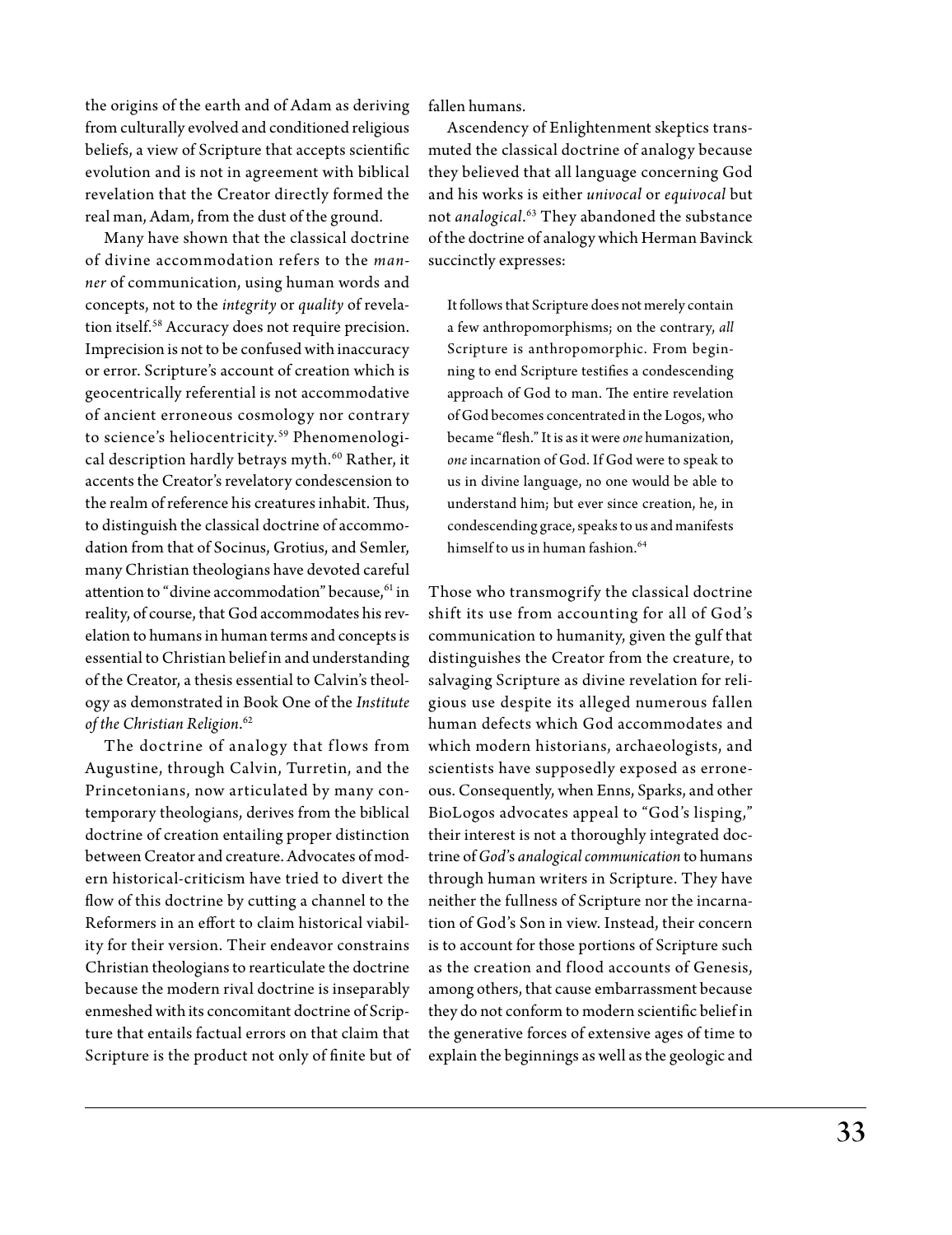the origins of the earth and of Adam as deriving from culturally evolved and conditioned religious beliefs, a view of Scripture that accepts scientific evolution and is not in agreement with biblical revelation that the Creator directly formed the real man, Adam, from the dust of the ground.

Many have shown that the classical doctrine of divine accommodation refers to the *manner* of communication, using human words and concepts, not to the *integrity* or *quality* of revelation itself.<sup>58</sup> Accuracy does not require precision. Imprecision is not to be confused with inaccuracy or error. Scripture's account of creation which is geocentrically referential is not accommodative of ancient erroneous cosmology nor contrary to science's heliocentricity.<sup>59</sup> Phenomenological description hardly betrays myth.<sup>60</sup> Rather, it accents the Creator's revelatory condescension to the realm of reference his creatures inhabit. Thus, to distinguish the classical doctrine of accommodation from that of Socinus, Grotius, and Semler, many Christian theologians have devoted careful attention to "divine accommodation" because, $61$  in reality, of course, that God accommodates his revelation to humans in human terms and concepts is essential to Christian belief in and understanding of the Creator, a thesis essential to Calvin's theology as demonstrated in Book One of the *Institute of the Christian Religion*. 62

The doctrine of analogy that flows from Augustine, through Calvin, Turretin, and the Princetonians, now articulated by many contemporary theologians, derives from the biblical doctrine of creation entailing proper distinction between Creator and creature. Advocates of modern historical-criticism have tried to divert the flow of this doctrine by cutting a channel to the Reformers in an effort to claim historical viability for their version. Their endeavor constrains Christian theologians to rearticulate the doctrine because the modern rival doctrine is inseparably enmeshed with its concomitant doctrine of Scripture that entails factual errors on that claim that Scripture is the product not only of finite but of fallen humans.

Ascendency of Enlightenment skeptics transmuted the classical doctrine of analogy because they believed that all language concerning God and his works is either *univocal* or *equivocal* but not *analogical*. 63 They abandoned the substance of the doctrine of analogy which Herman Bavinck succinctly expresses:

It follows that Scripture does not merely contain a few anthropomorphisms; on the contrary, *all*  Scripture is anthropomorphic. From beginning to end Scripture testifies a condescending approach of God to man. The entire revelation of God becomes concentrated in the Logos, who became "flesh." It is as it were *one* humanization, *one* incarnation of God. If God were to speak to us in divine language, no one would be able to understand him; but ever since creation, he, in condescending grace, speaks to us and manifests himself to us in human fashion.<sup>64</sup>

Those who transmogrify the classical doctrine shift its use from accounting for all of God's communication to humanity, given the gulf that distinguishes the Creator from the creature, to salvaging Scripture as divine revelation for religious use despite its alleged numerous fallen human defects which God accommodates and which modern historians, archaeologists, and scientists have supposedly exposed as erroneous. Consequently, when Enns, Sparks, and other BioLogos advocates appeal to "God's lisping," their interest is not a thoroughly integrated doctrine of *God*'s *analogical communication* to humans through human writers in Scripture. They have neither the fullness of Scripture nor the incarnation of God's Son in view. Instead, their concern is to account for those portions of Scripture such as the creation and flood accounts of Genesis, among others, that cause embarrassment because they do not conform to modern scientific belief in the generative forces of extensive ages of time to explain the beginnings as well as the geologic and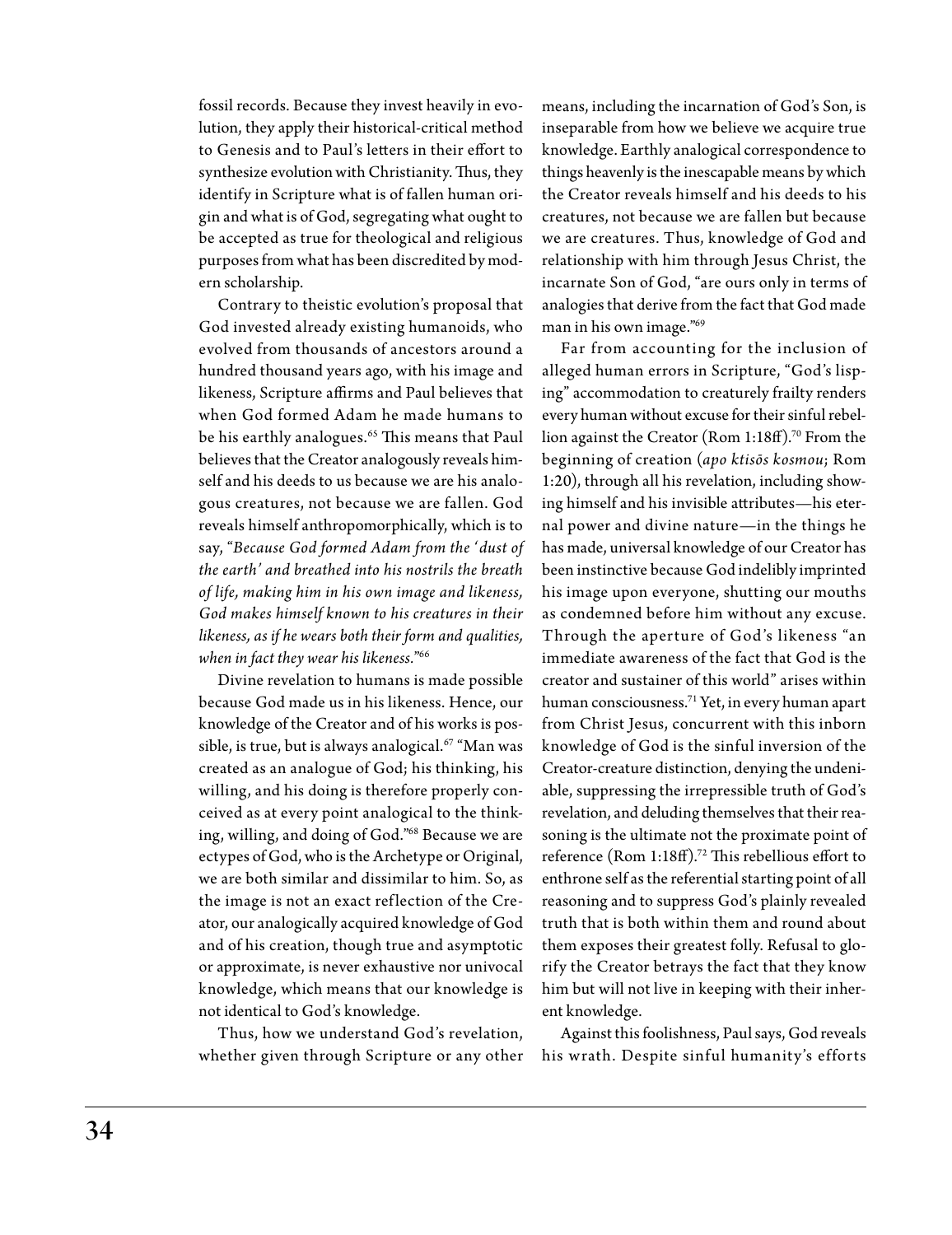fossil records. Because they invest heavily in evolution, they apply their historical-critical method to Genesis and to Paul's letters in their effort to synthesize evolution with Christianity. Thus, they identify in Scripture what is of fallen human origin and what is of God, segregating what ought to be accepted as true for theological and religious purposes from what has been discredited by modern scholarship.

Contrary to theistic evolution's proposal that God invested already existing humanoids, who evolved from thousands of ancestors around a hundred thousand years ago, with his image and likeness, Scripture affirms and Paul believes that when God formed Adam he made humans to be his earthly analogues.<sup>65</sup> This means that Paul believes that the Creator analogously reveals himself and his deeds to us because we are his analogous creatures, not because we are fallen. God reveals himself anthropomorphically, which is to say, "*Because God formed Adam from the 'dust of the earth' and breathed into his nostrils the breath of life, making him in his own image and likeness, God makes himself known to his creatures in their likeness, as if he wears both their form and qualities, when in fact they wear his likeness.*" 66

Divine revelation to humans is made possible because God made us in his likeness. Hence, our knowledge of the Creator and of his works is possible, is true, but is always analogical. $67$  "Man was created as an analogue of God; his thinking, his willing, and his doing is therefore properly conceived as at every point analogical to the thinking, willing, and doing of God."68 Because we are ectypes of God, who is the Archetype or Original, we are both similar and dissimilar to him. So, as the image is not an exact reflection of the Creator, our analogically acquired knowledge of God and of his creation, though true and asymptotic or approximate, is never exhaustive nor univocal knowledge, which means that our knowledge is not identical to God's knowledge.

Thus, how we understand God's revelation, whether given through Scripture or any other means, including the incarnation of God's Son, is inseparable from how we believe we acquire true knowledge. Earthly analogical correspondence to things heavenly is the inescapable means by which the Creator reveals himself and his deeds to his creatures, not because we are fallen but because we are creatures. Thus, knowledge of God and relationship with him through Jesus Christ, the incarnate Son of God, "are ours only in terms of analogies that derive from the fact that God made man in his own image."69

Far from accounting for the inclusion of alleged human errors in Scripture, "God's lisping" accommodation to creaturely frailty renders every human without excuse for their sinful rebellion against the Creator (Rom 1:18ff).<sup>70</sup> From the beginning of creation (*apo ktisōs kosmou*; Rom 1:20), through all his revelation, including showing himself and his invisible attributes—his eternal power and divine nature—in the things he has made, universal knowledge of our Creator has been instinctive because God indelibly imprinted his image upon everyone, shutting our mouths as condemned before him without any excuse. Through the aperture of God 's likeness "an immediate awareness of the fact that God is the creator and sustainer of this world" arises within human consciousness.71 Yet, in every human apart from Christ Jesus, concurrent with this inborn knowledge of God is the sinful inversion of the Creator-creature distinction, denying the undeniable, suppressing the irrepressible truth of God's revelation, and deluding themselves that their reasoning is the ultimate not the proximate point of reference (Rom 1:18ff).<sup>72</sup> This rebellious effort to enthrone self as the referential starting point of all reasoning and to suppress God's plainly revealed truth that is both within them and round about them exposes their greatest folly. Refusal to glorify the Creator betrays the fact that they know him but will not live in keeping with their inherent knowledge.

Against this foolishness, Paul says, God reveals his wrath. Despite sinful humanity's efforts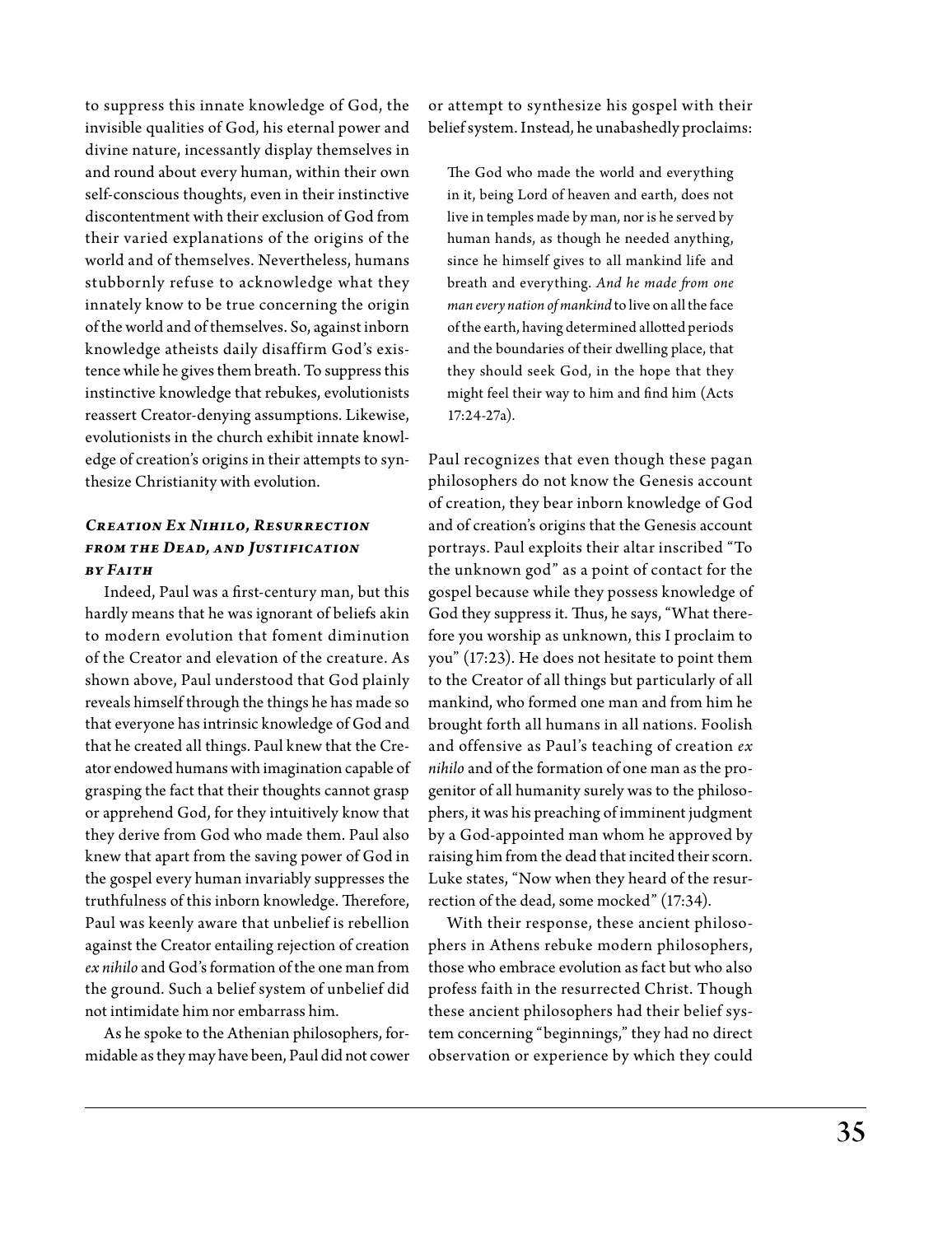to suppress this innate knowledge of God, the invisible qualities of God, his eternal power and divine nature, incessantly display themselves in and round about every human, within their own self-conscious thoughts, even in their instinctive discontentment with their exclusion of God from their varied explanations of the origins of the world and of themselves. Nevertheless, humans stubbornly refuse to acknowledge what they innately know to be true concerning the origin of the world and of themselves. So, against inborn knowledge atheists daily disaffirm God's existence while he gives them breath. To suppress this instinctive knowledge that rebukes, evolutionists reassert Creator-denying assumptions. Likewise, evolutionists in the church exhibit innate knowledge of creation's origins in their attempts to synthesize Christianity with evolution.

## *Creation Ex Nihilo, Resurrection from the Dead, and Justification by Faith*

Indeed, Paul was a first-century man, but this hardly means that he was ignorant of beliefs akin to modern evolution that foment diminution of the Creator and elevation of the creature. As shown above, Paul understood that God plainly reveals himself through the things he has made so that everyone has intrinsic knowledge of God and that he created all things. Paul knew that the Creator endowed humans with imagination capable of grasping the fact that their thoughts cannot grasp or apprehend God, for they intuitively know that they derive from God who made them. Paul also knew that apart from the saving power of God in the gospel every human invariably suppresses the truthfulness of this inborn knowledge. Therefore, Paul was keenly aware that unbelief is rebellion against the Creator entailing rejection of creation *ex nihilo* and God's formation of the one man from the ground. Such a belief system of unbelief did not intimidate him nor embarrass him.

As he spoke to the Athenian philosophers, formidable as they may have been, Paul did not cower or attempt to synthesize his gospel with their belief system. Instead, he unabashedly proclaims:

The God who made the world and everything in it, being Lord of heaven and earth, does not live in temples made by man, nor is he served by human hands, as though he needed anything, since he himself gives to all mankind life and breath and everything. *And he made from one man every nation of mankind* to live on all the face of the earth, having determined allotted periods and the boundaries of their dwelling place, that they should seek God, in the hope that they might feel their way to him and find him (Acts 17:24-27a).

Paul recognizes that even though these pagan philosophers do not know the Genesis account of creation, they bear inborn knowledge of God and of creation's origins that the Genesis account portrays. Paul exploits their altar inscribed "To the unknown god" as a point of contact for the gospel because while they possess knowledge of God they suppress it. Thus, he says, "What therefore you worship as unknown, this I proclaim to you" (17:23). He does not hesitate to point them to the Creator of all things but particularly of all mankind, who formed one man and from him he brought forth all humans in all nations. Foolish and offensive as Paul's teaching of creation *ex nihilo* and of the formation of one man as the progenitor of all humanity surely was to the philosophers, it was his preaching of imminent judgment by a God-appointed man whom he approved by raising him from the dead that incited their scorn. Luke states, "Now when they heard of the resurrection of the dead, some mocked" (17:34).

With their response, these ancient philosophers in Athens rebuke modern philosophers, those who embrace evolution as fact but who also profess faith in the resurrected Christ. Though these ancient philosophers had their belief system concerning "beginnings," they had no direct observation or experience by which they could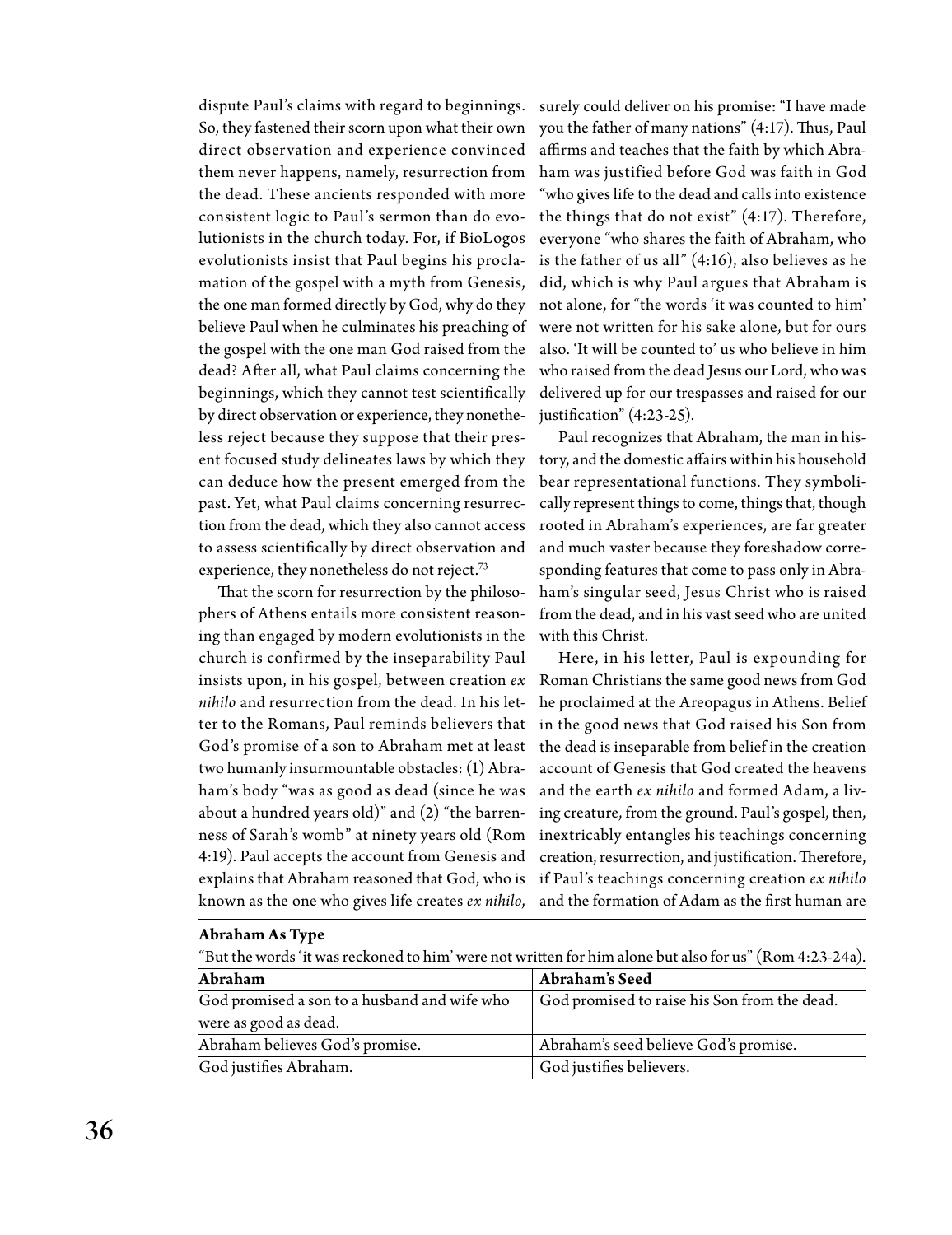dispute Paul's claims with regard to beginnings. So, they fastened their scorn upon what their own direct observation and experience convinced them never happens, namely, resurrection from the dead. These ancients responded with more consistent logic to Paul's sermon than do evolutionists in the church today. For, if BioLogos evolutionists insist that Paul begins his proclamation of the gospel with a myth from Genesis, the one man formed directly by God, why do they believe Paul when he culminates his preaching of the gospel with the one man God raised from the dead? After all, what Paul claims concerning the beginnings, which they cannot test scientifically by direct observation or experience, they nonetheless reject because they suppose that their present focused study delineates laws by which they can deduce how the present emerged from the past. Yet, what Paul claims concerning resurrection from the dead, which they also cannot access to assess scientifically by direct observation and experience, they nonetheless do not reject.<sup>73</sup>

That the scorn for resurrection by the philosophers of Athens entails more consistent reasoning than engaged by modern evolutionists in the church is confirmed by the inseparability Paul insists upon, in his gospel, between creation *ex nihilo* and resurrection from the dead. In his letter to the Romans, Paul reminds believers that God's promise of a son to Abraham met at least two humanly insurmountable obstacles: (1) Abraham's body "was as good as dead (since he was about a hundred years old)" and (2) "the barrenness of Sarah's womb" at ninety years old (Rom 4:19). Paul accepts the account from Genesis and explains that Abraham reasoned that God, who is known as the one who gives life creates *ex nihilo*,

surely could deliver on his promise: "I have made you the father of many nations" (4:17). Thus, Paul affirms and teaches that the faith by which Abraham was justified before God was faith in God "who gives life to the dead and calls into existence the things that do not exist" (4:17). Therefore, everyone "who shares the faith of Abraham, who is the father of us all" (4:16), also believes as he did, which is why Paul argues that Abraham is not alone, for "the words 'it was counted to him' were not written for his sake alone, but for ours also. 'It will be counted to' us who believe in him who raised from the dead Jesus our Lord, who was delivered up for our trespasses and raised for our justification" (4:23-25).

Paul recognizes that Abraham, the man in history, and the domestic affairs within his household bear representational functions. They symbolically represent things to come, things that, though rooted in Abraham's experiences, are far greater and much vaster because they foreshadow corresponding features that come to pass only in Abraham's singular seed, Jesus Christ who is raised from the dead, and in his vast seed who are united with this Christ.

Here, in his letter, Paul is expounding for Roman Christians the same good news from God he proclaimed at the Areopagus in Athens. Belief in the good news that God raised his Son from the dead is inseparable from belief in the creation account of Genesis that God created the heavens and the earth *ex nihilo* and formed Adam, a living creature, from the ground. Paul's gospel, then, inextricably entangles his teachings concerning creation, resurrection, and justification. Therefore, if Paul's teachings concerning creation *ex nihilo* and the formation of Adam as the first human are

#### **Abraham As Type**

| "But the words 'it was reckoned to him' were not written for him alone but also for us" (Rom 4:23-24a). |  |  |  |  |
|---------------------------------------------------------------------------------------------------------|--|--|--|--|
|---------------------------------------------------------------------------------------------------------|--|--|--|--|

| Abraham's Seed                               |
|----------------------------------------------|
| God promised to raise his Son from the dead. |
|                                              |
| Abraham's seed believe God's promise.        |
| God justifies believers.                     |
|                                              |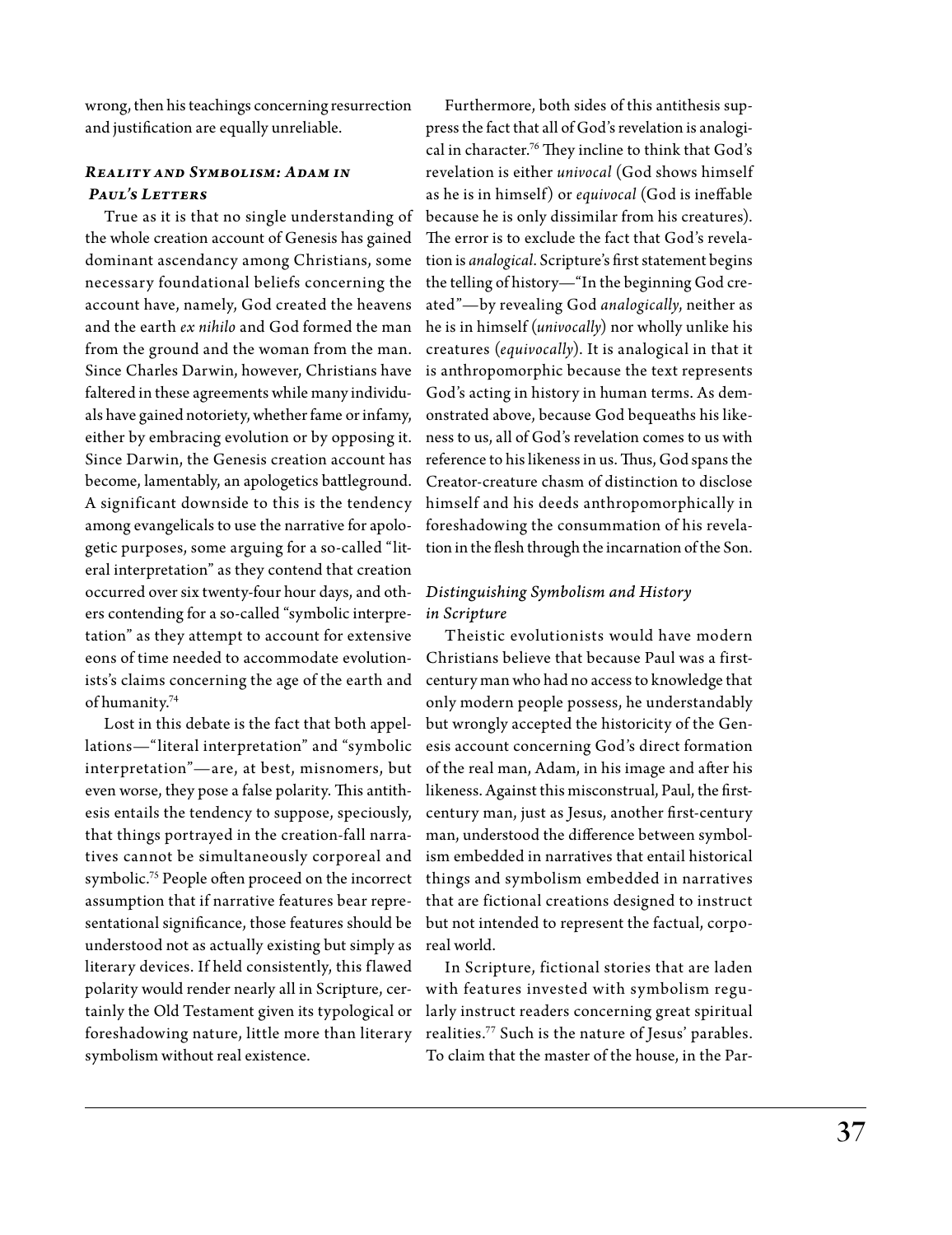wrong, then his teachings concerning resurrection and justification are equally unreliable.

# *Reality and Symbolism: Adam in Paul's Letters*

True as it is that no single understanding of the whole creation account of Genesis has gained dominant ascendancy among Christians, some necessary foundational beliefs concerning the account have, namely, God created the heavens and the earth *ex nihilo* and God formed the man from the ground and the woman from the man. Since Charles Darwin, however, Christians have faltered in these agreements while many individuals have gained notoriety, whether fame or infamy, either by embracing evolution or by opposing it. Since Darwin, the Genesis creation account has become, lamentably, an apologetics battleground. A significant downside to this is the tendency among evangelicals to use the narrative for apologetic purposes, some arguing for a so-called "literal interpretation" as they contend that creation occurred over six twenty-four hour days, and others contending for a so-called "symbolic interpretation" as they attempt to account for extensive eons of time needed to accommodate evolutionists's claims concerning the age of the earth and of humanity.74

Lost in this debate is the fact that both appellations—"literal interpretation" and "symbolic interpretation"—are, at best, misnomers, but even worse, they pose a false polarity. This antithesis entails the tendency to suppose, speciously, that things portrayed in the creation-fall narratives cannot be simultaneously corporeal and symbolic.75 People often proceed on the incorrect assumption that if narrative features bear representational significance, those features should be understood not as actually existing but simply as literary devices. If held consistently, this flawed polarity would render nearly all in Scripture, certainly the Old Testament given its typological or foreshadowing nature, little more than literary symbolism without real existence.

Furthermore, both sides of this antithesis suppress the fact that all of God's revelation is analogical in character.76 They incline to think that God's revelation is either *univocal* (God shows himself as he is in himself) or *equivocal* (God is ineffable because he is only dissimilar from his creatures). The error is to exclude the fact that God's revelation is *analogical*. Scripture's first statement begins the telling of history—"In the beginning God created"—by revealing God *analogically*, neither as he is in himself (*univocally*) nor wholly unlike his creatures (*equivocally*). It is analogical in that it is anthropomorphic because the text represents God's acting in history in human terms. As demonstrated above, because God bequeaths his likeness to us, all of God's revelation comes to us with reference to his likeness in us. Thus, God spans the Creator-creature chasm of distinction to disclose himself and his deeds anthropomorphically in foreshadowing the consummation of his revelation in the flesh through the incarnation of the Son.

## *Distinguishing Symbolism and History in Scripture*

Theistic evolutionists would have modern Christians believe that because Paul was a firstcentury man who had no access to knowledge that only modern people possess, he understandably but wrongly accepted the historicity of the Genesis account concerning God's direct formation of the real man, Adam, in his image and after his likeness. Against this misconstrual, Paul, the firstcentury man, just as Jesus, another first-century man, understood the difference between symbolism embedded in narratives that entail historical things and symbolism embedded in narratives that are fictional creations designed to instruct but not intended to represent the factual, corporeal world.

In Scripture, fictional stories that are laden with features invested with symbolism regularly instruct readers concerning great spiritual realities.77 Such is the nature of Jesus' parables. To claim that the master of the house, in the Par-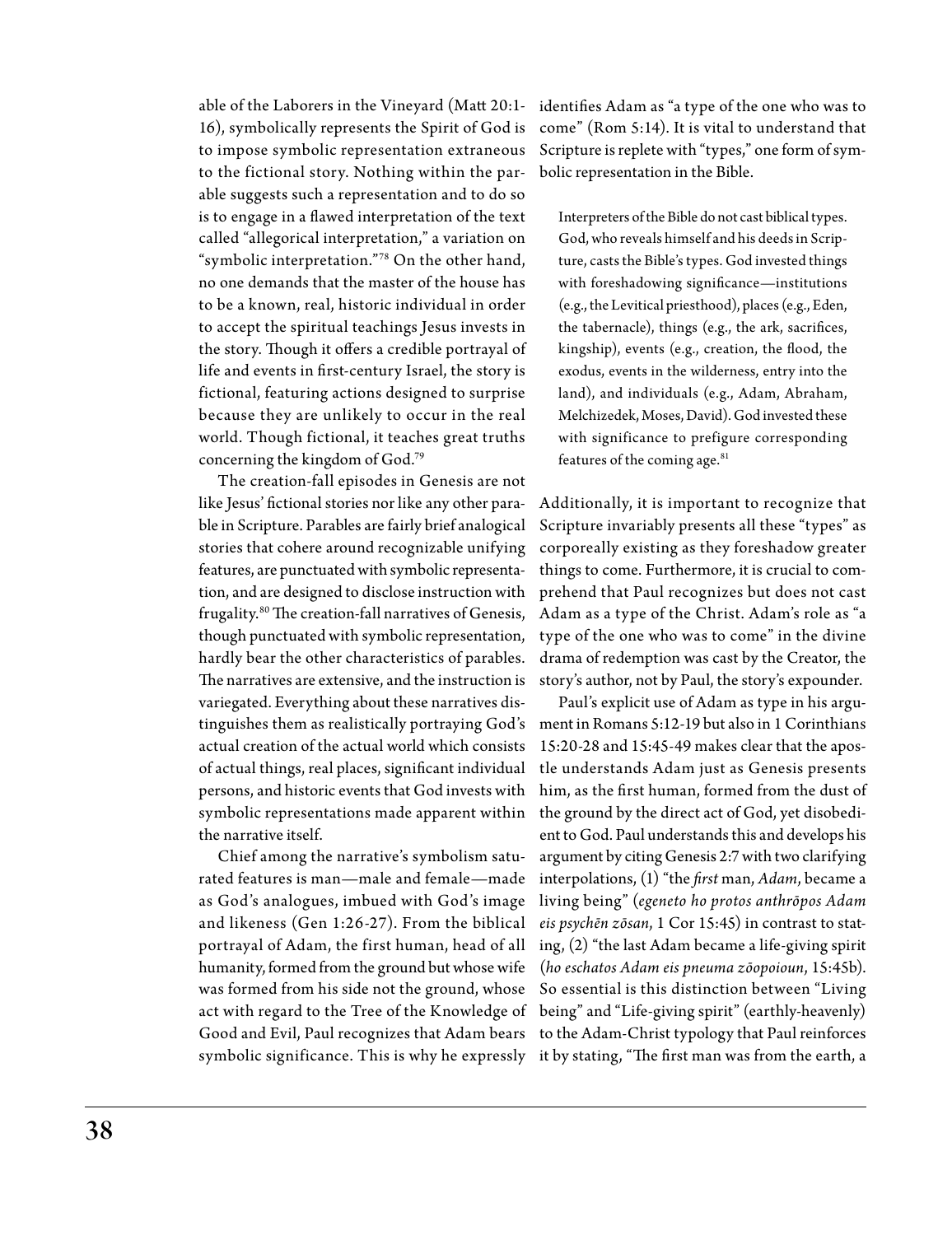able of the Laborers in the Vineyard (Matt 20:1- 16), symbolically represents the Spirit of God is to impose symbolic representation extraneous to the fictional story. Nothing within the parable suggests such a representation and to do so is to engage in a flawed interpretation of the text called "allegorical interpretation," a variation on "symbolic interpretation."78 On the other hand, no one demands that the master of the house has to be a known, real, historic individual in order to accept the spiritual teachings Jesus invests in the story. Though it offers a credible portrayal of life and events in first-century Israel, the story is fictional, featuring actions designed to surprise because they are unlikely to occur in the real world. Though fictional, it teaches great truths concerning the kingdom of God.79

The creation-fall episodes in Genesis are not like Jesus' fictional stories nor like any other parable in Scripture. Parables are fairly brief analogical stories that cohere around recognizable unifying features, are punctuated with symbolic representation, and are designed to disclose instruction with frugality.80 The creation-fall narratives of Genesis, though punctuated with symbolic representation, hardly bear the other characteristics of parables. The narratives are extensive, and the instruction is variegated. Everything about these narratives distinguishes them as realistically portraying God's actual creation of the actual world which consists of actual things, real places, significant individual persons, and historic events that God invests with symbolic representations made apparent within the narrative itself.

Chief among the narrative's symbolism saturated features is man—male and female—made as God's analogues, imbued with God's image and likeness (Gen 1:26-27). From the biblical portrayal of Adam, the first human, head of all humanity, formed from the ground but whose wife was formed from his side not the ground, whose act with regard to the Tree of the Knowledge of Good and Evil, Paul recognizes that Adam bears symbolic significance. This is why he expressly

identifies Adam as "a type of the one who was to come" (Rom 5:14). It is vital to understand that Scripture is replete with "types," one form of symbolic representation in the Bible.

Interpreters of the Bible do not cast biblical types. God, who reveals himself and his deeds in Scripture, casts the Bible's types. God invested things with foreshadowing significance—institutions (e.g., the Levitical priesthood), places (e.g., Eden, the tabernacle), things (e.g., the ark, sacrifices, kingship), events (e.g., creation, the flood, the exodus, events in the wilderness, entry into the land), and individuals (e.g., Adam, Abraham, Melchizedek, Moses, David). God invested these with significance to prefigure corresponding features of the coming age.<sup>81</sup>

Additionally, it is important to recognize that Scripture invariably presents all these "types" as corporeally existing as they foreshadow greater things to come. Furthermore, it is crucial to comprehend that Paul recognizes but does not cast Adam as a type of the Christ. Adam's role as "a type of the one who was to come" in the divine drama of redemption was cast by the Creator, the story's author, not by Paul, the story's expounder.

Paul's explicit use of Adam as type in his argument in Romans 5:12-19 but also in 1 Corinthians 15:20-28 and 15:45-49 makes clear that the apostle understands Adam just as Genesis presents him, as the first human, formed from the dust of the ground by the direct act of God, yet disobedient to God. Paul understands this and develops his argument by citing Genesis 2:7 with two clarifying interpolations, (1) "the *first* man, *Adam*, became a living being" (*egeneto ho protos anthrōpos Adam eis psychēn zōsan*, 1 Cor 15:45) in contrast to stating, (2) "the last Adam became a life-giving spirit (*ho eschatos Adam eis pneuma zōopoioun*, 15:45b). So essential is this distinction between "Living being" and "Life-giving spirit" (earthly-heavenly) to the Adam-Christ typology that Paul reinforces it by stating, "The first man was from the earth, a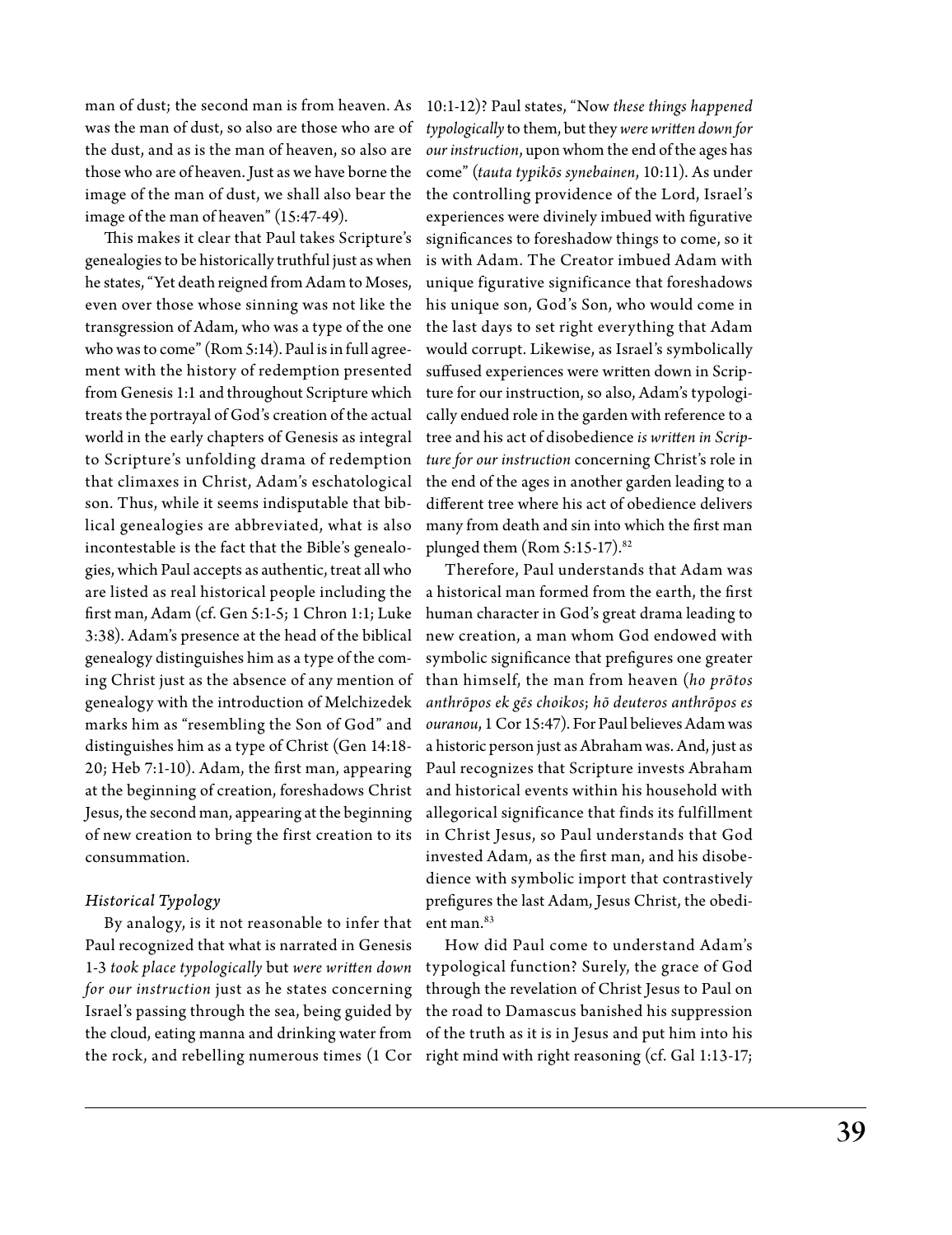man of dust; the second man is from heaven. As was the man of dust, so also are those who are of the dust, and as is the man of heaven, so also are those who are of heaven. Just as we have borne the image of the man of dust, we shall also bear the image of the man of heaven" (15:47-49).

This makes it clear that Paul takes Scripture's genealogies to be historically truthful just as when he states, "Yet death reigned from Adam to Moses, even over those whose sinning was not like the transgression of Adam, who was a type of the one who was to come" (Rom 5:14). Paul is in full agreement with the history of redemption presented from Genesis 1:1 and throughout Scripture which treats the portrayal of God's creation of the actual world in the early chapters of Genesis as integral to Scripture's unfolding drama of redemption that climaxes in Christ, Adam's eschatological son. Thus, while it seems indisputable that biblical genealogies are abbreviated, what is also incontestable is the fact that the Bible's genealogies, which Paul accepts as authentic, treat all who are listed as real historical people including the first man, Adam (cf. Gen 5:1-5; 1 Chron 1:1; Luke 3:38). Adam's presence at the head of the biblical genealogy distinguishes him as a type of the coming Christ just as the absence of any mention of genealogy with the introduction of Melchizedek marks him as "resembling the Son of God" and distinguishes him as a type of Christ (Gen 14:18- 20; Heb 7:1-10). Adam, the first man, appearing at the beginning of creation, foreshadows Christ Jesus, the second man, appearing at the beginning of new creation to bring the first creation to its consummation.

#### *Historical Typology*

By analogy, is it not reasonable to infer that Paul recognized that what is narrated in Genesis 1-3 *took place typologically* but *were written down for our instruction* just as he states concerning Israel's passing through the sea, being guided by the cloud, eating manna and drinking water from the rock, and rebelling numerous times (1 Cor

10:1-12)? Paul states, "Now *these things happened typologically* to them, but they *were written down for our instruction*, upon whom the end of the ages has come" (*tauta typikōs synebainen*, 10:11). As under the controlling providence of the Lord, Israel's experiences were divinely imbued with figurative significances to foreshadow things to come, so it is with Adam. The Creator imbued Adam with unique figurative significance that foreshadows his unique son, God's Son, who would come in the last days to set right everything that Adam would corrupt. Likewise, as Israel's symbolically suffused experiences were written down in Scripture for our instruction, so also, Adam's typologically endued role in the garden with reference to a tree and his act of disobedience *is written in Scripture for our instruction* concerning Christ's role in the end of the ages in another garden leading to a different tree where his act of obedience delivers many from death and sin into which the first man plunged them (Rom 5:15-17).<sup>82</sup>

Therefore, Paul understands that Adam was a historical man formed from the earth, the first human character in God's great drama leading to new creation, a man whom God endowed with symbolic significance that prefigures one greater than himself, the man from heaven (*ho prōtos anthrōpos ek gēs choikos*; *hō deuteros anthrōpos es ouranou*, 1 Cor 15:47). For Paul believes Adam was a historic person just as Abraham was. And, just as Paul recognizes that Scripture invests Abraham and historical events within his household with allegorical significance that finds its fulfillment in Christ Jesus, so Paul understands that God invested Adam, as the first man, and his disobedience with symbolic import that contrastively prefigures the last Adam, Jesus Christ, the obedient man.<sup>83</sup>

How did Paul come to understand Adam's typological function? Surely, the grace of God through the revelation of Christ Jesus to Paul on the road to Damascus banished his suppression of the truth as it is in Jesus and put him into his right mind with right reasoning (cf. Gal 1:13-17;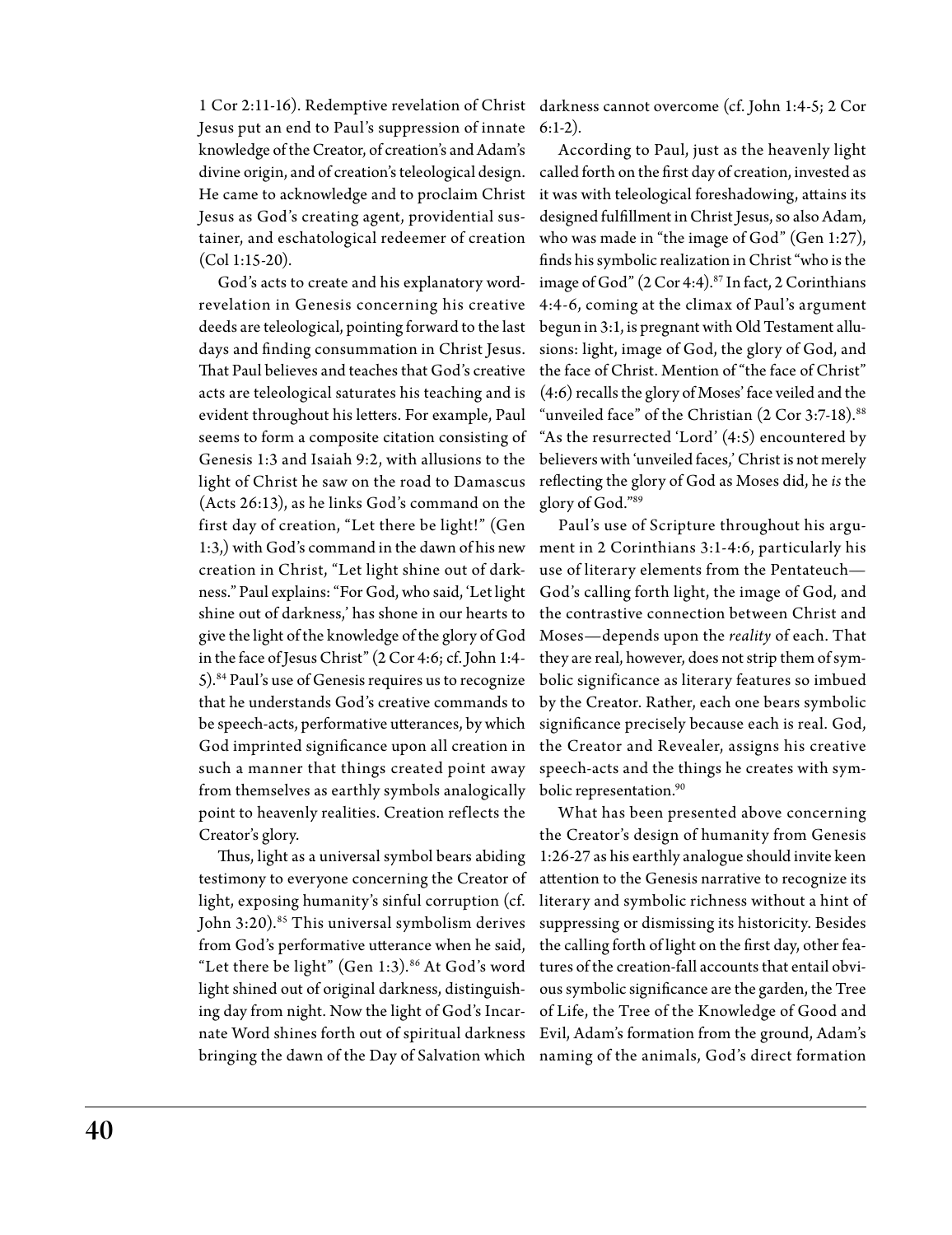Jesus put an end to Paul's suppression of innate 6:1-2). knowledge of the Creator, of creation's and Adam's divine origin, and of creation's teleological design. He came to acknowledge and to proclaim Christ Jesus as God's creating agent, providential sustainer, and eschatological redeemer of creation (Col 1:15-20).

God's acts to create and his explanatory wordrevelation in Genesis concerning his creative deeds are teleological, pointing forward to the last days and finding consummation in Christ Jesus. That Paul believes and teaches that God's creative acts are teleological saturates his teaching and is evident throughout his letters. For example, Paul seems to form a composite citation consisting of Genesis 1:3 and Isaiah 9:2, with allusions to the light of Christ he saw on the road to Damascus (Acts 26:13), as he links God's command on the first day of creation, "Let there be light!" (Gen 1:3,) with God's command in the dawn of his new creation in Christ, "Let light shine out of darkness." Paul explains: "For God, who said, 'Let light shine out of darkness,' has shone in our hearts to give the light of the knowledge of the glory of God in the face of Jesus Christ" (2 Cor 4:6; cf. John 1:4- 5).84 Paul's use of Genesis requires us to recognize that he understands God's creative commands to be speech-acts, performative utterances, by which God imprinted significance upon all creation in such a manner that things created point away from themselves as earthly symbols analogically point to heavenly realities. Creation reflects the Creator's glory.

Thus, light as a universal symbol bears abiding testimony to everyone concerning the Creator of light, exposing humanity's sinful corruption (cf. John 3:20).<sup>85</sup> This universal symbolism derives from God's performative utterance when he said, "Let there be light" (Gen 1:3).<sup>86</sup> At God's word light shined out of original darkness, distinguishing day from night. Now the light of God's Incarnate Word shines forth out of spiritual darkness

1 Cor 2:11-16). Redemptive revelation of Christ darkness cannot overcome (cf. John 1:4-5; 2 Cor

According to Paul, just as the heavenly light called forth on the first day of creation, invested as it was with teleological foreshadowing, attains its designed fulfillment in Christ Jesus, so also Adam, who was made in "the image of God" (Gen 1:27), finds his symbolic realization in Christ "who is the image of God"  $(2 Cor 4:4).$ <sup>87</sup> In fact, 2 Corinthians 4:4-6, coming at the climax of Paul's argument begun in 3:1, is pregnant with Old Testament allusions: light, image of God, the glory of God, and the face of Christ. Mention of "the face of Christ" (4:6) recalls the glory of Moses' face veiled and the "unveiled face" of the Christian  $(2 \text{ Cor } 3:7-18).$ <sup>88</sup> "As the resurrected 'Lord' (4:5) encountered by believers with 'unveiled faces,' Christ is not merely reflecting the glory of God as Moses did, he *is* the glory of God."89

Paul's use of Scripture throughout his argument in 2 Corinthians 3:1-4:6, particularly his use of literary elements from the Pentateuch— God's calling forth light, the image of God, and the contrastive connection between Christ and Moses—depends upon the *reality* of each. That they are real, however, does not strip them of symbolic significance as literary features so imbued by the Creator. Rather, each one bears symbolic significance precisely because each is real. God, the Creator and Revealer, assigns his creative speech-acts and the things he creates with symbolic representation.<sup>90</sup>

bringing the dawn of the Day of Salvation which naming of the animals, God's direct formation What has been presented above concerning the Creator's design of humanity from Genesis 1:26-27 as his earthly analogue should invite keen attention to the Genesis narrative to recognize its literary and symbolic richness without a hint of suppressing or dismissing its historicity. Besides the calling forth of light on the first day, other features of the creation-fall accounts that entail obvious symbolic significance are the garden, the Tree of Life, the Tree of the Knowledge of Good and Evil, Adam's formation from the ground, Adam's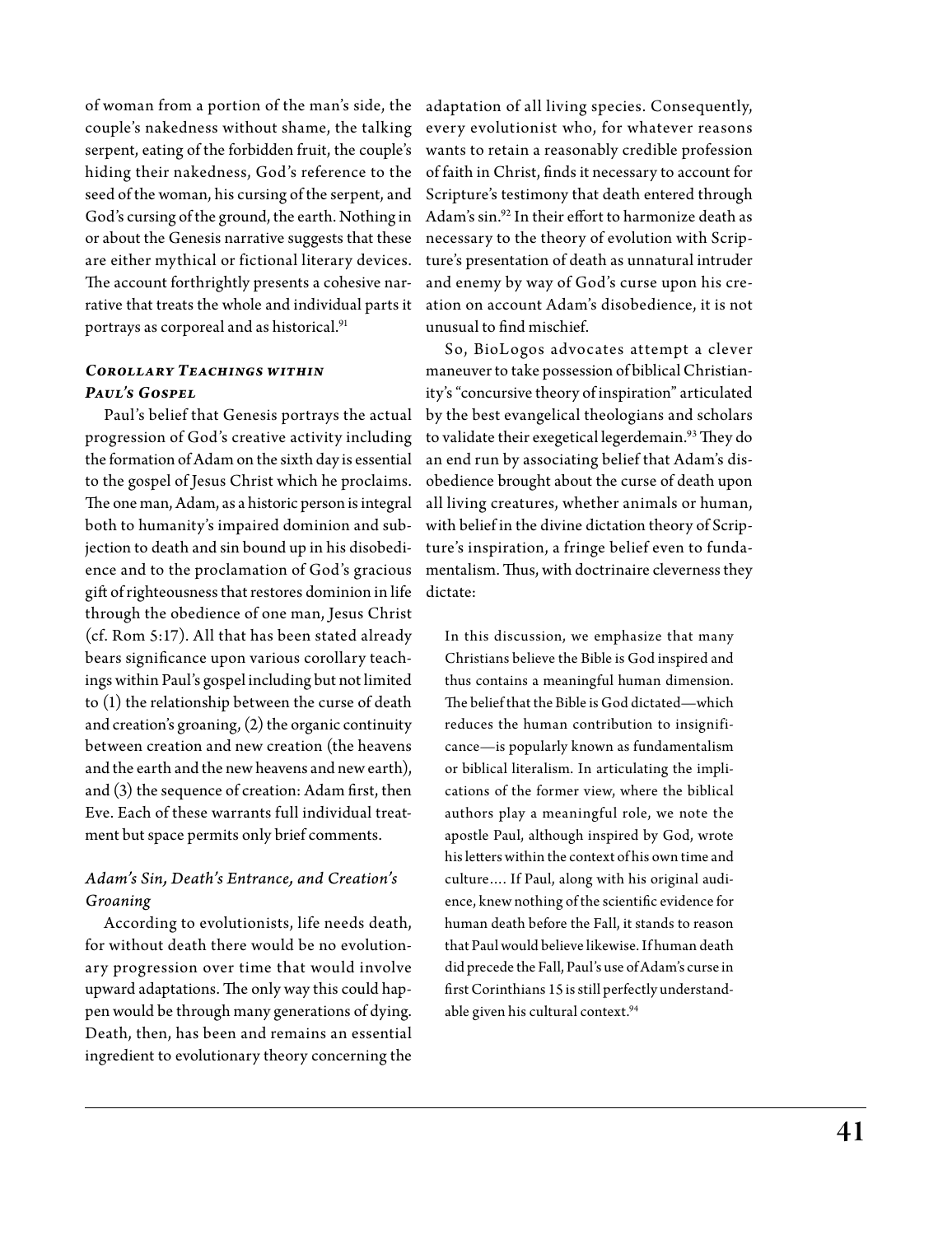couple's nakedness without shame, the talking serpent, eating of the forbidden fruit, the couple's hiding their nakedness, God's reference to the seed of the woman, his cursing of the serpent, and God's cursing of the ground, the earth. Nothing in or about the Genesis narrative suggests that these are either mythical or fictional literary devices. The account forthrightly presents a cohesive narrative that treats the whole and individual parts it portrays as corporeal and as historical.<sup>91</sup>

# *Corollary Teachings within Paul's Gospel*

Paul's belief that Genesis portrays the actual progression of God's creative activity including the formation of Adam on the sixth day is essential to the gospel of Jesus Christ which he proclaims. The one man, Adam, as a historic person is integral both to humanity's impaired dominion and subjection to death and sin bound up in his disobedience and to the proclamation of God's gracious gift of righteousness that restores dominion in life through the obedience of one man, Jesus Christ (cf. Rom 5:17). All that has been stated already bears significance upon various corollary teachings within Paul's gospel including but not limited to (1) the relationship between the curse of death and creation's groaning, (2) the organic continuity between creation and new creation (the heavens and the earth and the new heavens and new earth), and (3) the sequence of creation: Adam first, then Eve. Each of these warrants full individual treatment but space permits only brief comments.

## *Adam's Sin, Death's Entrance, and Creation's Groaning*

According to evolutionists, life needs death, for without death there would be no evolutionary progression over time that would involve upward adaptations. The only way this could happen would be through many generations of dying. Death, then, has been and remains an essential ingredient to evolutionary theory concerning the

of woman from a portion of the man's side, the adaptation of all living species. Consequently, every evolutionist who, for whatever reasons wants to retain a reasonably credible profession of faith in Christ, finds it necessary to account for Scripture's testimony that death entered through Adam's sin.92 In their effort to harmonize death as necessary to the theory of evolution with Scripture's presentation of death as unnatural intruder and enemy by way of God's curse upon his creation on account Adam's disobedience, it is not unusual to find mischief.

> So, BioLogos advocates attempt a clever maneuver to take possession of biblical Christianity's "concursive theory of inspiration" articulated by the best evangelical theologians and scholars to validate their exegetical legerdemain.93 They do an end run by associating belief that Adam's disobedience brought about the curse of death upon all living creatures, whether animals or human, with belief in the divine dictation theory of Scripture's inspiration, a fringe belief even to fundamentalism. Thus, with doctrinaire cleverness they dictate:

In this discussion, we emphasize that many Christians believe the Bible is God inspired and thus contains a meaningful human dimension. The belief that the Bible is God dictated—which reduces the human contribution to insignificance—is popularly known as fundamentalism or biblical literalism. In articulating the implications of the former view, where the biblical authors play a meaningful role, we note the apostle Paul, although inspired by God, wrote his letters within the context of his own time and culture…. If Paul, along with his original audience, knew nothing of the scientific evidence for human death before the Fall, it stands to reason that Paul would believe likewise. If human death did precede the Fall, Paul's use of Adam's curse in first Corinthians 15 is still perfectly understandable given his cultural context.<sup>94</sup>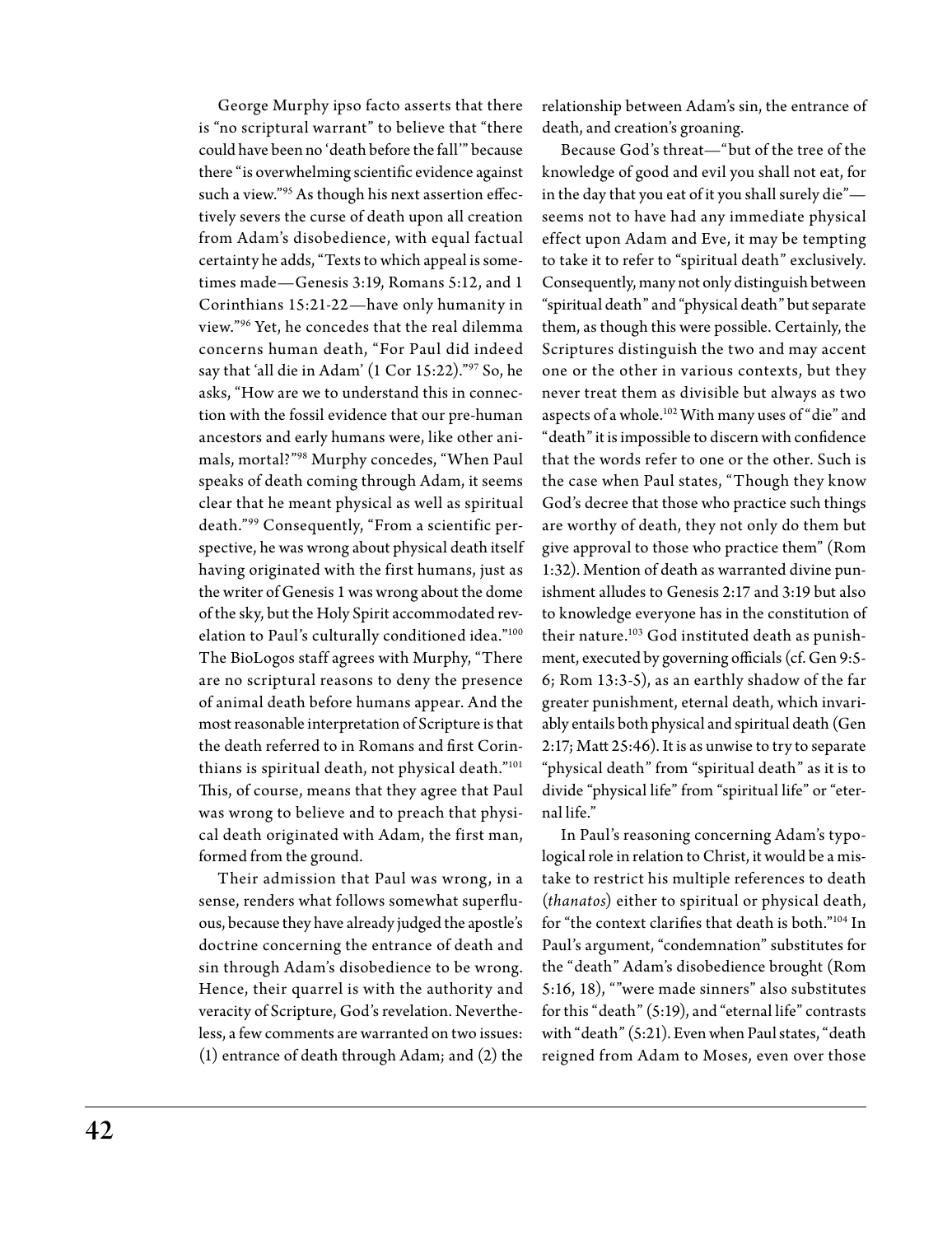George Murphy ipso facto asserts that there is "no scriptural warrant" to believe that "there could have been no 'death before the fall'" because there "is overwhelming scientific evidence against such a view."95 As though his next assertion effectively severs the curse of death upon all creation from Adam's disobedience, with equal factual certainty he adds, "Texts to which appeal is sometimes made—Genesis 3:19, Romans 5:12, and 1 Corinthians 15:21-22—have only humanity in view."96 Yet, he concedes that the real dilemma concerns human death, "For Paul did indeed say that 'all die in Adam' (1 Cor 15:22)."97 So, he asks, "How are we to understand this in connection with the fossil evidence that our pre-human ancestors and early humans were, like other animals, mortal?"98 Murphy concedes, "When Paul speaks of death coming through Adam, it seems clear that he meant physical as well as spiritual death."99 Consequently, "From a scientific perspective, he was wrong about physical death itself having originated with the first humans, just as the writer of Genesis 1 was wrong about the dome of the sky, but the Holy Spirit accommodated revelation to Paul's culturally conditioned idea."100 The BioLogos staff agrees with Murphy, "There are no scriptural reasons to deny the presence of animal death before humans appear. And the most reasonable interpretation of Scripture is that the death referred to in Romans and first Corinthians is spiritual death, not physical death."101 This, of course, means that they agree that Paul was wrong to believe and to preach that physical death originated with Adam, the first man, formed from the ground.

Their admission that Paul was wrong, in a sense, renders what follows somewhat superfluous, because they have already judged the apostle's doctrine concerning the entrance of death and sin through Adam's disobedience to be wrong. Hence, their quarrel is with the authority and veracity of Scripture, God's revelation. Nevertheless, a few comments are warranted on two issues: (1) entrance of death through Adam; and (2) the

relationship between Adam's sin, the entrance of death, and creation's groaning.

Because God's threat—"but of the tree of the knowledge of good and evil you shall not eat, for in the day that you eat of it you shall surely die" seems not to have had any immediate physical effect upon Adam and Eve, it may be tempting to take it to refer to "spiritual death" exclusively. Consequently, many not only distinguish between "spiritual death" and "physical death" but separate them, as though this were possible. Certainly, the Scriptures distinguish the two and may accent one or the other in various contexts, but they never treat them as divisible but always as two aspects of a whole.102 With many uses of "die" and "death" it is impossible to discern with confidence that the words refer to one or the other. Such is the case when Paul states, "Though they know God's decree that those who practice such things are worthy of death, they not only do them but give approval to those who practice them" (Rom 1:32). Mention of death as warranted divine punishment alludes to Genesis 2:17 and 3:19 but also to knowledge everyone has in the constitution of their nature. $103$  God instituted death as punishment, executed by governing officials (cf. Gen 9:5- 6; Rom 13:3-5), as an earthly shadow of the far greater punishment, eternal death, which invariably entails both physical and spiritual death (Gen 2:17; Matt 25:46). It is as unwise to try to separate "physical death" from "spiritual death" as it is to divide "physical life" from "spiritual life" or "eternal life."

In Paul's reasoning concerning Adam's typological role in relation to Christ, it would be a mistake to restrict his multiple references to death (*thanatos*) either to spiritual or physical death, for "the context clarifies that death is both."104 In Paul's argument, "condemnation" substitutes for the "death" Adam's disobedience brought (Rom 5:16, 18), ""were made sinners" also substitutes for this "death" (5:19), and "eternal life" contrasts with "death" (5:21). Even when Paul states, "death reigned from Adam to Moses, even over those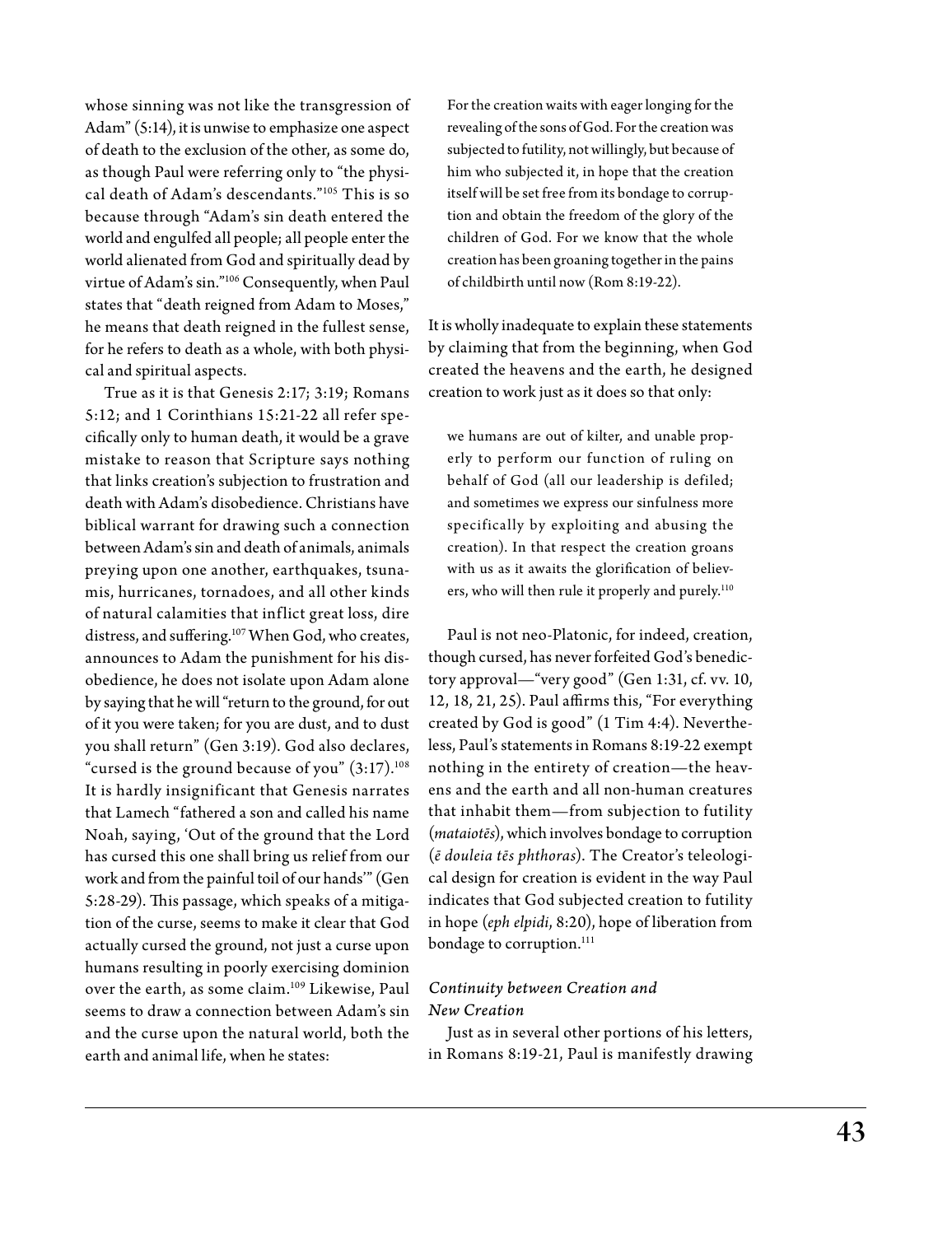whose sinning was not like the transgression of Adam" (5:14), it is unwise to emphasize one aspect of death to the exclusion of the other, as some do, as though Paul were referring only to "the physical death of Adam's descendants."105 This is so because through "Adam's sin death entered the world and engulfed all people; all people enter the world alienated from God and spiritually dead by virtue of Adam's sin."106 Consequently, when Paul states that "death reigned from Adam to Moses," he means that death reigned in the fullest sense, for he refers to death as a whole, with both physical and spiritual aspects.

True as it is that Genesis 2:17; 3:19; Romans 5:12; and 1 Corinthians 15:21-22 all refer specifically only to human death, it would be a grave mistake to reason that Scripture says nothing that links creation's subjection to frustration and death with Adam's disobedience. Christians have biblical warrant for drawing such a connection between Adam's sin and death of animals, animals preying upon one another, earthquakes, tsunamis, hurricanes, tornadoes, and all other kinds of natural calamities that inflict great loss, dire distress, and suffering.<sup>107</sup> When God, who creates, announces to Adam the punishment for his disobedience, he does not isolate upon Adam alone by saying that he will "return to the ground, for out of it you were taken; for you are dust, and to dust you shall return" (Gen 3:19). God also declares, "cursed is the ground because of you"  $(3:17).$ <sup>108</sup> It is hardly insignificant that Genesis narrates that Lamech "fathered a son and called his name Noah, saying, 'Out of the ground that the Lord has cursed this one shall bring us relief from our work and from the painful toil of our hands'" (Gen 5:28-29). This passage, which speaks of a mitigation of the curse, seems to make it clear that God actually cursed the ground, not just a curse upon humans resulting in poorly exercising dominion over the earth, as some claim.109 Likewise, Paul seems to draw a connection between Adam's sin and the curse upon the natural world, both the earth and animal life, when he states:

For the creation waits with eager longing for the revealing of the sons of God. For the creation was subjected to futility, not willingly, but because of him who subjected it, in hope that the creation itself will be set free from its bondage to corruption and obtain the freedom of the glory of the children of God. For we know that the whole creation has been groaning together in the pains of childbirth until now (Rom 8:19-22).

It is wholly inadequate to explain these statements by claiming that from the beginning, when God created the heavens and the earth, he designed creation to work just as it does so that only:

we humans are out of kilter, and unable properly to perform our function of ruling on behalf of God (all our leadership is defiled; and sometimes we express our sinfulness more specifically by exploiting and abusing the creation). In that respect the creation groans with us as it awaits the glorification of believers, who will then rule it properly and purely.<sup>110</sup>

Paul is not neo-Platonic, for indeed, creation, though cursed, has never forfeited God's benedictory approval—"very good" (Gen 1:31, cf. vv. 10, 12, 18, 21, 25). Paul affirms this, "For everything created by God is good" (1 Tim 4:4). Nevertheless, Paul's statements in Romans 8:19-22 exempt nothing in the entirety of creation—the heavens and the earth and all non-human creatures that inhabit them—from subjection to futility (*mataiotēs*), which involves bondage to corruption (*ē douleia tēs phthoras*). The Creator's teleological design for creation is evident in the way Paul indicates that God subjected creation to futility in hope (*eph elpidi*, 8:20), hope of liberation from bondage to corruption.<sup>111</sup>

# *Continuity between Creation and New Creation*

Just as in several other portions of his letters, in Romans 8:19-21, Paul is manifestly drawing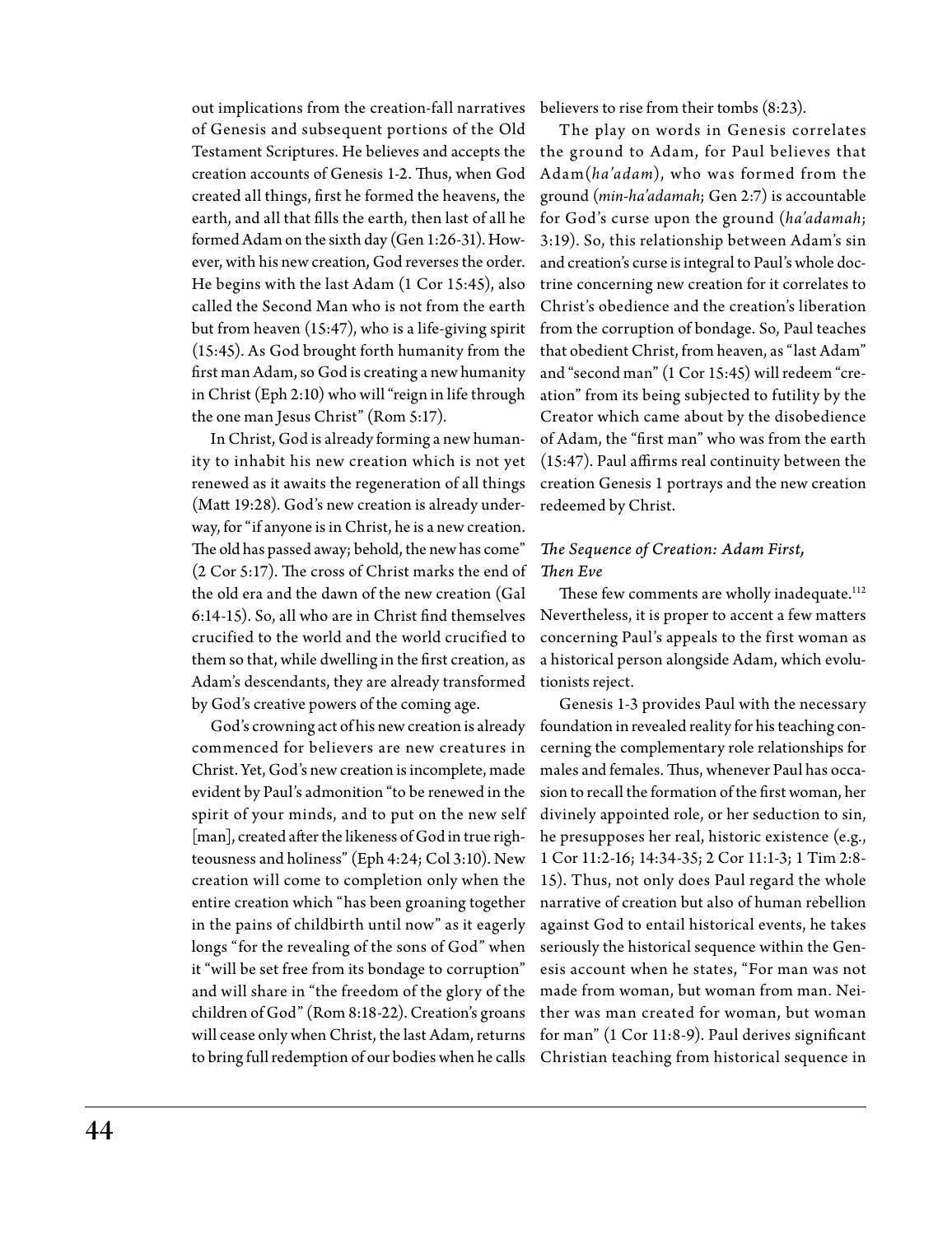out implications from the creation-fall narratives of Genesis and subsequent portions of the Old Testament Scriptures. He believes and accepts the creation accounts of Genesis 1-2. Thus, when God created all things, first he formed the heavens, the earth, and all that fills the earth, then last of all he formed Adam on the sixth day (Gen 1:26-31). However, with his new creation, God reverses the order. He begins with the last Adam (1 Cor 15:45), also called the Second Man who is not from the earth but from heaven (15:47), who is a life-giving spirit (15:45). As God brought forth humanity from the first man Adam, so God is creating a new humanity in Christ (Eph 2:10) who will "reign in life through the one man Jesus Christ" (Rom 5:17).

In Christ, God is already forming a new humanity to inhabit his new creation which is not yet renewed as it awaits the regeneration of all things (Matt 19:28). God's new creation is already underway, for "if anyone is in Christ, he is a new creation. The old has passed away; behold, the new has come" (2 Cor 5:17). The cross of Christ marks the end of the old era and the dawn of the new creation (Gal 6:14-15). So, all who are in Christ find themselves crucified to the world and the world crucified to them so that, while dwelling in the first creation, as Adam's descendants, they are already transformed by God's creative powers of the coming age.

God's crowning act of his new creation is already commenced for believers are new creatures in Christ. Yet, God's new creation is incomplete, made evident by Paul's admonition "to be renewed in the spirit of your minds, and to put on the new self [man], created after the likeness of God in true righteousness and holiness" (Eph 4:24; Col 3:10). New creation will come to completion only when the entire creation which "has been groaning together in the pains of childbirth until now" as it eagerly longs "for the revealing of the sons of God" when it "will be set free from its bondage to corruption" and will share in "the freedom of the glory of the children of God" (Rom 8:18-22). Creation's groans will cease only when Christ, the last Adam, returns to bring full redemption of our bodies when he calls believers to rise from their tombs (8:23).

The play on words in Genesis correlates the ground to Adam, for Paul believes that Adam(*ha'adam*), who was formed from the ground (*min-ha'adamah*; Gen 2:7) is accountable for God's curse upon the ground (*ha'adamah*; 3:19). So, this relationship between Adam's sin and creation's curse is integral to Paul's whole doctrine concerning new creation for it correlates to Christ's obedience and the creation's liberation from the corruption of bondage. So, Paul teaches that obedient Christ, from heaven, as "last Adam" and "second man" (1 Cor 15:45) will redeem "creation" from its being subjected to futility by the Creator which came about by the disobedience of Adam, the "first man" who was from the earth (15:47). Paul affirms real continuity between the creation Genesis 1 portrays and the new creation redeemed by Christ.

## *The Sequence of Creation: Adam First, Then Eve*

These few comments are wholly inadequate.<sup>112</sup> Nevertheless, it is proper to accent a few matters concerning Paul's appeals to the first woman as a historical person alongside Adam, which evolutionists reject.

Genesis 1-3 provides Paul with the necessary foundation in revealed reality for his teaching concerning the complementary role relationships for males and females. Thus, whenever Paul has occasion to recall the formation of the first woman, her divinely appointed role, or her seduction to sin, he presupposes her real, historic existence (e.g., 1 Cor 11:2-16; 14:34-35; 2 Cor 11:1-3; 1 Tim 2:8- 15). Thus, not only does Paul regard the whole narrative of creation but also of human rebellion against God to entail historical events, he takes seriously the historical sequence within the Genesis account when he states, "For man was not made from woman, but woman from man. Neither was man created for woman, but woman for man" (1 Cor 11:8-9). Paul derives significant Christian teaching from historical sequence in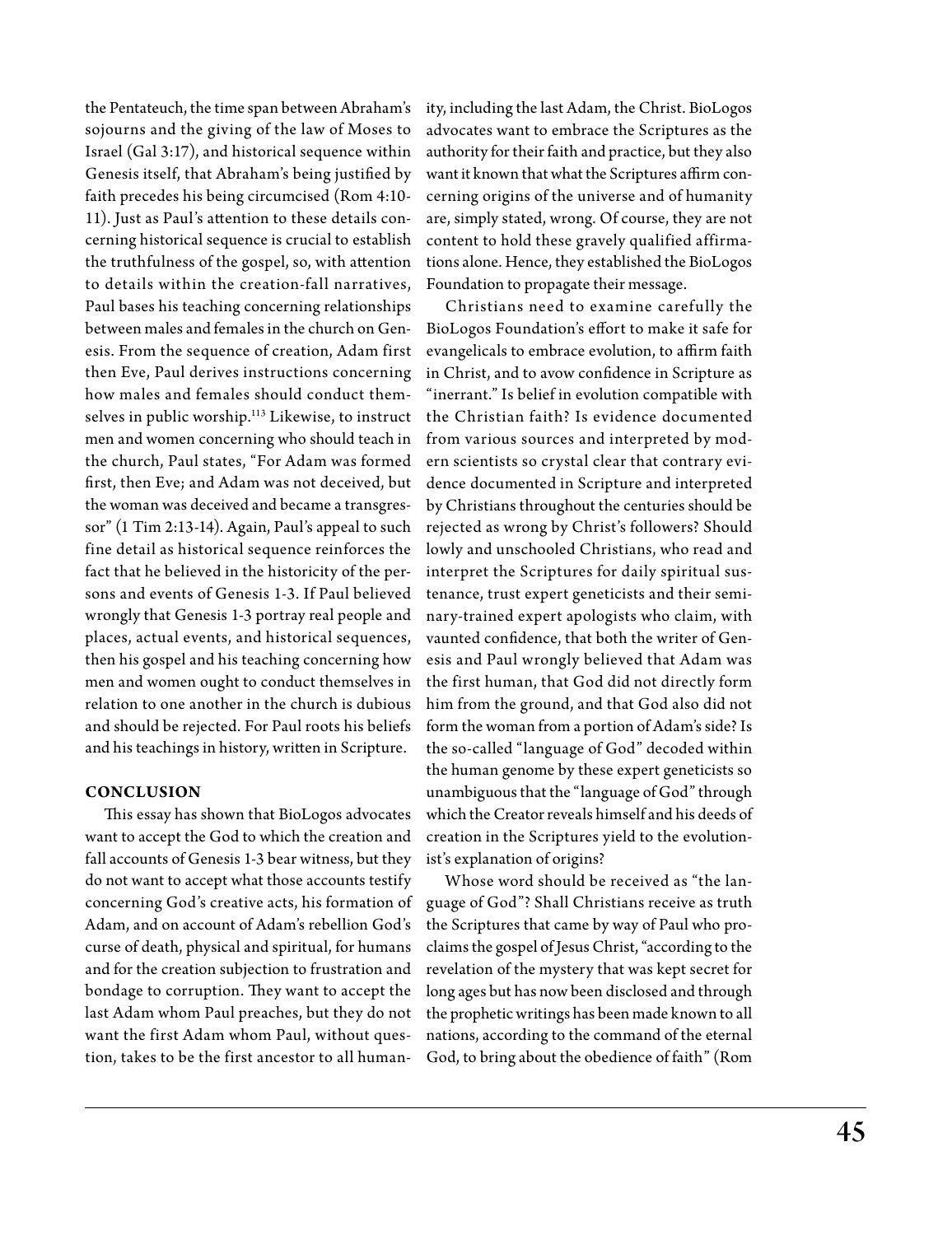the Pentateuch, the time span between Abraham's sojourns and the giving of the law of Moses to Israel (Gal 3:17), and historical sequence within Genesis itself, that Abraham's being justified by faith precedes his being circumcised (Rom 4:10- 11). Just as Paul's attention to these details concerning historical sequence is crucial to establish the truthfulness of the gospel, so, with attention to details within the creation-fall narratives, Paul bases his teaching concerning relationships between males and females in the church on Genesis. From the sequence of creation, Adam first then Eve, Paul derives instructions concerning how males and females should conduct themselves in public worship.<sup>113</sup> Likewise, to instruct men and women concerning who should teach in the church, Paul states, "For Adam was formed first, then Eve; and Adam was not deceived, but the woman was deceived and became a transgressor" (1 Tim 2:13-14). Again, Paul's appeal to such fine detail as historical sequence reinforces the fact that he believed in the historicity of the persons and events of Genesis 1-3. If Paul believed wrongly that Genesis 1-3 portray real people and places, actual events, and historical sequences, then his gospel and his teaching concerning how men and women ought to conduct themselves in relation to one another in the church is dubious and should be rejected. For Paul roots his beliefs and his teachings in history, written in Scripture.

## **Conclusion**

This essay has shown that BioLogos advocates want to accept the God to which the creation and fall accounts of Genesis 1-3 bear witness, but they do not want to accept what those accounts testify concerning God's creative acts, his formation of Adam, and on account of Adam's rebellion God's curse of death, physical and spiritual, for humans and for the creation subjection to frustration and bondage to corruption. They want to accept the last Adam whom Paul preaches, but they do not want the first Adam whom Paul, without question, takes to be the first ancestor to all humanity, including the last Adam, the Christ. BioLogos advocates want to embrace the Scriptures as the authority for their faith and practice, but they also want it known that what the Scriptures affirm concerning origins of the universe and of humanity are, simply stated, wrong. Of course, they are not content to hold these gravely qualified affirmations alone. Hence, they established the BioLogos Foundation to propagate their message.

Christians need to examine carefully the BioLogos Foundation's effort to make it safe for evangelicals to embrace evolution, to affirm faith in Christ, and to avow confidence in Scripture as "inerrant." Is belief in evolution compatible with the Christian faith? Is evidence documented from various sources and interpreted by modern scientists so crystal clear that contrary evidence documented in Scripture and interpreted by Christians throughout the centuries should be rejected as wrong by Christ's followers? Should lowly and unschooled Christians, who read and interpret the Scriptures for daily spiritual sustenance, trust expert geneticists and their seminary-trained expert apologists who claim, with vaunted confidence, that both the writer of Genesis and Paul wrongly believed that Adam was the first human, that God did not directly form him from the ground, and that God also did not form the woman from a portion of Adam's side? Is the so-called "language of God" decoded within the human genome by these expert geneticists so unambiguous that the "language of God" through which the Creator reveals himself and his deeds of creation in the Scriptures yield to the evolutionist's explanation of origins?

Whose word should be received as "the language of God"? Shall Christians receive as truth the Scriptures that came by way of Paul who proclaims the gospel of Jesus Christ, "according to the revelation of the mystery that was kept secret for long ages but has now been disclosed and through the prophetic writings has been made known to all nations, according to the command of the eternal God, to bring about the obedience of faith" (Rom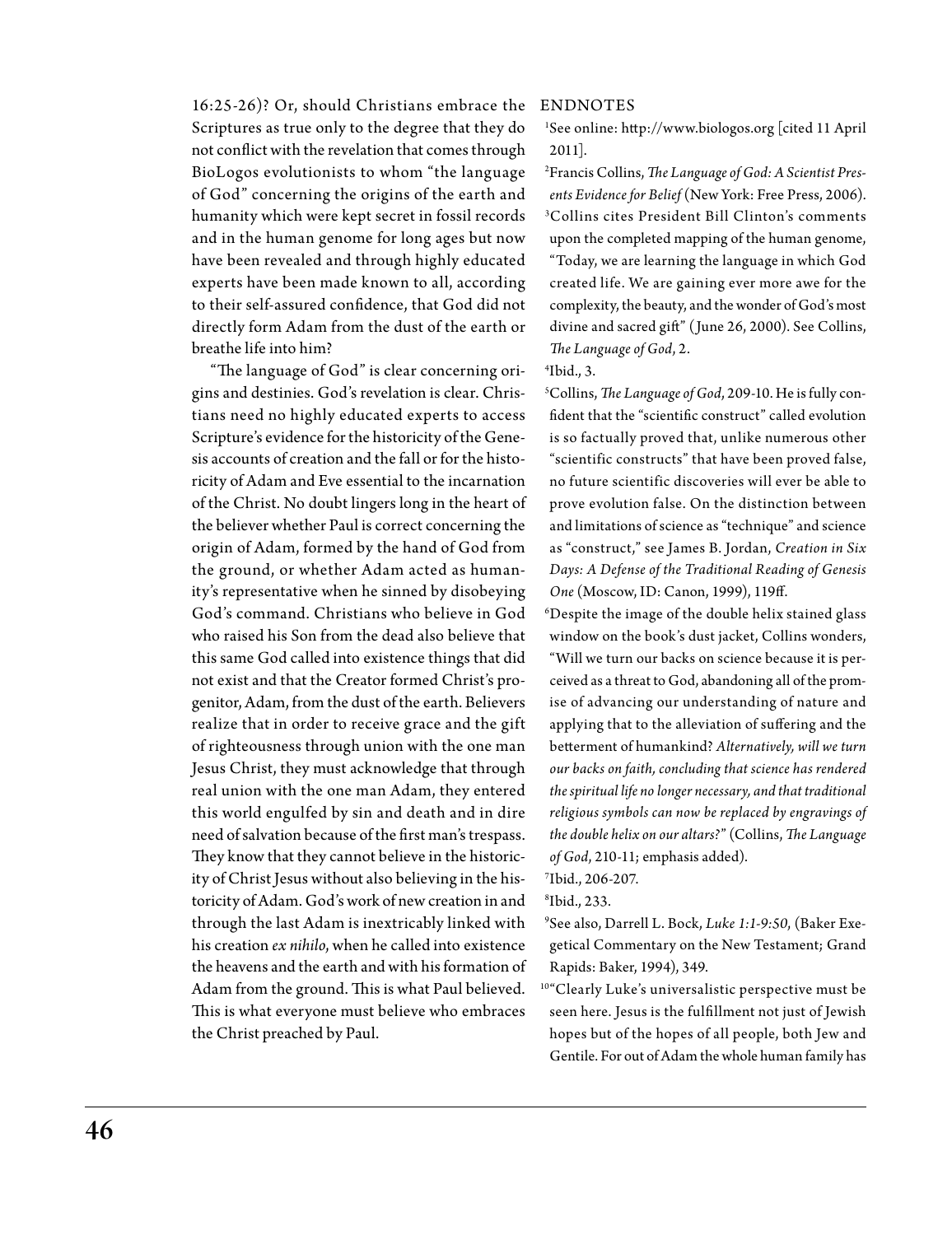16:25-26)? Or, should Christians embrace the Scriptures as true only to the degree that they do not conflict with the revelation that comes through BioLogos evolutionists to whom "the language of God" concerning the origins of the earth and humanity which were kept secret in fossil records and in the human genome for long ages but now have been revealed and through highly educated experts have been made known to all, according to their self-assured confidence, that God did not directly form Adam from the dust of the earth or breathe life into him?

"The language of God" is clear concerning origins and destinies. God's revelation is clear. Christians need no highly educated experts to access Scripture's evidence for the historicity of the Genesis accounts of creation and the fall or for the historicity of Adam and Eve essential to the incarnation of the Christ. No doubt lingers long in the heart of the believer whether Paul is correct concerning the origin of Adam, formed by the hand of God from the ground, or whether Adam acted as humanity's representative when he sinned by disobeying God's command. Christians who believe in God who raised his Son from the dead also believe that this same God called into existence things that did not exist and that the Creator formed Christ's progenitor, Adam, from the dust of the earth. Believers realize that in order to receive grace and the gift of righteousness through union with the one man Jesus Christ, they must acknowledge that through real union with the one man Adam, they entered this world engulfed by sin and death and in dire need of salvation because of the first man's trespass. They know that they cannot believe in the historicity of Christ Jesus without also believing in the historicity of Adam. God's work of new creation in and through the last Adam is inextricably linked with his creation *ex nihilo*, when he called into existence the heavens and the earth and with his formation of Adam from the ground. This is what Paul believed. This is what everyone must believe who embraces the Christ preached by Paul.

#### **ENDNOTES**

1 See online: http://www.biologos.org [cited 11 April 2011].

2 Francis Collins, *The Language of God: A Scientist Presents Evidence for Belief* (New York: Free Press, 2006). 3 Collins cites President Bill Clinton's comments upon the completed mapping of the human genome, "Today, we are learning the language in which God created life. We are gaining ever more awe for the complexity, the beauty, and the wonder of God's most divine and sacred gift" (June 26, 2000). See Collins, *The Language of God*, 2.

#### 4 Ibid., 3.

5 Collins, *The Language of God*, 209-10. He is fully confident that the "scientific construct" called evolution is so factually proved that, unlike numerous other "scientific constructs" that have been proved false, no future scientific discoveries will ever be able to prove evolution false. On the distinction between and limitations of science as "technique" and science as "construct," see James B. Jordan, *Creation in Six Days: A Defense of the Traditional Reading of Genesis One* (Moscow, ID: Canon, 1999), 119ff.

 $^6$ Despite the image of the double helix stained glass window on the book's dust jacket, Collins wonders, "Will we turn our backs on science because it is perceived as a threat to God, abandoning all of the promise of advancing our understanding of nature and applying that to the alleviation of suffering and the betterment of humankind? *Alternatively, will we turn our backs on faith, concluding that science has rendered the spiritual life no longer necessary, and that traditional religious symbols can now be replaced by engravings of the double helix on our altars?*" (Collins, *The Language of God*, 210-11; emphasis added).

#### 7 Ibid., 206-207.

#### 8 Ibid., 233.

9 See also, Darrell L. Bock, *Luke 1:1-9:50*, (Baker Exegetical Commentary on the New Testament; Grand Rapids: Baker, 1994), 349.

<sup>10"</sup>Clearly Luke's universalistic perspective must be seen here. Jesus is the fulfillment not just of Jewish hopes but of the hopes of all people, both Jew and Gentile. For out of Adam the whole human family has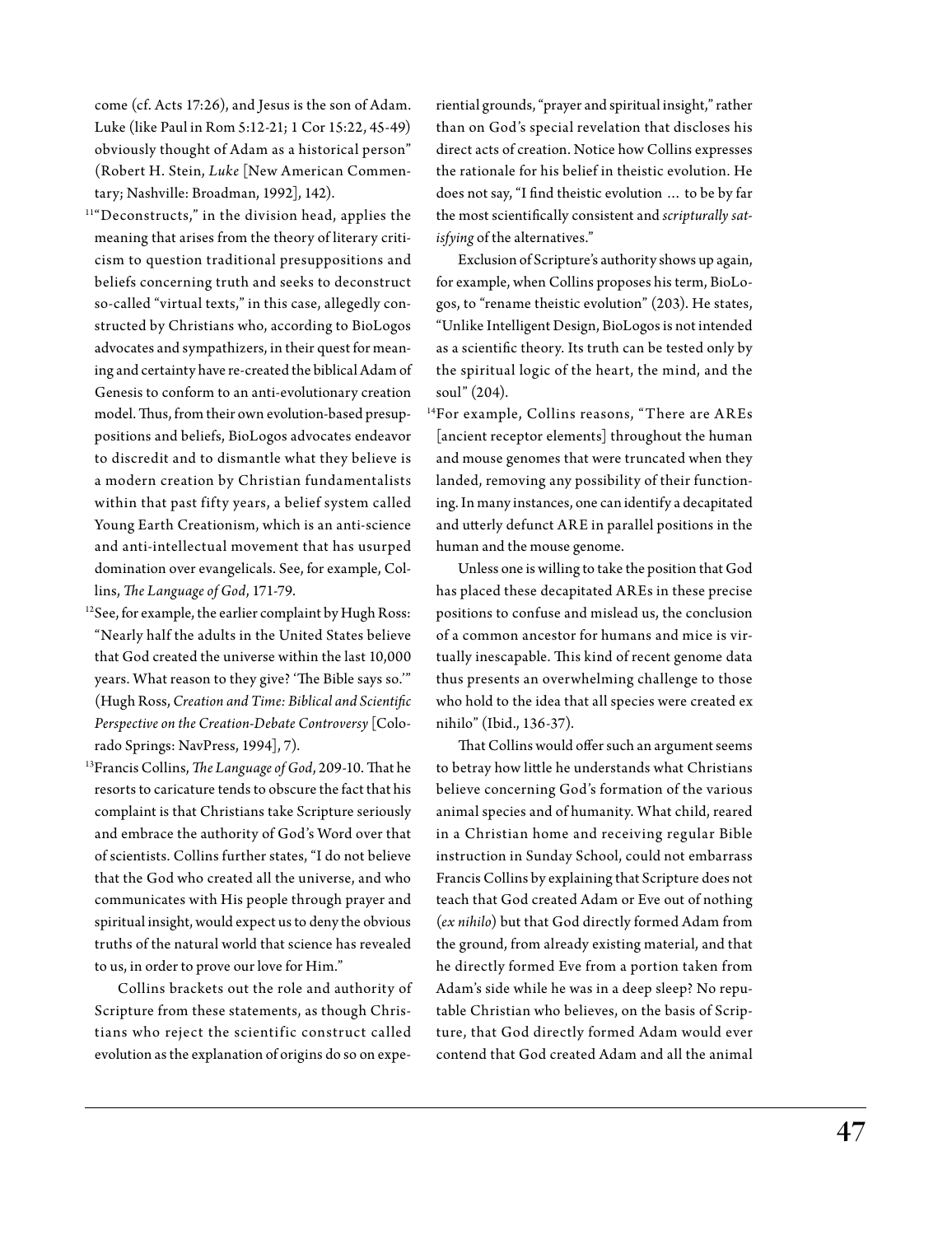come (cf. Acts 17:26), and Jesus is the son of Adam. Luke (like Paul in Rom 5:12-21; 1 Cor 15:22, 45-49) obviously thought of Adam as a historical person" (Robert H. Stein, *Luke* [New American Commentary; Nashville: Broadman, 1992], 142).

- 11"Deconstructs," in the division head, applies the meaning that arises from the theory of literary criticism to question traditional presuppositions and beliefs concerning truth and seeks to deconstruct so-called "virtual texts," in this case, allegedly constructed by Christians who, according to BioLogos advocates and sympathizers, in their quest for meaning and certainty have re-created the biblical Adam of Genesis to conform to an anti-evolutionary creation model. Thus, from their own evolution-based presuppositions and beliefs, BioLogos advocates endeavor to discredit and to dismantle what they believe is a modern creation by Christian fundamentalists within that past fifty years, a belief system called Young Earth Creationism, which is an anti-science and anti-intellectual movement that has usurped domination over evangelicals. See, for example, Collins, *The Language of God*, 171-79.
- <sup>12</sup>See, for example, the earlier complaint by Hugh Ross: "Nearly half the adults in the United States believe that God created the universe within the last 10,000 years. What reason to they give? 'The Bible says so.'" (Hugh Ross, *Creation and Time: Biblical and Scientific Perspective on the Creation-Debate Controversy* [Colorado Springs: NavPress, 1994], 7).
- 13Francis Collins, *The Language of God*, 209-10. That he resorts to caricature tends to obscure the fact that his complaint is that Christians take Scripture seriously and embrace the authority of God's Word over that of scientists. Collins further states, "I do not believe that the God who created all the universe, and who communicates with His people through prayer and spiritual insight, would expect us to deny the obvious truths of the natural world that science has revealed to us, in order to prove our love for Him."

 Collins brackets out the role and authority of Scripture from these statements, as though Christians who reject the scientific construct called evolution as the explanation of origins do so on experiential grounds, "prayer and spiritual insight," rather than on God's special revelation that discloses his direct acts of creation. Notice how Collins expresses the rationale for his belief in theistic evolution. He does not say, "I find theistic evolution … to be by far the most scientifically consistent and *scripturally satisfying* of the alternatives."

 Exclusion of Scripture's authority shows up again, for example, when Collins proposes his term, BioLogos, to "rename theistic evolution" (203). He states, "Unlike Intelligent Design, BioLogos is not intended as a scientific theory. Its truth can be tested only by the spiritual logic of the heart, the mind, and the soul" (204).

<sup>14</sup>For example, Collins reasons, "There are AREs [ancient receptor elements] throughout the human and mouse genomes that were truncated when they landed, removing any possibility of their functioning. In many instances, one can identify a decapitated and utterly defunct ARE in parallel positions in the human and the mouse genome.

 Unless one is willing to take the position that God has placed these decapitated AREs in these precise positions to confuse and mislead us, the conclusion of a common ancestor for humans and mice is virtually inescapable. This kind of recent genome data thus presents an overwhelming challenge to those who hold to the idea that all species were created ex nihilo" (Ibid., 136-37).

 That Collins would offer such an argument seems to betray how little he understands what Christians believe concerning God's formation of the various animal species and of humanity. What child, reared in a Christian home and receiving regular Bible instruction in Sunday School, could not embarrass Francis Collins by explaining that Scripture does not teach that God created Adam or Eve out of nothing (*ex nihilo*) but that God directly formed Adam from the ground, from already existing material, and that he directly formed Eve from a portion taken from Adam's side while he was in a deep sleep? No reputable Christian who believes, on the basis of Scripture, that God directly formed Adam would ever contend that God created Adam and all the animal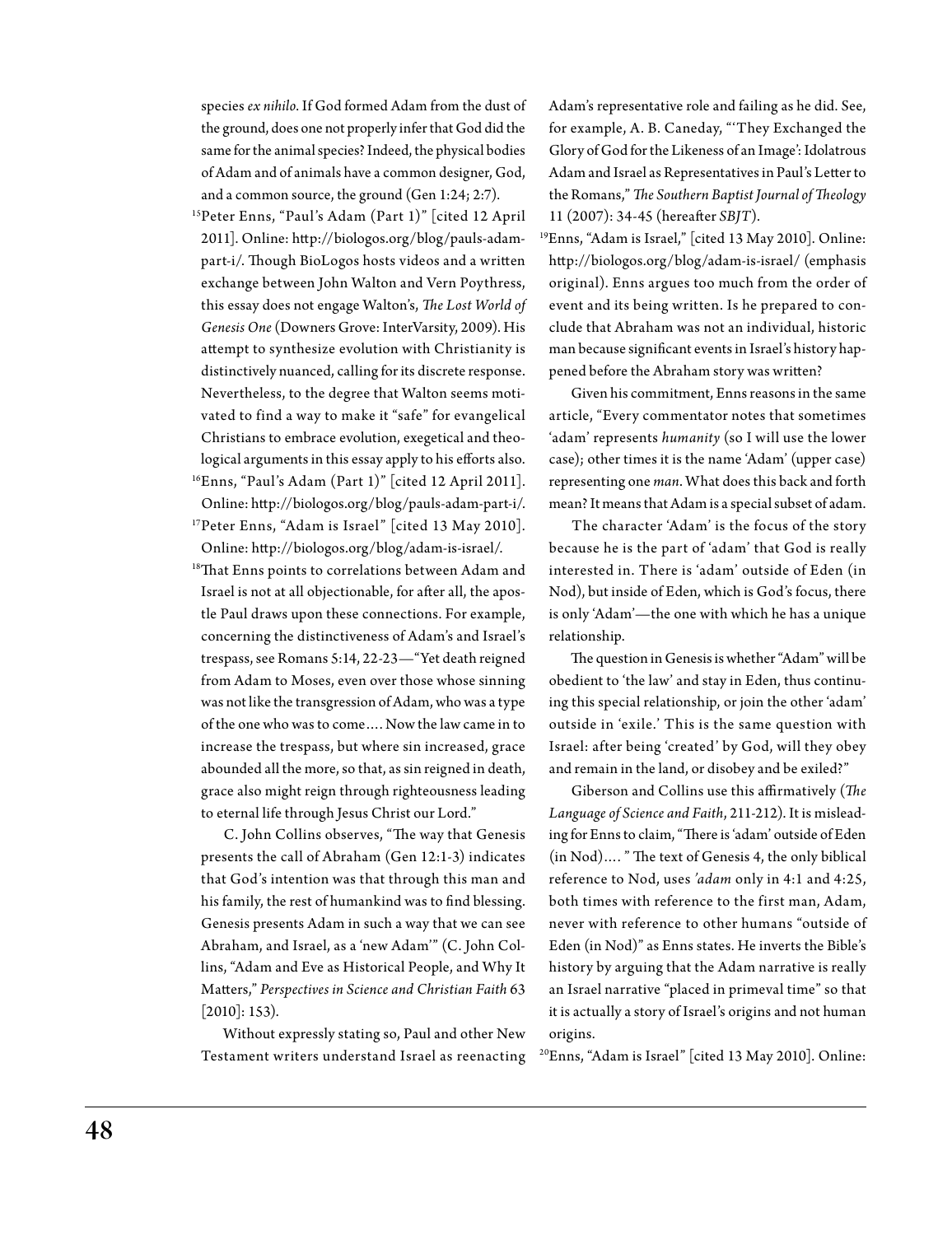species *ex nihilo*. If God formed Adam from the dust of the ground, does one not properly infer that God did the same for the animal species? Indeed, the physical bodies of Adam and of animals have a common designer, God, and a common source, the ground (Gen 1:24; 2:7).

- 15Peter Enns, "Paul's Adam (Part 1)" [cited 12 April 2011]. Online: http://biologos.org/blog/pauls-adampart-i/. Though BioLogos hosts videos and a written exchange between John Walton and Vern Poythress, this essay does not engage Walton's, *The Lost World of Genesis One* (Downers Grove: InterVarsity, 2009). His attempt to synthesize evolution with Christianity is distinctively nuanced, calling for its discrete response. Nevertheless, to the degree that Walton seems motivated to find a way to make it "safe" for evangelical Christians to embrace evolution, exegetical and theological arguments in this essay apply to his efforts also. 16Enns, "Paul's Adam (Part 1)" [cited 12 April 2011].
- Online: http://biologos.org/blog/pauls-adam-part-i/. 17Peter Enns, "Adam is Israel" [cited 13 May 2010]. Online: http://biologos.org/blog/adam-is-israel/.
- <sup>18</sup>That Enns points to correlations between Adam and Israel is not at all objectionable, for after all, the apostle Paul draws upon these connections. For example, concerning the distinctiveness of Adam's and Israel's trespass, see Romans 5:14, 22-23—"Yet death reigned from Adam to Moses, even over those whose sinning was not like the transgression of Adam, who was a type of the one who was to come…. Now the law came in to increase the trespass, but where sin increased, grace abounded all the more, so that, as sin reigned in death, grace also might reign through righteousness leading to eternal life through Jesus Christ our Lord."

 C. John Collins observes, "The way that Genesis presents the call of Abraham (Gen 12:1-3) indicates that God's intention was that through this man and his family, the rest of humankind was to find blessing. Genesis presents Adam in such a way that we can see Abraham, and Israel, as a 'new Adam'" (C. John Collins, "Adam and Eve as Historical People, and Why It Matters," *Perspectives in Science and Christian Faith* 63 [2010]: 153).

 Without expressly stating so, Paul and other New Testament writers understand Israel as reenacting Adam's representative role and failing as he did. See, for example, A. B. Caneday, "'They Exchanged the Glory of God for the Likeness of an Image': Idolatrous Adam and Israel as Representatives in Paul's Letter to the Romans," *The Southern Baptist Journal of Theology* 11 (2007): 34-45 (hereafter *SBJT*).

19Enns, "Adam is Israel," [cited 13 May 2010]. Online: http://biologos.org/blog/adam-is-israel/ (emphasis original). Enns argues too much from the order of event and its being written. Is he prepared to conclude that Abraham was not an individual, historic man because significant events in Israel's history happened before the Abraham story was written?

 Given his commitment, Enns reasons in the same article, "Every commentator notes that sometimes 'adam' represents *humanity* (so I will use the lower case); other times it is the name 'Adam' (upper case) representing one *man*. What does this back and forth mean? It means that Adam is a special subset of adam.

 The character 'Adam' is the focus of the story because he is the part of 'adam' that God is really interested in. There is 'adam' outside of Eden (in Nod), but inside of Eden, which is God's focus, there is only 'Adam'—the one with which he has a unique relationship.

 The question in Genesis is whether "Adam" will be obedient to 'the law' and stay in Eden, thus continuing this special relationship, or join the other 'adam' outside in 'exile.' This is the same question with Israel: after being 'created' by God, will they obey and remain in the land, or disobey and be exiled?"

 Giberson and Collins use this affirmatively (*The Language of Science and Faith*, 211-212). It is misleading for Enns to claim, "There is 'adam' outside of Eden (in Nod)…. " The text of Genesis 4, the only biblical reference to Nod, uses *'adam* only in 4:1 and 4:25, both times with reference to the first man, Adam, never with reference to other humans "outside of Eden (in Nod)" as Enns states. He inverts the Bible's history by arguing that the Adam narrative is really an Israel narrative "placed in primeval time" so that it is actually a story of Israel's origins and not human origins.

20Enns, "Adam is Israel" [cited 13 May 2010]. Online: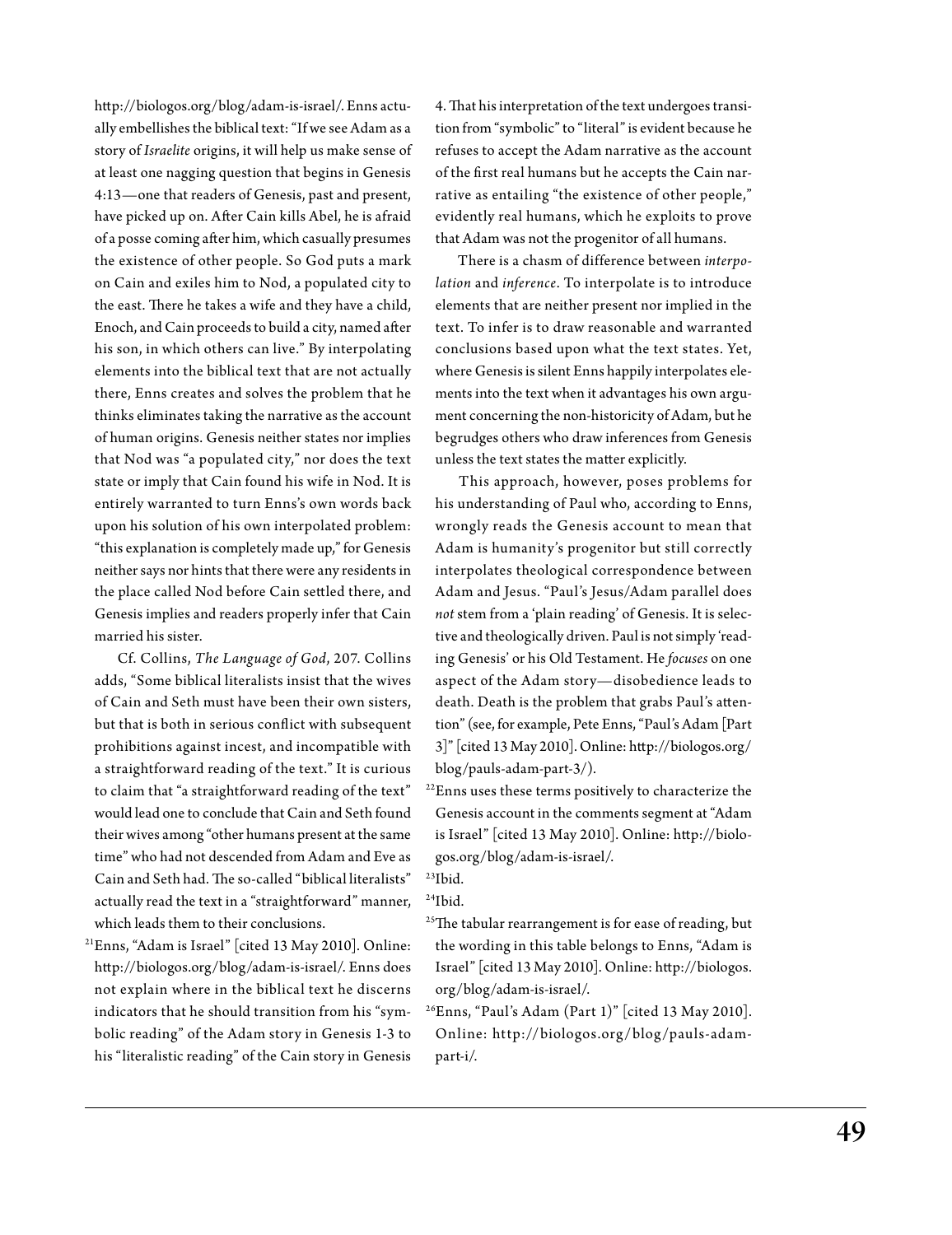http://biologos.org/blog/adam-is-israel/. Enns actually embellishes the biblical text: "If we see Adam as a story of *Israelite* origins, it will help us make sense of at least one nagging question that begins in Genesis 4:13—one that readers of Genesis, past and present, have picked up on. After Cain kills Abel, he is afraid of a posse coming after him, which casually presumes the existence of other people. So God puts a mark on Cain and exiles him to Nod, a populated city to the east. There he takes a wife and they have a child, Enoch, and Cain proceeds to build a city, named after his son, in which others can live." By interpolating elements into the biblical text that are not actually there, Enns creates and solves the problem that he thinks eliminates taking the narrative as the account of human origins. Genesis neither states nor implies that Nod was "a populated city," nor does the text state or imply that Cain found his wife in Nod. It is entirely warranted to turn Enns's own words back upon his solution of his own interpolated problem: "this explanation is completely made up," for Genesis neither says nor hints that there were any residents in the place called Nod before Cain settled there, and Genesis implies and readers properly infer that Cain married his sister.

 Cf. Collins, *The Language of God*, 207. Collins adds, "Some biblical literalists insist that the wives of Cain and Seth must have been their own sisters, but that is both in serious conflict with subsequent prohibitions against incest, and incompatible with a straightforward reading of the text." It is curious to claim that "a straightforward reading of the text" would lead one to conclude that Cain and Seth found their wives among "other humans present at the same time" who had not descended from Adam and Eve as Cain and Seth had. The so-called "biblical literalists" actually read the text in a "straightforward" manner, which leads them to their conclusions.

21Enns, "Adam is Israel" [cited 13 May 2010]. Online: http://biologos.org/blog/adam-is-israel/. Enns does not explain where in the biblical text he discerns indicators that he should transition from his "symbolic reading" of the Adam story in Genesis 1-3 to his "literalistic reading" of the Cain story in Genesis 4. That his interpretation of the text undergoes transition from "symbolic" to "literal" is evident because he refuses to accept the Adam narrative as the account of the first real humans but he accepts the Cain narrative as entailing "the existence of other people," evidently real humans, which he exploits to prove that Adam was not the progenitor of all humans.

 There is a chasm of difference between *interpolation* and *inference*. To interpolate is to introduce elements that are neither present nor implied in the text. To infer is to draw reasonable and warranted conclusions based upon what the text states. Yet, where Genesis is silent Enns happily interpolates elements into the text when it advantages his own argument concerning the non-historicity of Adam, but he begrudges others who draw inferences from Genesis unless the text states the matter explicitly.

 This approach, however, poses problems for his understanding of Paul who, according to Enns, wrongly reads the Genesis account to mean that Adam is humanity's progenitor but still correctly interpolates theological correspondence between Adam and Jesus. "Paul's Jesus/Adam parallel does *not* stem from a 'plain reading' of Genesis. It is selective and theologically driven. Paul is not simply 'reading Genesis' or his Old Testament. He *focuses* on one aspect of the Adam story—disobedience leads to death. Death is the problem that grabs Paul's attention" (see, for example, Pete Enns, "Paul's Adam [Part 3]" [cited 13 May 2010]. Online: http://biologos.org/ blog/pauls-adam-part-3/).

<sup>22</sup>Enns uses these terms positively to characterize the Genesis account in the comments segment at "Adam is Israel" [cited 13 May 2010]. Online: http://biologos.org/blog/adam-is-israel/.

23Ibid.

 $24$ Ibid.

- <sup>25</sup>The tabular rearrangement is for ease of reading, but the wording in this table belongs to Enns, "Adam is Israel" [cited 13 May 2010]. Online: http://biologos. org/blog/adam-is-israel/.
- 26Enns, "Paul's Adam (Part 1)" [cited 13 May 2010]. Online: http://biologos.org/blog/pauls-adampart-i/.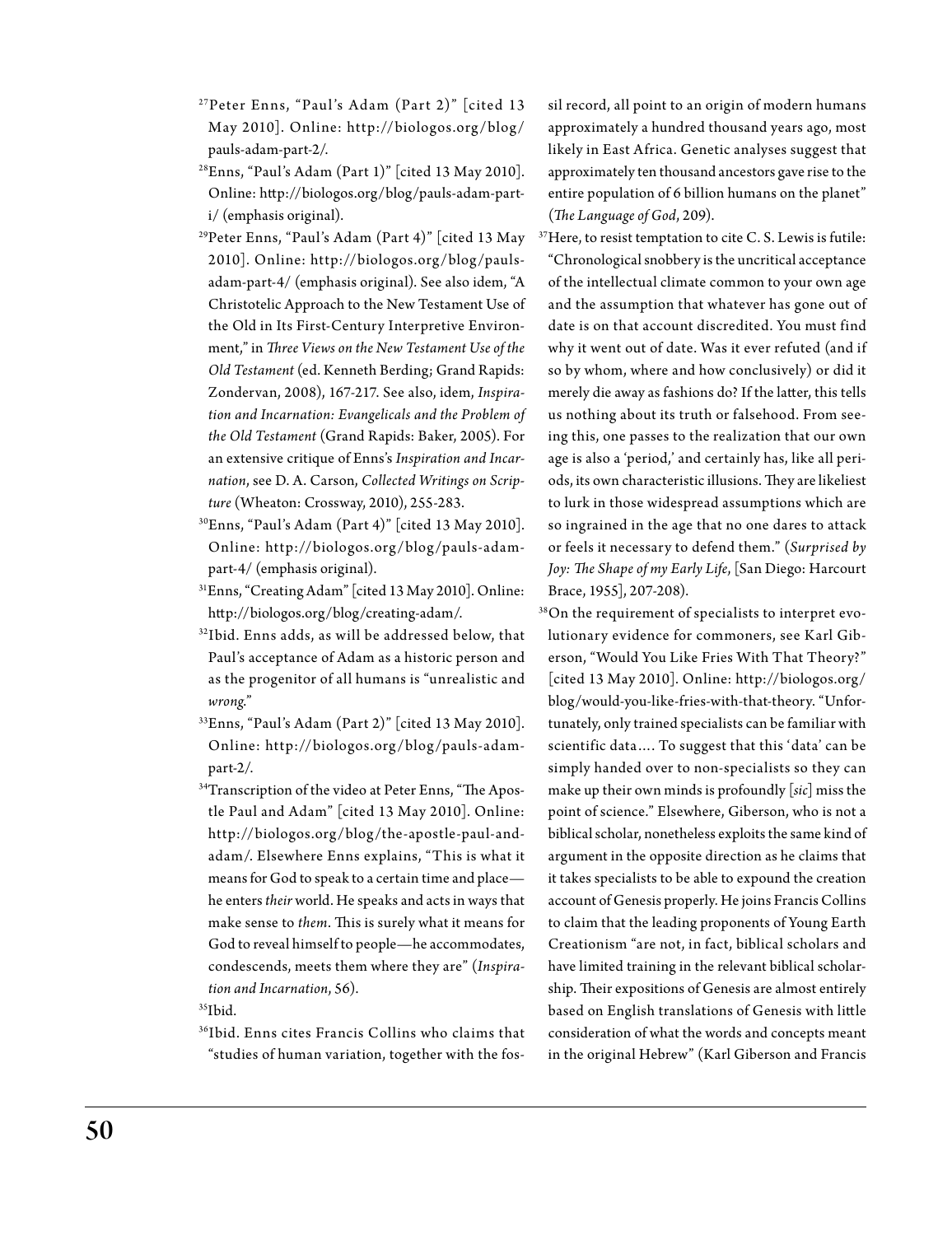- $27$ Peter Enns, "Paul's Adam (Part 2)" [cited 13 May 2010]. Online: http://biologos.org/blog/ pauls-adam-part-2/.
- $28$ Enns, "Paul's Adam (Part 1)" [cited 13 May 2010]. Online: http://biologos.org/blog/pauls-adam-parti/ (emphasis original).
- 29Peter Enns, "Paul's Adam (Part 4)" [cited 13 May 2010]. Online: http://biologos.org/blog/paulsadam-part-4/ (emphasis original). See also idem, "A Christotelic Approach to the New Testament Use of the Old in Its First-Century Interpretive Environment," in *Three Views on the New Testament Use of the Old Testament* (ed. Kenneth Berding; Grand Rapids: Zondervan, 2008), 167-217. See also, idem, *Inspiration and Incarnation: Evangelicals and the Problem of the Old Testament* (Grand Rapids: Baker, 2005). For an extensive critique of Enns's *Inspiration and Incarnation*, see D. A. Carson, *Collected Writings on Scripture* (Wheaton: Crossway, 2010), 255-283.
- 30Enns, "Paul's Adam (Part 4)" [cited 13 May 2010]. Online: http://biologos.org/blog/pauls-adampart-4/ (emphasis original).
- 31Enns, "Creating Adam" [cited 13 May 2010]. Online: http://biologos.org/blog/creating-adam/.
- $32$ Ibid. Enns adds, as will be addressed below, that Paul's acceptance of Adam as a historic person and as the progenitor of all humans is "unrealistic and *wrong*."
- 33Enns, "Paul's Adam (Part 2)" [cited 13 May 2010]. Online: http://biologos.org/blog/pauls-adampart-2/.
- <sup>34</sup>Transcription of the video at Peter Enns, "The Apostle Paul and Adam" [cited 13 May 2010]. Online: http://biologos.org/blog/the-apostle-paul-andadam/. Elsewhere Enns explains, "This is what it means for God to speak to a certain time and place he enters *their* world. He speaks and acts in ways that make sense to *them*. This is surely what it means for God to reveal himself to people—he accommodates, condescends, meets them where they are" (*Inspiration and Incarnation*, 56).

 $35$ Ibid

36Ibid. Enns cites Francis Collins who claims that "studies of human variation, together with the fos-

sil record, all point to an origin of modern humans approximately a hundred thousand years ago, most likely in East Africa. Genetic analyses suggest that approximately ten thousand ancestors gave rise to the entire population of 6 billion humans on the planet" (*The Language of God*, 209).

37Here, to resist temptation to cite C. S. Lewis is futile: "Chronological snobbery is the uncritical acceptance of the intellectual climate common to your own age and the assumption that whatever has gone out of date is on that account discredited. You must find why it went out of date. Was it ever refuted (and if so by whom, where and how conclusively) or did it merely die away as fashions do? If the latter, this tells us nothing about its truth or falsehood. From seeing this, one passes to the realization that our own age is also a 'period,' and certainly has, like all periods, its own characteristic illusions. They are likeliest to lurk in those widespread assumptions which are so ingrained in the age that no one dares to attack or feels it necessary to defend them." (*Surprised by Joy: The Shape of my Early Life*, [San Diego: Harcourt Brace, 1955], 207-208).

38On the requirement of specialists to interpret evolutionary evidence for commoners, see Karl Giberson, "Would You Like Fries With That Theory?" [cited 13 May 2010]. Online: http://biologos.org/ blog/would-you-like-fries-with-that-theory. "Unfortunately, only trained specialists can be familiar with scientific data…. To suggest that this 'data' can be simply handed over to non-specialists so they can make up their own minds is profoundly [*sic*] miss the point of science." Elsewhere, Giberson, who is not a biblical scholar, nonetheless exploits the same kind of argument in the opposite direction as he claims that it takes specialists to be able to expound the creation account of Genesis properly. He joins Francis Collins to claim that the leading proponents of Young Earth Creationism "are not, in fact, biblical scholars and have limited training in the relevant biblical scholarship. Their expositions of Genesis are almost entirely based on English translations of Genesis with little consideration of what the words and concepts meant in the original Hebrew" (Karl Giberson and Francis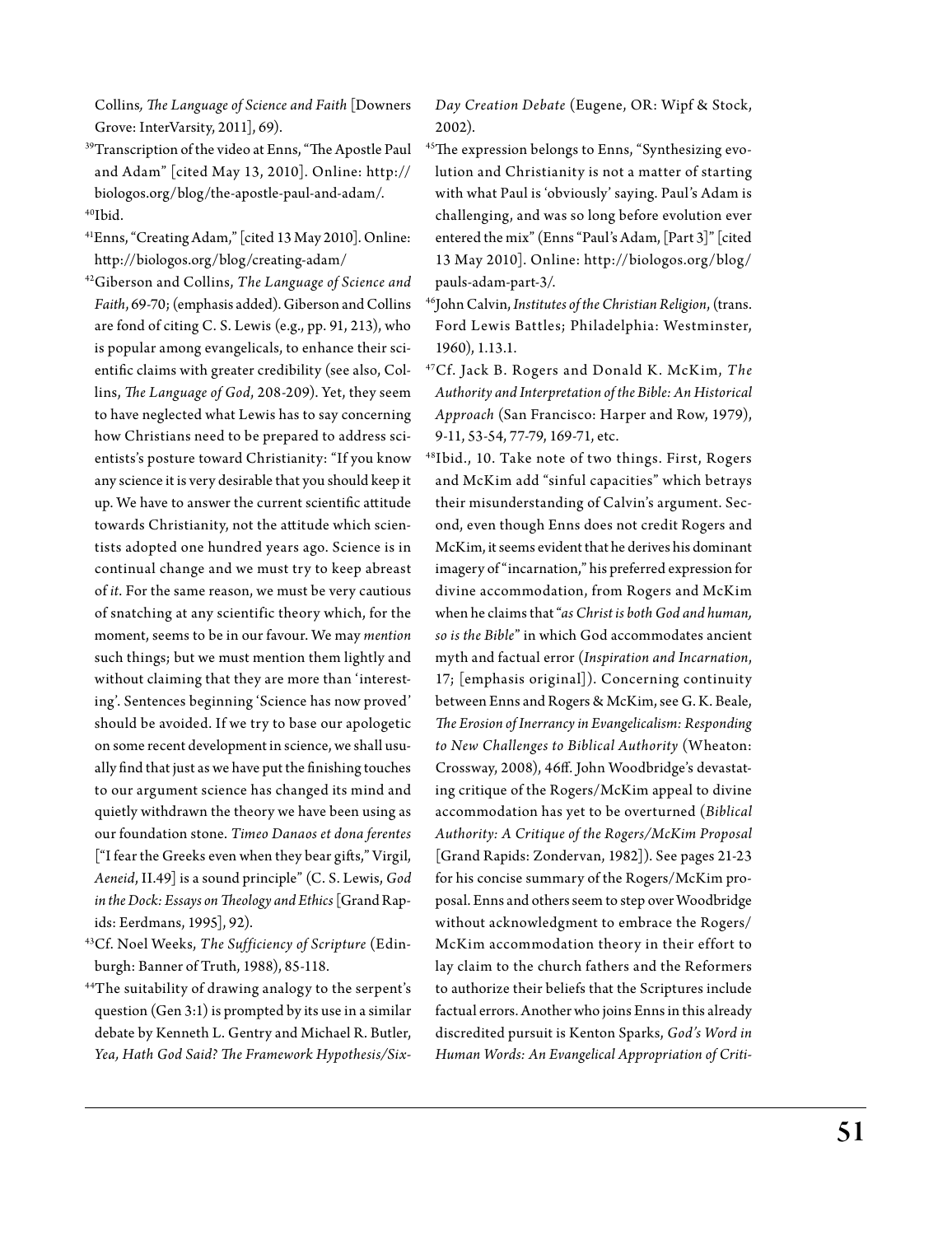Collins*, The Language of Science and Faith* [Downers Grove: InterVarsity, 2011], 69).

- 39Transcription of the video at Enns, "The Apostle Paul and Adam" [cited May 13, 2010]. Online: http:// biologos.org/blog/the-apostle-paul-and-adam/. 40Ibid.
- 41Enns, "Creating Adam," [cited 13 May 2010]. Online: http://biologos.org/blog/creating-adam/
- 42Giberson and Collins, *The Language of Science and Faith*, 69-70; (emphasis added). Giberson and Collins are fond of citing C. S. Lewis (e.g., pp. 91, 213), who is popular among evangelicals, to enhance their scientific claims with greater credibility (see also, Collins, *The Language of God*, 208-209). Yet, they seem to have neglected what Lewis has to say concerning how Christians need to be prepared to address scientists's posture toward Christianity: "If you know any science it is very desirable that you should keep it up. We have to answer the current scientific attitude towards Christianity, not the attitude which scientists adopted one hundred years ago. Science is in continual change and we must try to keep abreast of *it*. For the same reason, we must be very cautious of snatching at any scientific theory which, for the moment, seems to be in our favour. We may *mention* such things; but we must mention them lightly and without claiming that they are more than 'interesting'. Sentences beginning 'Science has now proved' should be avoided. If we try to base our apologetic on some recent development in science, we shall usually find that just as we have put the finishing touches to our argument science has changed its mind and quietly withdrawn the theory we have been using as our foundation stone. *Timeo Danaos et dona ferentes* ["I fear the Greeks even when they bear gifts," Virgil, *Aeneid*, II.49] is a sound principle" (C. S. Lewis, *God in the Dock: Essays on Theology and Ethics* [Grand Rapids: Eerdmans, 1995], 92).
- 43Cf. Noel Weeks, *The Sufficiency of Scripture* (Edinburgh: Banner of Truth, 1988), 85-118.
- 44The suitability of drawing analogy to the serpent's question (Gen 3:1) is prompted by its use in a similar debate by Kenneth L. Gentry and Michael R. Butler, *Yea, Hath God Said? The Framework Hypothesis/Six-*

*Day Creation Debate* (Eugene, OR: Wipf & Stock, 2002).

- 45The expression belongs to Enns, "Synthesizing evolution and Christianity is not a matter of starting with what Paul is 'obviously' saying. Paul's Adam is challenging, and was so long before evolution ever entered the mix" (Enns "Paul's Adam, [Part 3]" [cited 13 May 2010]. Online: http://biologos.org/blog/ pauls-adam-part-3/.
- 46John Calvin, *Institutes of the Christian Religion*, (trans. Ford Lewis Battles; Philadelphia: Westminster, 1960), 1.13.1.
- <sup>47</sup>Cf. Jack B. Rogers and Donald K. McKim, The *Authority and Interpretation of the Bible: An Historical Approach* (San Francisco: Harper and Row, 1979), 9-11, 53-54, 77-79, 169-71, etc.
- 48Ibid., 10. Take note of two things. First, Rogers and McKim add "sinful capacities" which betrays their misunderstanding of Calvin's argument. Second, even though Enns does not credit Rogers and McKim, it seems evident that he derives his dominant imagery of "incarnation," his preferred expression for divine accommodation, from Rogers and McKim when he claims that "*as Christ is both God and human, so is the Bible*" in which God accommodates ancient myth and factual error (*Inspiration and Incarnation*, 17; [emphasis original]). Concerning continuity between Enns and Rogers & McKim, see G. K. Beale, *The Erosion of Inerrancy in Evangelicalism: Responding to New Challenges to Biblical Authority* (Wheaton: Crossway, 2008), 46ff. John Woodbridge's devastating critique of the Rogers/McKim appeal to divine accommodation has yet to be overturned (*Biblical Authority: A Critique of the Rogers/McKim Proposal* [Grand Rapids: Zondervan, 1982]). See pages 21-23 for his concise summary of the Rogers/McKim proposal. Enns and others seem to step over Woodbridge without acknowledgment to embrace the Rogers/ McKim accommodation theory in their effort to lay claim to the church fathers and the Reformers to authorize their beliefs that the Scriptures include factual errors. Another who joins Enns in this already discredited pursuit is Kenton Sparks, *God's Word in Human Words: An Evangelical Appropriation of Criti-*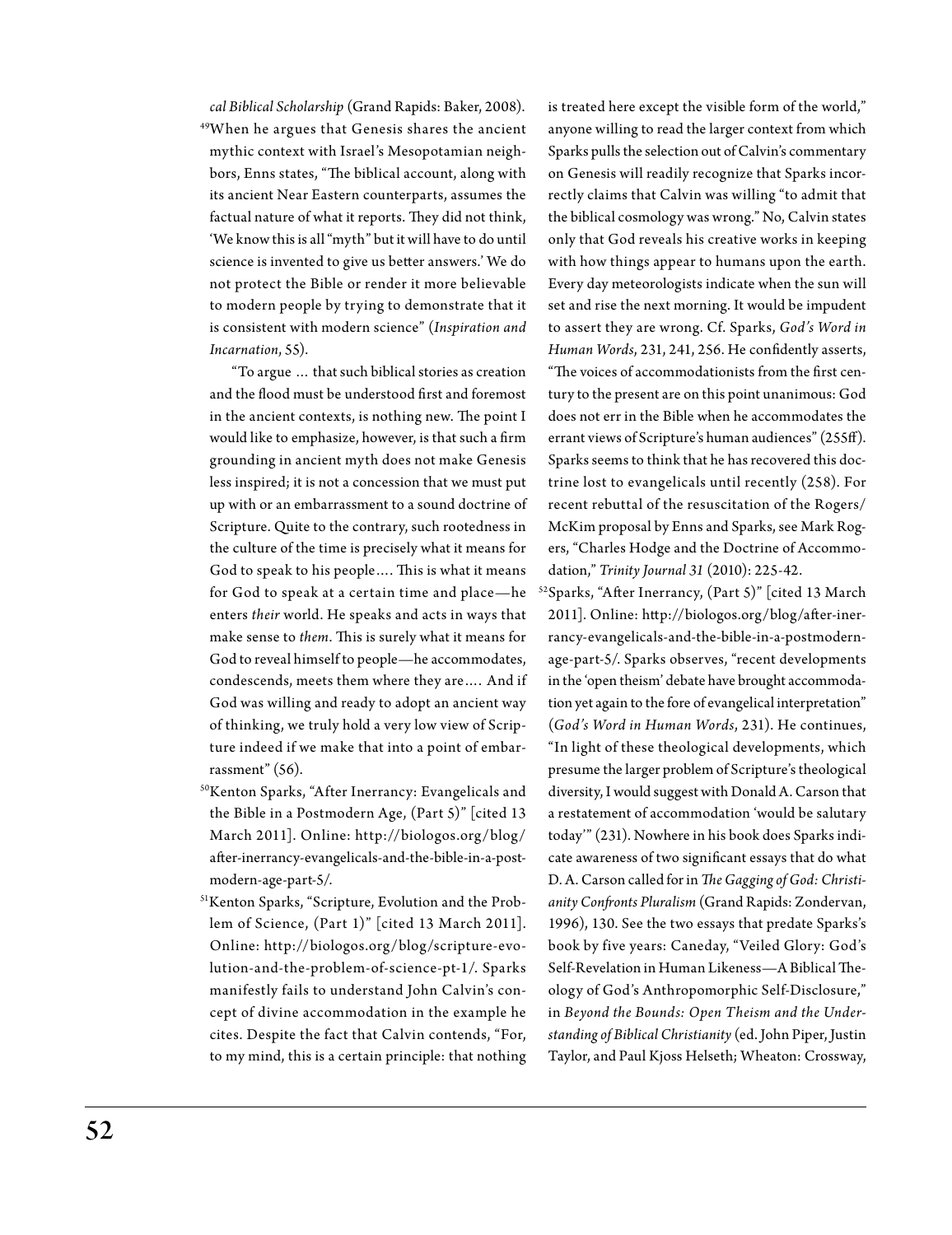*cal Biblical Scholarship* (Grand Rapids: Baker, 2008). 49W hen he argues that Genesis shares the ancient mythic context with Israel's Mesopotamian neighbors, Enns states, "The biblical account, along with its ancient Near Eastern counterparts, assumes the factual nature of what it reports. They did not think, 'We know this is all "myth" but it will have to do until science is invented to give us better answers.' We do not protect the Bible or render it more believable to modern people by trying to demonstrate that it is consistent with modern science" (*Inspiration and Incarnation*, 55).

 "To argue … that such biblical stories as creation and the flood must be understood first and foremost in the ancient contexts, is nothing new. The point I would like to emphasize, however, is that such a firm grounding in ancient myth does not make Genesis less inspired; it is not a concession that we must put up with or an embarrassment to a sound doctrine of Scripture. Quite to the contrary, such rootedness in the culture of the time is precisely what it means for God to speak to his people…. This is what it means for God to speak at a certain time and place—he enters *their* world. He speaks and acts in ways that make sense to *them*. This is surely what it means for God to reveal himself to people—he accommodates, condescends, meets them where they are…. And if God was willing and ready to adopt an ancient way of thinking, we truly hold a very low view of Scripture indeed if we make that into a point of embarrassment" (56).

- 50Kenton Sparks, "After Inerrancy: Evangelicals and the Bible in a Postmodern Age, (Part 5)" [cited 13 March 2011]. Online: http://biologos.org/blog/ after-inerrancy-evangelicals-and-the-bible-in-a-postmodern-age-part-5/.
- 51Kenton Sparks, "Scripture, Evolution and the Problem of Science, (Part 1)" [cited 13 March 2011]. Online: http://biologos.org/blog/scripture-evolution-and-the-problem-of-science-pt-1/. Sparks manifestly fails to understand John Calvin's concept of divine accommodation in the example he cites. Despite the fact that Calvin contends, "For, to my mind, this is a certain principle: that nothing

is treated here except the visible form of the world," anyone willing to read the larger context from which Sparks pulls the selection out of Calvin's commentary on Genesis will readily recognize that Sparks incorrectly claims that Calvin was willing "to admit that the biblical cosmology was wrong." No, Calvin states only that God reveals his creative works in keeping with how things appear to humans upon the earth. Every day meteorologists indicate when the sun will set and rise the next morning. It would be impudent to assert they are wrong. Cf. Sparks, *God's Word in Human Words*, 231, 241, 256. He confidently asserts, "The voices of accommodationists from the first century to the present are on this point unanimous: God does not err in the Bible when he accommodates the errant views of Scripture's human audiences" (255ff). Sparks seems to think that he has recovered this doctrine lost to evangelicals until recently (258). For recent rebuttal of the resuscitation of the Rogers/ McKim proposal by Enns and Sparks, see Mark Rogers, "Charles Hodge and the Doctrine of Accommodation," *Trinity Journal 31* (2010): 225-42.

52Sparks, "After Inerrancy, (Part 5)" [cited 13 March 2011]. Online: http://biologos.org/blog/after-inerrancy-evangelicals-and-the-bible-in-a-postmodernage-part-5/. Sparks observes, "recent developments in the 'open theism' debate have brought accommodation yet again to the fore of evangelical interpretation" (*God's Word in Human Words*, 231). He continues, "In light of these theological developments, which presume the larger problem of Scripture's theological diversity, I would suggest with Donald A. Carson that a restatement of accommodation 'would be salutary today'" (231). Nowhere in his book does Sparks indicate awareness of two significant essays that do what D. A. Carson called for in *The Gagging of God: Christianity Confronts Pluralism* (Grand Rapids: Zondervan, 1996), 130. See the two essays that predate Sparks's book by five years: Caneday, "Veiled Glory: God's Self-Revelation in Human Likeness—A Biblical Theology of God's Anthropomorphic Self-Disclosure," in *Beyond the Bounds: Open Theism and the Understanding of Biblical Christianity* (ed. John Piper, Justin Taylor, and Paul Kjoss Helseth; Wheaton: Crossway,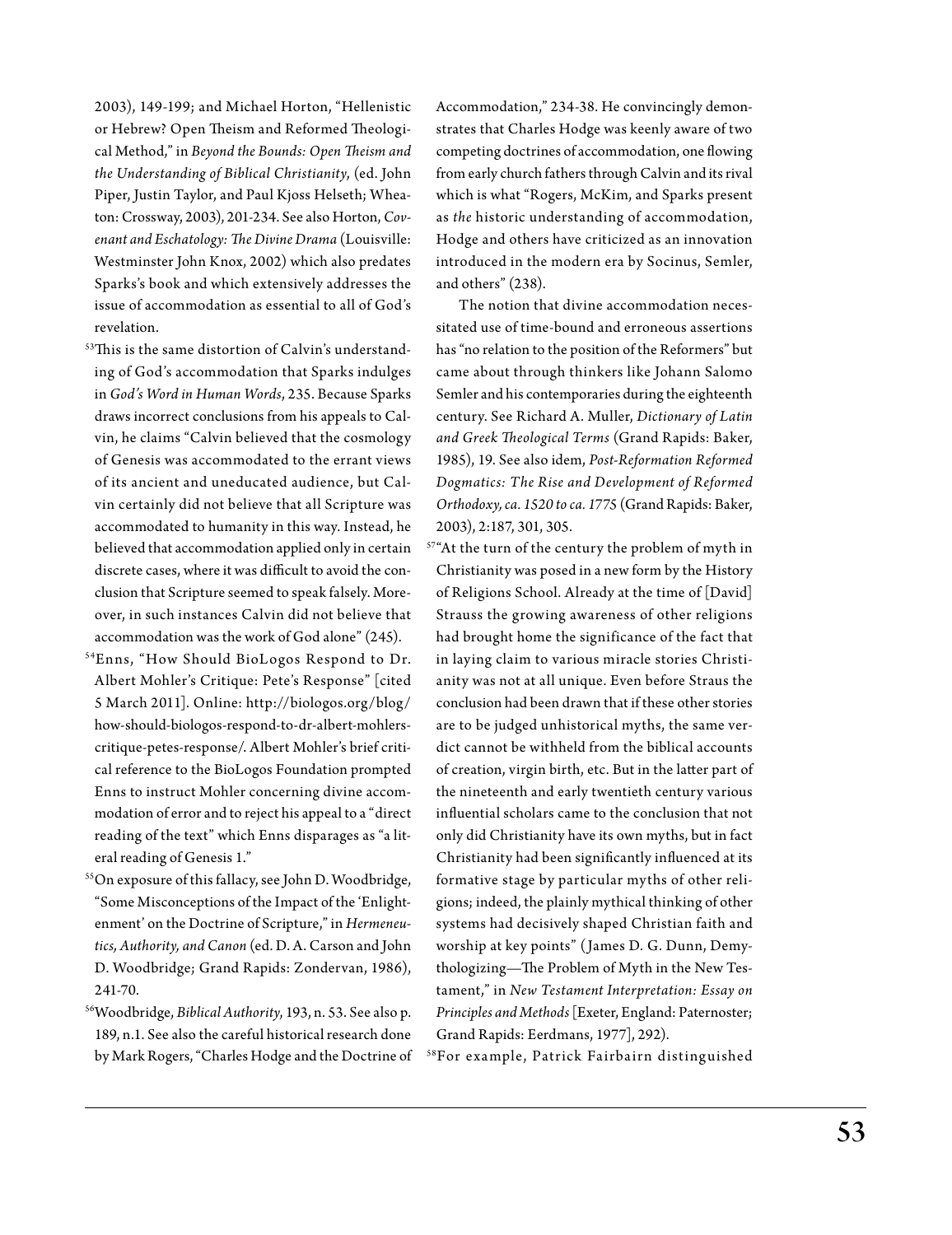2003), 149-199; and Michael Horton, "Hellenistic or Hebrew? Open Theism and Reformed Theological Method," in *Beyond the Bounds: Open Theism and the Understanding of Biblical Christianity*, (ed. John Piper, Justin Taylor, and Paul Kjoss Helseth; Wheaton: Crossway, 2003), 201-234. See also Horton, *Covenant and Eschatology: The Divine Drama* (Louisville: Westminster John Knox, 2002) which also predates Sparks's book and which extensively addresses the issue of accommodation as essential to all of God's revelation.

- 53This is the same distortion of Calvin's understanding of God's accommodation that Sparks indulges in *God's Word in Human Words*, 235. Because Sparks draws incorrect conclusions from his appeals to Calvin, he claims "Calvin believed that the cosmology of Genesis was accommodated to the errant views of its ancient and uneducated audience, but Calvin certainly did not believe that all Scripture was accommodated to humanity in this way. Instead, he believed that accommodation applied only in certain discrete cases, where it was difficult to avoid the conclusion that Scripture seemed to speak falsely. Moreover, in such instances Calvin did not believe that accommodation was the work of God alone" (245).
- 5 4Enns, "How Should BioLogos Respond to Dr. Albert Mohler's Critique: Pete's Response" [cited 5 March 2011]. Online: http://biologos.org/blog/ how-should-biologos-respond-to-dr-albert-mohlerscritique-petes-response/. Albert Mohler's brief critical reference to the BioLogos Foundation prompted Enns to instruct Mohler concerning divine accommodation of error and to reject his appeal to a "direct reading of the text" which Enns disparages as "a literal reading of Genesis 1."
- 55On exposure of this fallacy, see John D. Woodbridge, "Some Misconceptions of the Impact of the 'Enlightenment' on the Doctrine of Scripture," in *Hermeneutics, Authority, and Canon* (ed. D. A. Carson and John D. Woodbridge; Grand Rapids: Zondervan, 1986), 241-70.
- 56Woodbridge, *Biblical Authority*, 193, n. 53. See also p. 189, n.1. See also the careful historical research done by Mark Rogers, "Charles Hodge and the Doctrine of

Accommodation," 234-38. He convincingly demonstrates that Charles Hodge was keenly aware of two competing doctrines of accommodation, one flowing from early church fathers through Calvin and its rival which is what "Rogers, McKim, and Sparks present as *the* historic understanding of accommodation, Hodge and others have criticized as an innovation introduced in the modern era by Socinus, Semler, and others" (238).

 The notion that divine accommodation necessitated use of time-bound and erroneous assertions has "no relation to the position of the Reformers" but came about through thinkers like Johann Salomo Semler and his contemporaries during the eighteenth century. See Richard A. Muller, *Dictionary of Latin and Greek Theological Terms* (Grand Rapids: Baker, 1985), 19. See also idem, *Post-Reformation Reformed Dogmatics: The Rise and Development of Reformed Orthodoxy, ca. 1520 to ca. 1775* (Grand Rapids: Baker, 2003), 2:187, 301, 305.

57"At the turn of the century the problem of myth in Christianity was posed in a new form by the History of Religions School. Already at the time of [David] Strauss the growing awareness of other religions had brought home the significance of the fact that in laying claim to various miracle stories Christianity was not at all unique. Even before Straus the conclusion had been drawn that if these other stories are to be judged unhistorical myths, the same verdict cannot be withheld from the biblical accounts of creation, virgin birth, etc. But in the latter part of the nineteenth and early twentieth century various influential scholars came to the conclusion that not only did Christianity have its own myths, but in fact Christianity had been significantly influenced at its formative stage by particular myths of other religions; indeed, the plainly mythical thinking of other systems had decisively shaped Christian faith and worship at key points" (James D. G. Dunn, Demythologizing—The Problem of Myth in the New Testament," in *New Testament Interpretation: Essay on Principles and Methods* [Exeter, England: Paternoster; Grand Rapids: Eerdmans, 1977], 292).

58For example, Patrick Fairbairn distinguished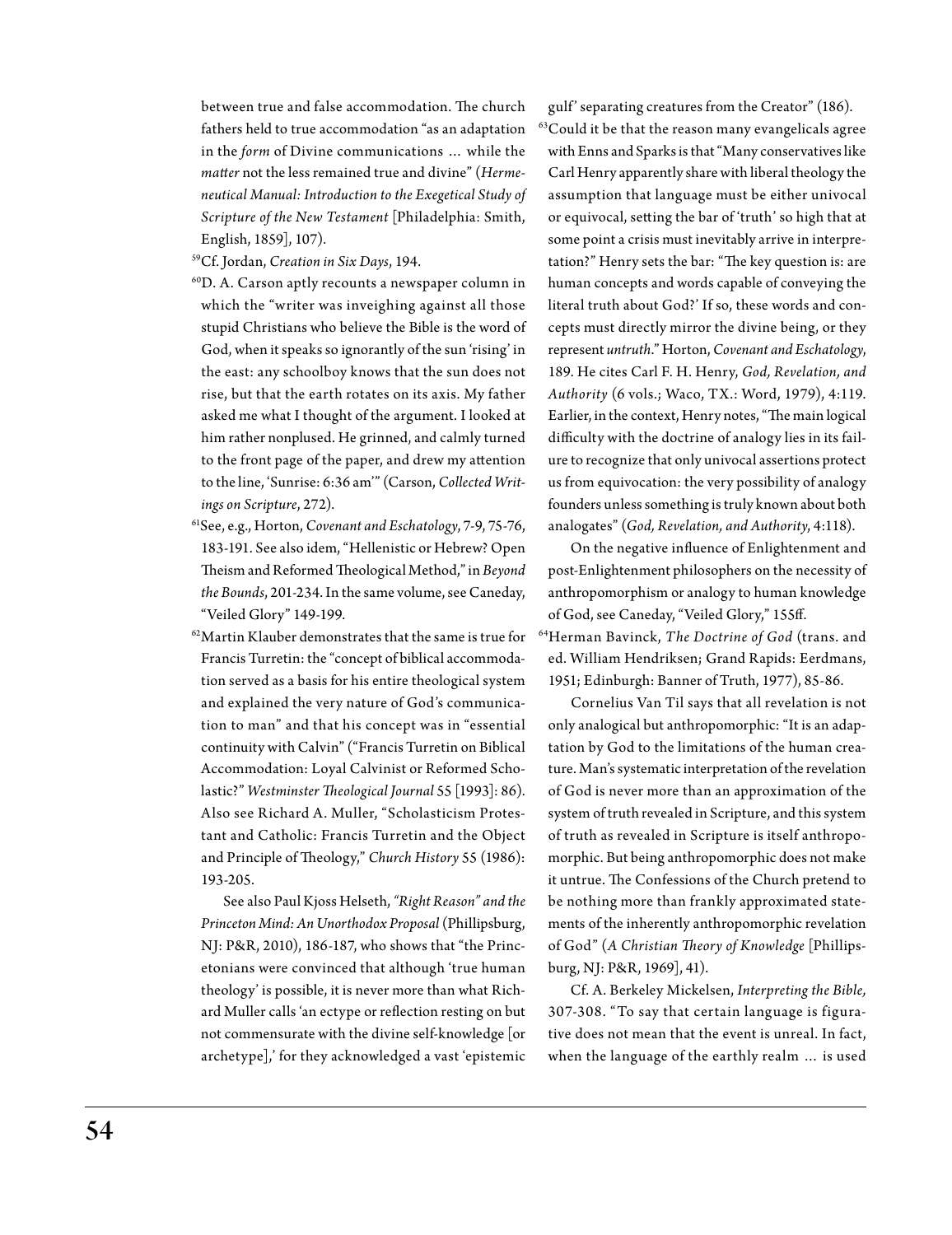between true and false accommodation. The church fathers held to true accommodation "as an adaptation in the *form* of Divine communications … while the *matter* not the less remained true and divine" (*Hermeneutical Manual: Introduction to the Exegetical Study of Scripture of the New Testament* [Philadelphia: Smith, English, 1859], 107).

- 59Cf. Jordan, *Creation in Six Days*, 194.
- 60D. A. Carson aptly recounts a newspaper column in which the "writer was inveighing against all those stupid Christians who believe the Bible is the word of God, when it speaks so ignorantly of the sun 'rising' in the east: any schoolboy knows that the sun does not rise, but that the earth rotates on its axis. My father asked me what I thought of the argument. I looked at him rather nonplused. He grinned, and calmly turned to the front page of the paper, and drew my attention to the line, 'Sunrise: 6:36 am'" (Carson, *Collected Writings on Scripture*, 272).
- 61See, e.g., Horton, *Covenant and Eschatology*, 7-9, 75-76, 183-191. See also idem, "Hellenistic or Hebrew? Open Theism and Reformed Theological Method," in *Beyond the Bounds*, 201-234. In the same volume, see Caneday, "Veiled Glory" 149-199.
- 62Martin Klauber demonstrates that the same is true for Francis Turretin: the "concept of biblical accommodation served as a basis for his entire theological system and explained the very nature of God's communication to man" and that his concept was in "essential continuity with Calvin" ("Francis Turretin on Biblical Accommodation: Loyal Calvinist or Reformed Scholastic?" *Westminster Theological Journal* 55 [1993]: 86). Also see Richard A. Muller, "Scholasticism Protestant and Catholic: Francis Turretin and the Object and Principle of Theology," *Church History* 55 (1986): 193-205.

 See also Paul Kjoss Helseth, *"Right Reason" and the Princeton Mind: An Unorthodox Proposal* (Phillipsburg, NJ: P&R, 2010), 186-187, who shows that "the Princetonians were convinced that although 'true human theology' is possible, it is never more than what Richard Muller calls 'an ectype or reflection resting on but not commensurate with the divine self-knowledge [or archetype],' for they acknowledged a vast 'epistemic

gulf' separating creatures from the Creator" (186). 63Could it be that the reason many evangelicals agree with Enns and Sparks is that "Many conservatives like Carl Henry apparently share with liberal theology the assumption that language must be either univocal or equivocal, setting the bar of 'truth' so high that at some point a crisis must inevitably arrive in interpretation?" Henry sets the bar: "The key question is: are human concepts and words capable of conveying the literal truth about God?' If so, these words and concepts must directly mirror the divine being, or they represent *untruth*." Horton, *Covenant and Eschatology*, 189. He cites Carl F. H. Henry, *God, Revelation, and Authority* (6 vols.; Waco, TX.: Word, 1979), 4:119. Earlier, in the context, Henry notes, "The main logical difficulty with the doctrine of analogy lies in its failure to recognize that only univocal assertions protect us from equivocation: the very possibility of analogy founders unless something is truly known about both analogates" (*God, Revelation, and Authority*, 4:118).

 On the negative influence of Enlightenment and post-Enlightenment philosophers on the necessity of anthropomorphism or analogy to human knowledge of God, see Caneday, "Veiled Glory," 155ff. 64Herman Bavinck, *The Doctrine of God* (trans. and ed. William Hendriksen; Grand Rapids: Eerdmans, 1951; Edinburgh: Banner of Truth, 1977), 85-86.

 Cornelius Van Til says that all revelation is not only analogical but anthropomorphic: "It is an adaptation by God to the limitations of the human creature. Man's systematic interpretation of the revelation of God is never more than an approximation of the system of truth revealed in Scripture, and this system of truth as revealed in Scripture is itself anthropomorphic. But being anthropomorphic does not make it untrue. The Confessions of the Church pretend to be nothing more than frankly approximated statements of the inherently anthropomorphic revelation of God" (*A Christian Theory of Knowledge* [Phillipsburg, NJ: P&R, 1969], 41).

 Cf. A. Berkeley Mickelsen, *Interpreting the Bible,*  307-308. "To say that certain language is figurative does not mean that the event is unreal. In fact, when the language of the earthly realm … is used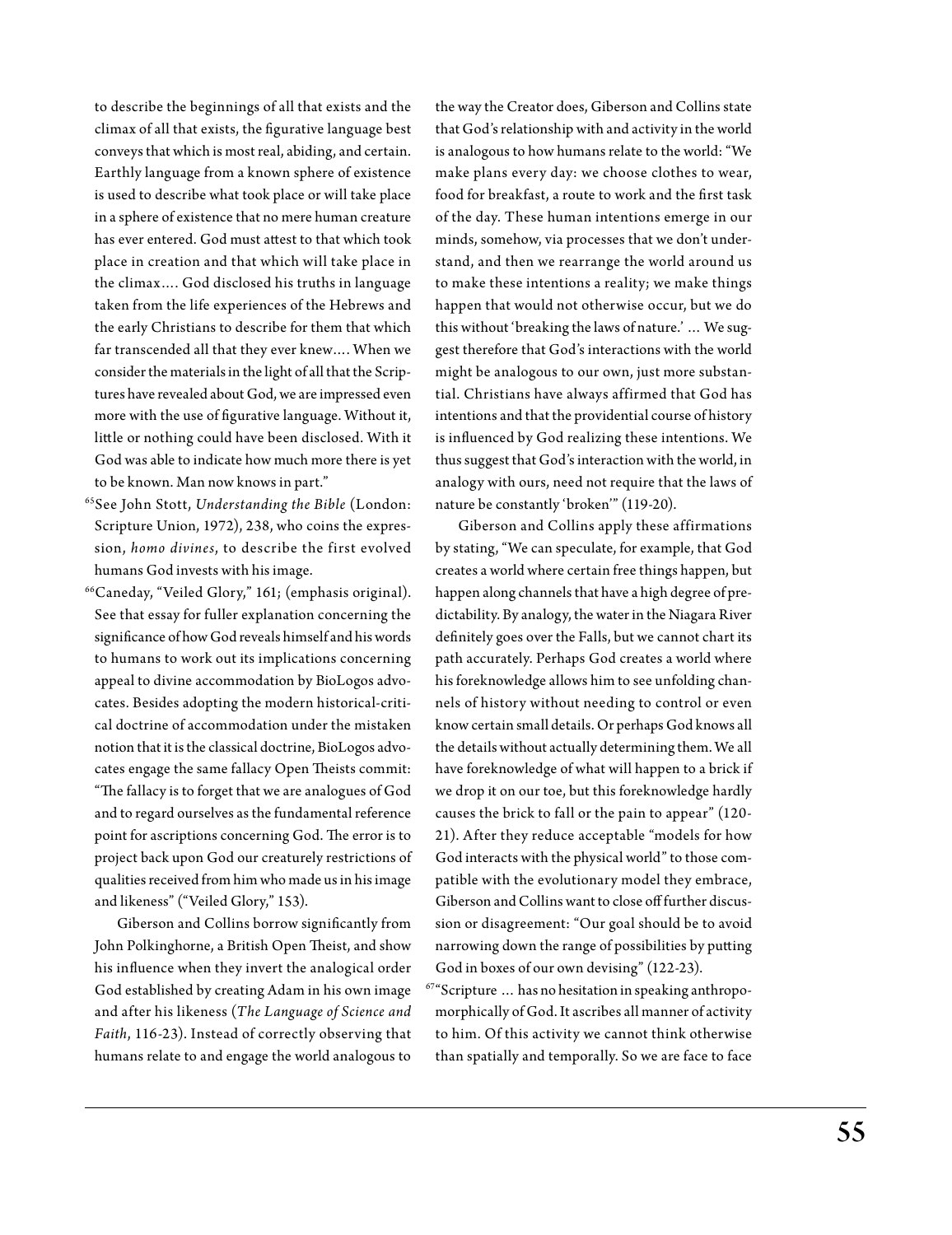to describe the beginnings of all that exists and the climax of all that exists, the figurative language best conveys that which is most real, abiding, and certain. Earthly language from a known sphere of existence is used to describe what took place or will take place in a sphere of existence that no mere human creature has ever entered. God must attest to that which took place in creation and that which will take place in the climax…. God disclosed his truths in language taken from the life experiences of the Hebrews and the early Christians to describe for them that which far transcended all that they ever knew…. When we consider the materials in the light of all that the Scriptures have revealed about God, we are impressed even more with the use of figurative language. Without it, little or nothing could have been disclosed. With it God was able to indicate how much more there is yet to be known. Man now knows in part."

- 65See John Stott, *Understanding the Bible* (London: Scripture Union, 1972), 238, who coins the expression, *homo divines*, to describe the first evolved humans God invests with his image.
- 66Caneday, "Veiled Glory," 161; (emphasis original). See that essay for fuller explanation concerning the significance of how God reveals himself and his words to humans to work out its implications concerning appeal to divine accommodation by BioLogos advocates. Besides adopting the modern historical-critical doctrine of accommodation under the mistaken notion that it is the classical doctrine, BioLogos advocates engage the same fallacy Open Theists commit: "The fallacy is to forget that we are analogues of God and to regard ourselves as the fundamental reference point for ascriptions concerning God. The error is to project back upon God our creaturely restrictions of qualities received from him who made us in his image and likeness" ("Veiled Glory," 153).

 Giberson and Collins borrow significantly from John Polkinghorne, a British Open Theist, and show his influence when they invert the analogical order God established by creating Adam in his own image and after his likeness (*The Language of Science and Faith*, 116-23). Instead of correctly observing that humans relate to and engage the world analogous to

the way the Creator does, Giberson and Collins state that God's relationship with and activity in the world is analogous to how humans relate to the world: "We make plans every day: we choose clothes to wear, food for breakfast, a route to work and the first task of the day. These human intentions emerge in our minds, somehow, via processes that we don't understand, and then we rearrange the world around us to make these intentions a reality; we make things happen that would not otherwise occur, but we do this without 'breaking the laws of nature.' … We suggest therefore that God's interactions with the world might be analogous to our own, just more substantial. Christians have always affirmed that God has intentions and that the providential course of history is influenced by God realizing these intentions. We thus suggest that God's interaction with the world, in analogy with ours, need not require that the laws of nature be constantly 'broken'" (119-20).

 Giberson and Collins apply these affirmations by stating, "We can speculate, for example, that God creates a world where certain free things happen, but happen along channels that have a high degree of predictability. By analogy, the water in the Niagara River definitely goes over the Falls, but we cannot chart its path accurately. Perhaps God creates a world where his foreknowledge allows him to see unfolding channels of history without needing to control or even know certain small details. Or perhaps God knows all the details without actually determining them. We all have foreknowledge of what will happen to a brick if we drop it on our toe, but this foreknowledge hardly causes the brick to fall or the pain to appear" (120- 21). After they reduce acceptable "models for how God interacts with the physical world" to those compatible with the evolutionary model they embrace, Giberson and Collins want to close off further discussion or disagreement: "Our goal should be to avoid narrowing down the range of possibilities by putting God in boxes of our own devising" (122-23).

67"Scripture … has no hesitation in speaking anthropomorphically of God. It ascribes all manner of activity to him. Of this activity we cannot think otherwise than spatially and temporally. So we are face to face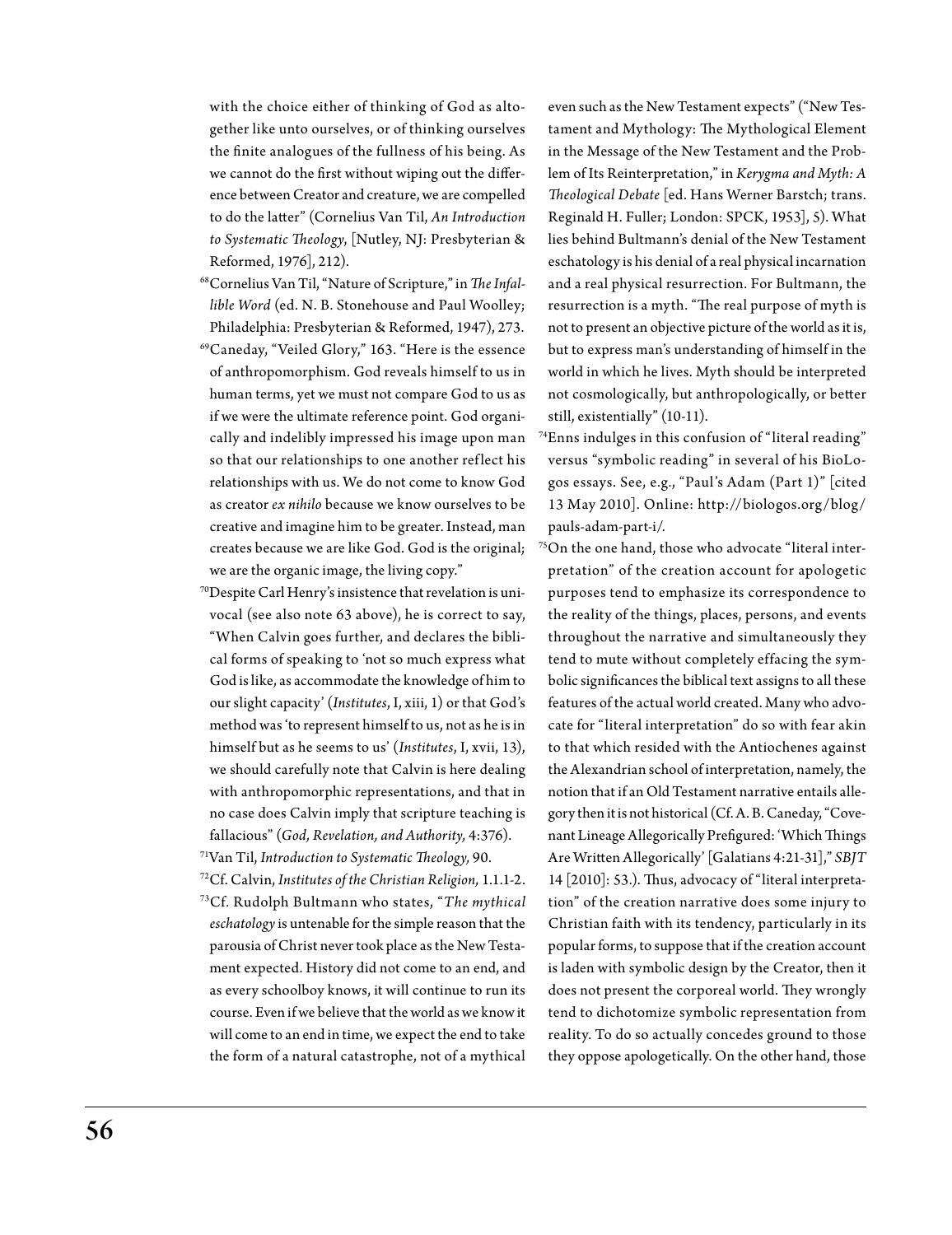with the choice either of thinking of God as altogether like unto ourselves, or of thinking ourselves the finite analogues of the fullness of his being. As we cannot do the first without wiping out the difference between Creator and creature, we are compelled to do the latter" (Cornelius Van Til, *An Introduction to Systematic Theology*, [Nutley, NJ: Presbyterian & Reformed, 1976], 212).

- 68Cornelius Van Til, "Nature of Scripture," in *The Infallible Word* (ed. N. B. Stonehouse and Paul Woolley; Philadelphia: Presbyterian & Reformed, 1947), 273.
- 69Caneday, "Veiled Glory," 163. "Here is the essence of anthropomorphism. God reveals himself to us in human terms, yet we must not compare God to us as if we were the ultimate reference point. God organically and indelibly impressed his image upon man so that our relationships to one another reflect his relationships with us. We do not come to know God as creator *ex nihilo* because we know ourselves to be creative and imagine him to be greater. Instead, man creates because we are like God. God is the original; we are the organic image, the living copy."
- 70Despite Carl Henry's insistence that revelation is univocal (see also note 63 above), he is correct to say, "When Calvin goes further, and declares the biblical forms of speaking to 'not so much express what God is like, as accommodate the knowledge of him to our slight capacity' (*Institutes*, I, xiii, 1) or that God's method was 'to represent himself to us, not as he is in himself but as he seems to us' (*Institutes*, I, xvii, 13), we should carefully note that Calvin is here dealing with anthropomorphic representations, and that in no case does Calvin imply that scripture teaching is fallacious" (*God, Revelation, and Authority,* 4:376).

71Van Til, *Introduction to Systematic Theology,* 90.

72Cf. Calvin, *Institutes of the Christian Religion,* 1.1.1-2. 73Cf. Rudolph Bultmann who states, "*The mythical eschatology* is untenable for the simple reason that the parousia of Christ never took place as the New Testament expected. History did not come to an end, and as every schoolboy knows, it will continue to run its course. Even if we believe that the world as we know it will come to an end in time, we expect the end to take the form of a natural catastrophe, not of a mythical

even such as the New Testament expects" ("New Testament and Mythology: The Mythological Element in the Message of the New Testament and the Problem of Its Reinterpretation," in *Kerygma and Myth: A Theological Debate* [ed. Hans Werner Barstch; trans. Reginald H. Fuller; London: SPCK, 1953], 5). What lies behind Bultmann's denial of the New Testament eschatology is his denial of a real physical incarnation and a real physical resurrection. For Bultmann, the resurrection is a myth. "The real purpose of myth is not to present an objective picture of the world as it is, but to express man's understanding of himself in the world in which he lives. Myth should be interpreted not cosmologically, but anthropologically, or better still, existentially" (10-11).

- 74Enns indulges in this confusion of "literal reading" versus "symbolic reading" in several of his BioLogos essays. See, e.g., "Paul's Adam (Part 1)" [cited 13 May 2010]. Online: http://biologos.org/blog/ pauls-adam-part-i/.
- 75On the one hand, those who advocate "literal interpretation" of the creation account for apologetic purposes tend to emphasize its correspondence to the reality of the things, places, persons, and events throughout the narrative and simultaneously they tend to mute without completely effacing the symbolic significances the biblical text assigns to all these features of the actual world created. Many who advocate for "literal interpretation" do so with fear akin to that which resided with the Antiochenes against the Alexandrian school of interpretation, namely, the notion that if an Old Testament narrative entails allegory then it is not historical (Cf. A. B. Caneday, "Covenant Lineage Allegorically Prefigured: 'Which Things Are Written Allegorically' [Galatians 4:21-31]," *SBJT* 14 [2010]: 53.). Thus, advocacy of "literal interpretation" of the creation narrative does some injury to Christian faith with its tendency, particularly in its popular forms, to suppose that if the creation account is laden with symbolic design by the Creator, then it does not present the corporeal world. They wrongly tend to dichotomize symbolic representation from reality. To do so actually concedes ground to those they oppose apologetically. On the other hand, those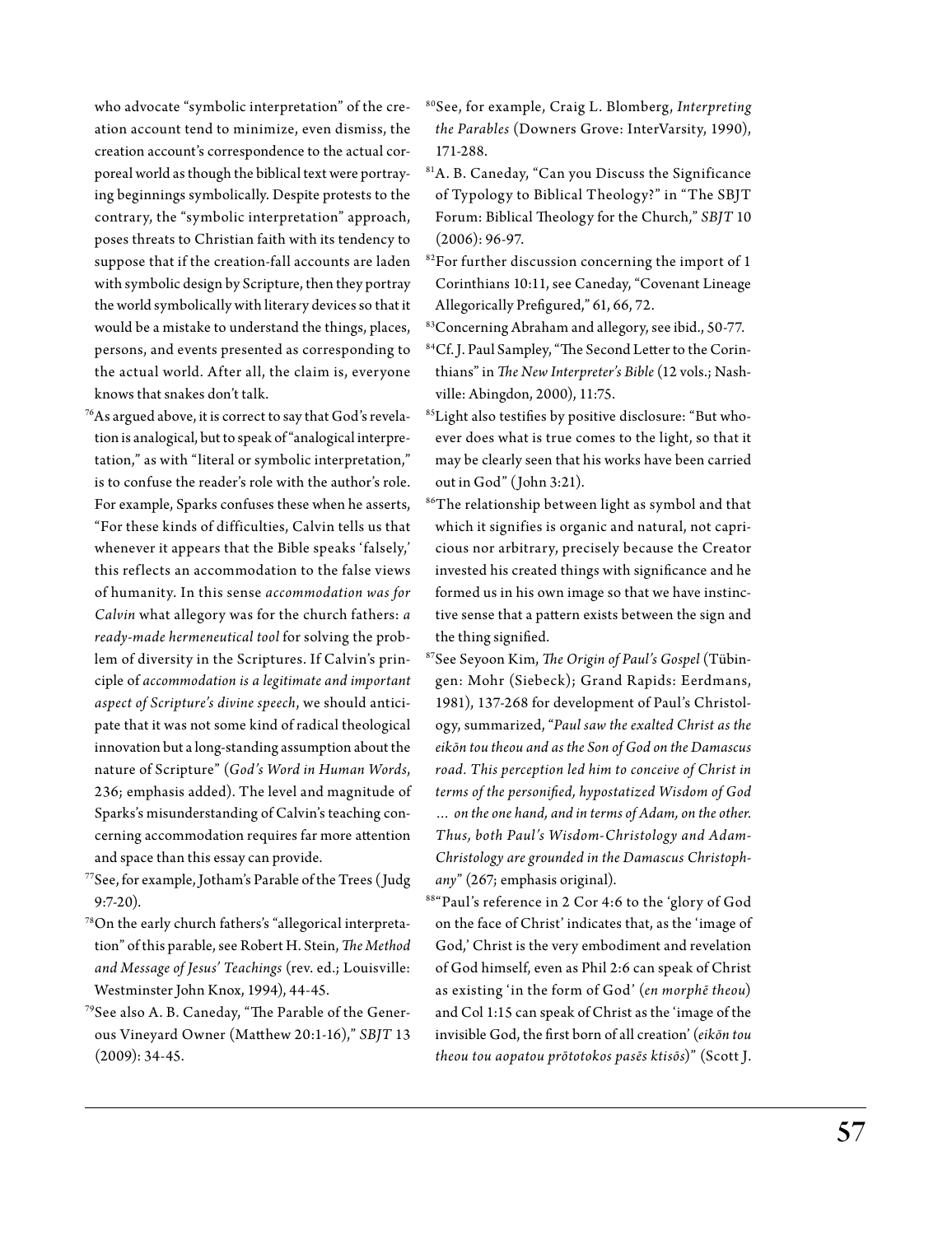who advocate "symbolic interpretation" of the creation account tend to minimize, even dismiss, the creation account's correspondence to the actual corporeal world as though the biblical text were portraying beginnings symbolically. Despite protests to the contrary, the "symbolic interpretation" approach, poses threats to Christian faith with its tendency to suppose that if the creation-fall accounts are laden with symbolic design by Scripture, then they portray the world symbolically with literary devices so that it would be a mistake to understand the things, places, persons, and events presented as corresponding to the actual world. After all, the claim is, everyone knows that snakes don't talk.

- 76As argued above, it is correct to say that God's revelation is analogical, but to speak of "analogical interpretation," as with "literal or symbolic interpretation," is to confuse the reader's role with the author's role. For example, Sparks confuses these when he asserts, "For these kinds of difficulties, Calvin tells us that whenever it appears that the Bible speaks 'falsely,' this reflects an accommodation to the false views of humanity. In this sense *accommodation was for Calvin* what allegory was for the church fathers: *a ready-made hermeneutical tool* for solving the problem of diversity in the Scriptures. If Calvin's principle of *accommodation is a legitimate and important aspect of Scripture's divine speech*, we should anticipate that it was not some kind of radical theological innovation but a long-standing assumption about the nature of Scripture" (*God's Word in Human Words*, 236; emphasis added). The level and magnitude of Sparks's misunderstanding of Calvin's teaching concerning accommodation requires far more attention and space than this essay can provide.
- 77See, for example, Jotham's Parable of the Trees (Judg 9:7-20).
- 78On the early church fathers's "allegorical interpretation" of this parable, see Robert H. Stein, *The Method and Message of Jesus' Teachings* (rev. ed.; Louisville: Westminster John Knox, 1994), 44-45.
- 79See also A. B. Caneday, "The Parable of the Generous Vineyard Owner (Matthew 20:1-16)," *SBJT* 13 (2009): 34-45.
- 80See, for example, Craig L. Blomberg, *Interpreting the Parables* (Downers Grove: InterVarsity, 1990), 171-288.
- 81A. B. Caneday, "Can you Discuss the Significance of Typology to Biblical Theology?" in "The SBJT Forum: Biblical Theology for the Church," *SBJT* 10 (2006): 96-97.
- <sup>82</sup>For further discussion concerning the import of 1 Corinthians 10:11, see Caneday, "Covenant Lineage Allegorically Prefigured," 61, 66, 72.
- 83Concerning Abraham and allegory, see ibid., 50-77.
- 84Cf. J. Paul Sampley, "The Second Letter to the Corinthians" in *The New Interpreter's Bible* (12 vols.; Nashville: Abingdon, 2000), 11:75.
- 85Light also testifies by positive disclosure: "But whoever does what is true comes to the light, so that it may be clearly seen that his works have been carried out in God" (John 3:21).
- 86The relationship between light as symbol and that which it signifies is organic and natural, not capricious nor arbitrary, precisely because the Creator invested his created things with significance and he formed us in his own image so that we have instinctive sense that a pattern exists between the sign and the thing signified.
- 87See Seyoon Kim, *The Origin of Paul's Gospel* (Tübingen: Mohr (Siebeck); Grand Rapids: Eerdmans, 1981), 137-268 for development of Paul's Christology, summarized, "*Paul saw the exalted Christ as the eikōn tou theou and as the Son of God on the Damascus road. This perception led him to conceive of Christ in terms of the personified, hypostatized Wisdom of God … on the one hand, and in terms of Adam, on the other. Thus, both Paul's Wisdom-Christology and Adam-Christology are grounded in the Damascus Christophany*" (267; emphasis original).
- 88"Paul's reference in 2 Cor 4:6 to the 'glory of God on the face of Christ' indicates that, as the 'image of God,' Christ is the very embodiment and revelation of God himself, even as Phil 2:6 can speak of Christ as existing 'in the form of God' (*en morphē theou*) and Col 1:15 can speak of Christ as the 'image of the invisible God, the first born of all creation' (*eikōn tou theou tou aopatou prōtotokos pasēs ktisōs*)" (Scott J.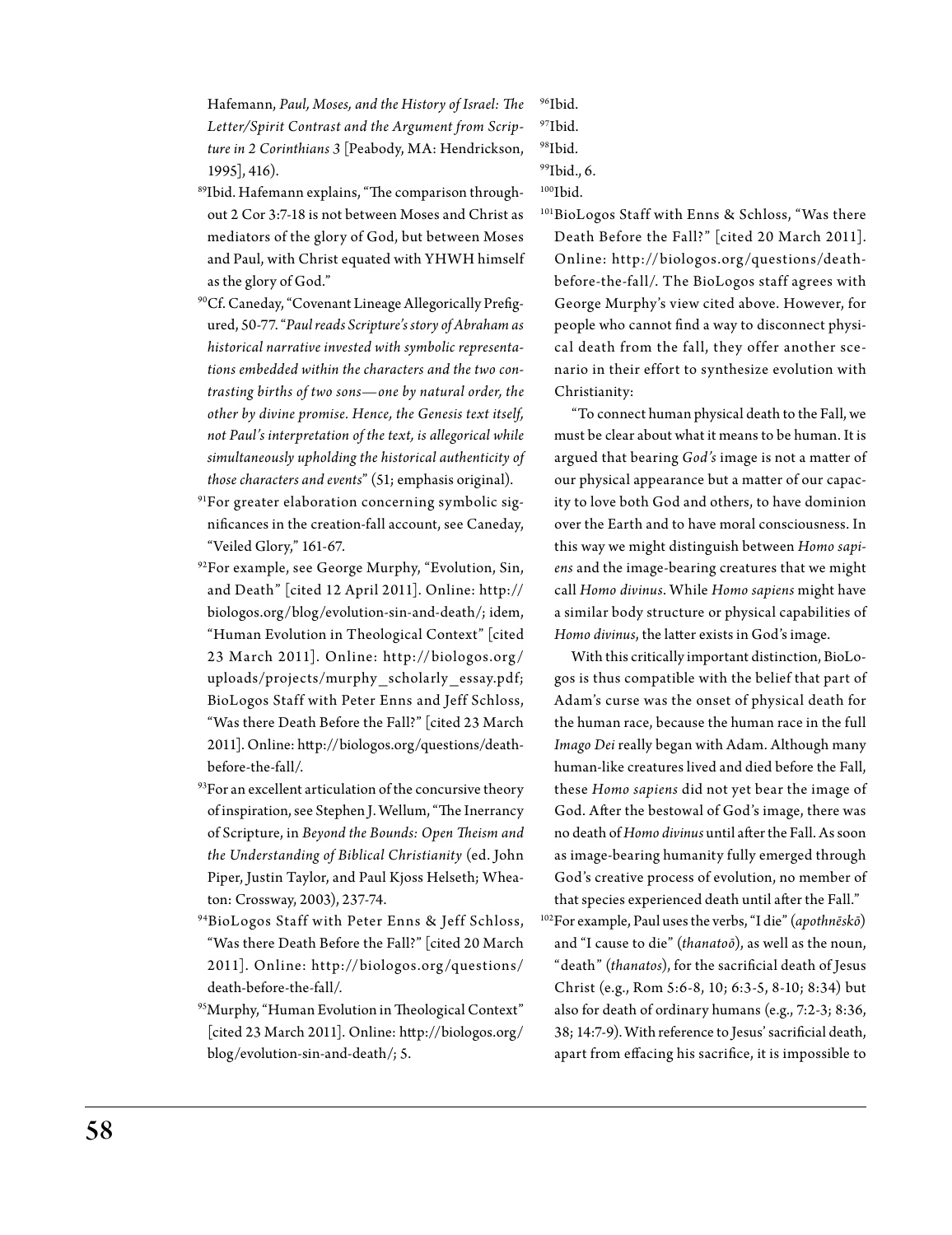Hafemann, *Paul, Moses, and the History of Israel: The Letter/Spirit Contrast and the Argument from Scripture in 2 Corinthians 3* [Peabody, MA: Hendrickson, 1995], 416).

- 89Ibid. Hafemann explains, "The comparison throughout 2 Cor 3:7-18 is not between Moses and Christ as mediators of the glory of God, but between Moses and Paul, with Christ equated with YHWH himself as the glory of God."
- 90Cf. Caneday, "Covenant Lineage Allegorically Prefigured, 50-77. "*Paul reads Scripture's story of Abraham as historical narrative invested with symbolic representations embedded within the characters and the two contrasting births of two sons—one by natural order, the other by divine promise. Hence, the Genesis text itself, not Paul's interpretation of the text, is allegorical while simultaneously upholding the historical authenticity of those characters and events*" (51; emphasis original).
- <sup>91</sup>For greater elaboration concerning symbolic significances in the creation-fall account, see Caneday, "Veiled Glory," 161-67.
- $92$ For example, see George Murphy, "Evolution, Sin, and Death" [cited 12 April 2011]. Online: http:// biologos.org/blog/evolution-sin-and-death/; idem, "Human Evolution in Theological Context" [cited 23 March 2011]. Online: http://biologos.org/ uploads/projects/murphy \_scholarly \_essay.pdf; BioLogos Staff with Peter Enns and Jeff Schloss, "Was there Death Before the Fall?" [cited 23 March 2011]. Online: http://biologos.org/questions/deathbefore-the-fall/.
- <sup>93</sup>For an excellent articulation of the concursive theory of inspiration, see Stephen J. Wellum, "The Inerrancy of Scripture, in *Beyond the Bounds: Open Theism and the Understanding of Biblical Christianity* (ed. John Piper, Justin Taylor, and Paul Kjoss Helseth; Wheaton: Crossway, 2003), 237-74.
- 94BioLogos Staff with Peter Enns & Jeff Schloss, "Was there Death Before the Fall?" [cited 20 March 2011]. Online: http://biologos.org/questions/ death-before-the-fall/.
- 95Murphy, "Human Evolution in Theological Context" [cited 23 March 2011]. Online: http://biologos.org/ blog/evolution-sin-and-death/; 5.

96Ibid. 97Ibid. 98Ibid.  $99$ Ibid., 6.

<sup>100</sup>Ibid.

101BioLogos Staff with Enns & Schloss, "Was there Death Before the Fall?" [cited 20 March 2011]. Online: http://biologos.org/questions/deathbefore-the-fall/. The BioLogos staff agrees with George Murphy's view cited above. However, for people who cannot find a way to disconnect physical death from the fall, they offer another scenario in their effort to synthesize evolution with Christianity:

 "To connect human physical death to the Fall, we must be clear about what it means to be human. It is argued that bearing *God's* image is not a matter of our physical appearance but a matter of our capacity to love both God and others, to have dominion over the Earth and to have moral consciousness. In this way we might distinguish between *Homo sapiens* and the image-bearing creatures that we might call *Homo divinus*. While *Homo sapiens* might have a similar body structure or physical capabilities of *Homo divinus*, the latter exists in God's image.

 With this critically important distinction, BioLogos is thus compatible with the belief that part of Adam's curse was the onset of physical death for the human race, because the human race in the full *Imago Dei* really began with Adam. Although many human-like creatures lived and died before the Fall, these *Homo sapiens* did not yet bear the image of God. After the bestowal of God's image, there was no death of *Homo divinus* until after the Fall. As soon as image-bearing humanity fully emerged through God's creative process of evolution, no member of that species experienced death until after the Fall."

102For example, Paul uses the verbs, "I die" (*apothnēskō*) and "I cause to die" (*thanatoō*), as well as the noun, "death" (*thanatos*), for the sacrificial death of Jesus Christ (e.g., Rom 5:6-8, 10; 6:3-5, 8-10; 8:34) but also for death of ordinary humans (e.g., 7:2-3; 8:36, 38; 14:7-9). With reference to Jesus' sacrificial death, apart from effacing his sacrifice, it is impossible to